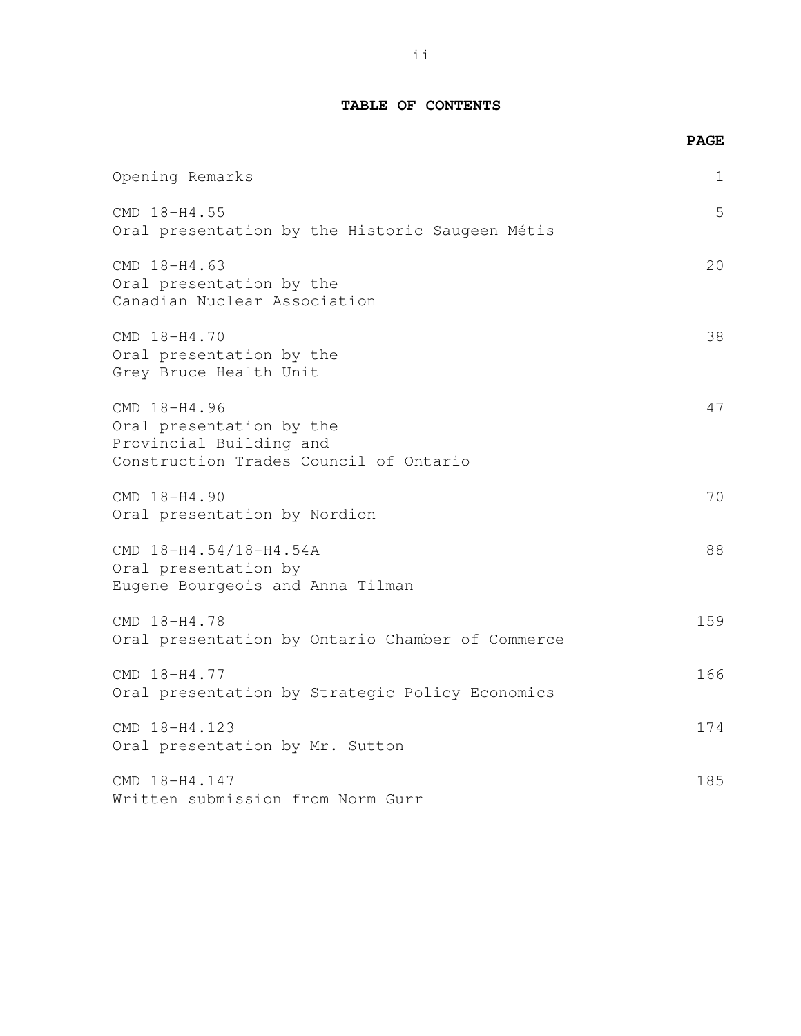## **TABLE OF CONTENTS**

|                                                                                                               | <b>PAGE</b> |
|---------------------------------------------------------------------------------------------------------------|-------------|
| Opening Remarks                                                                                               | 1           |
| CMD 18-H4.55<br>Oral presentation by the Historic Saugeen Métis                                               | 5           |
| CMD 18-H4.63<br>Oral presentation by the<br>Canadian Nuclear Association                                      | 20          |
| CMD 18-H4.70<br>Oral presentation by the<br>Grey Bruce Health Unit                                            | 38          |
| CMD 18-H4.96<br>Oral presentation by the<br>Provincial Building and<br>Construction Trades Council of Ontario | 47          |
| CMD 18-H4.90<br>Oral presentation by Nordion                                                                  | 70          |
| CMD 18-H4.54/18-H4.54A<br>Oral presentation by<br>Eugene Bourgeois and Anna Tilman                            | 88          |
| CMD 18-H4.78<br>Oral presentation by Ontario Chamber of Commerce                                              | 159         |
| CMD 18-H4.77<br>Oral presentation by Strategic Policy Economics                                               | 166         |
| CMD 18-H4.123<br>Oral presentation by Mr. Sutton                                                              | 174         |
| CMD 18-H4.147<br>Written submission from Norm Gurr                                                            | 185         |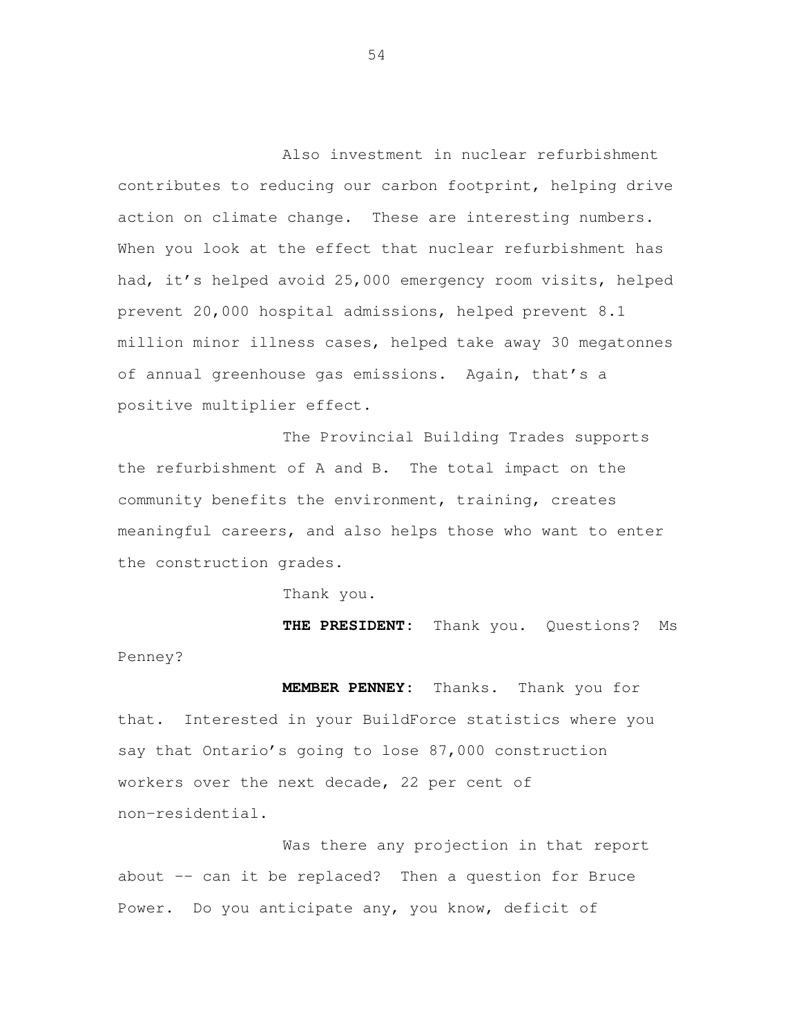Also investment in nuclear refurbishment contributes to reducing our carbon footprint, helping drive action on climate change. These are interesting numbers. When you look at the effect that nuclear refurbishment has had, it's helped avoid 25,000 emergency room visits, helped prevent 20,000 hospital admissions, helped prevent 8.1 million minor illness cases, helped take away 30 megatonnes of annual greenhouse gas emissions. Again, that's a positive multiplier effect.

The Provincial Building Trades supports the refurbishment of A and B. The total impact on the community benefits the environment, training, creates meaningful careers, and also helps those who want to enter the construction grades.

Thank you.

**THE PRESIDENT:** Thank you. Questions? Ms Penney?

**MEMBER PENNEY:** Thanks. Thank you for that. Interested in your BuildForce statistics where you say that Ontario's going to lose 87,000 construction workers over the next decade, 22 per cent of non-residential.

Was there any projection in that report about -- can it be replaced? Then a question for Bruce Power. Do you anticipate any, you know, deficit of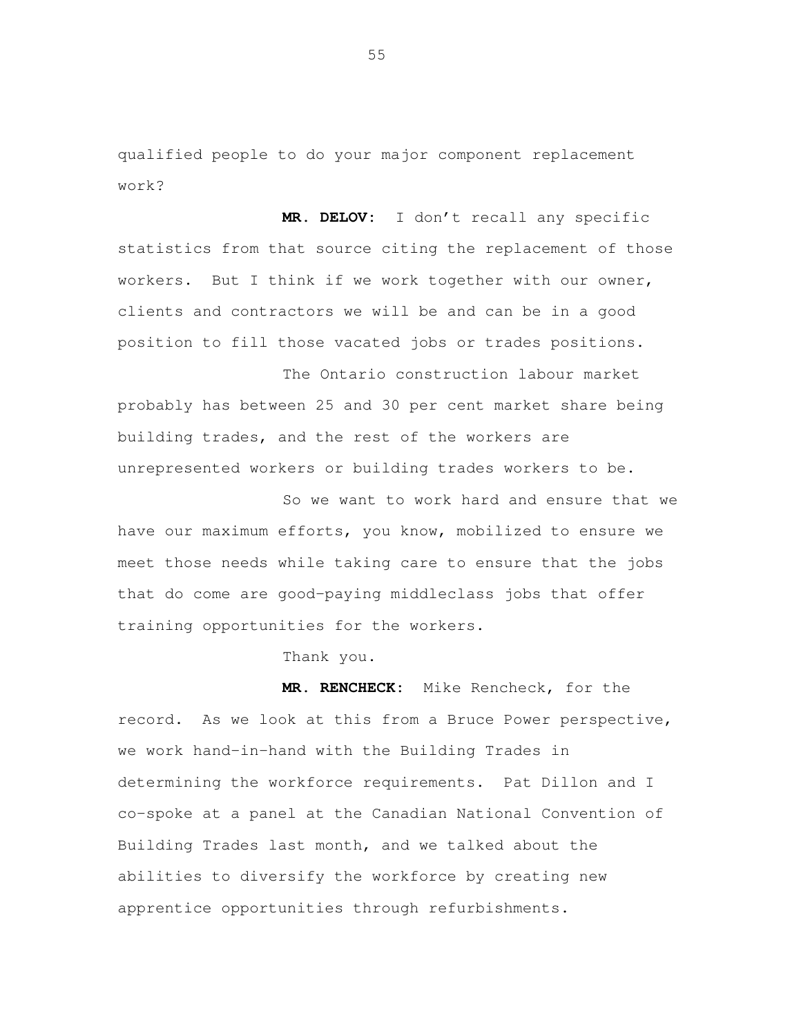qualified people to do your major component replacement work?

 **MR. DELOV:** I don't recall any specific statistics from that source citing the replacement of those workers. But I think if we work together with our owner, clients and contractors we will be and can be in a good position to fill those vacated jobs or trades positions.

 The Ontario construction labour market probably has between 25 and 30 per cent market share being building trades, and the rest of the workers are unrepresented workers or building trades workers to be.

 So we want to work hard and ensure that we have our maximum efforts, you know, mobilized to ensure we meet those needs while taking care to ensure that the jobs that do come are good-paying middleclass jobs that offer training opportunities for the workers.

Thank you.

 **MR. RENCHECK:** Mike Rencheck, for the record. As we look at this from a Bruce Power perspective, we work hand-in-hand with the Building Trades in determining the workforce requirements. Pat Dillon and I co-spoke at a panel at the Canadian National Convention of Building Trades last month, and we talked about the abilities to diversify the workforce by creating new apprentice opportunities through refurbishments.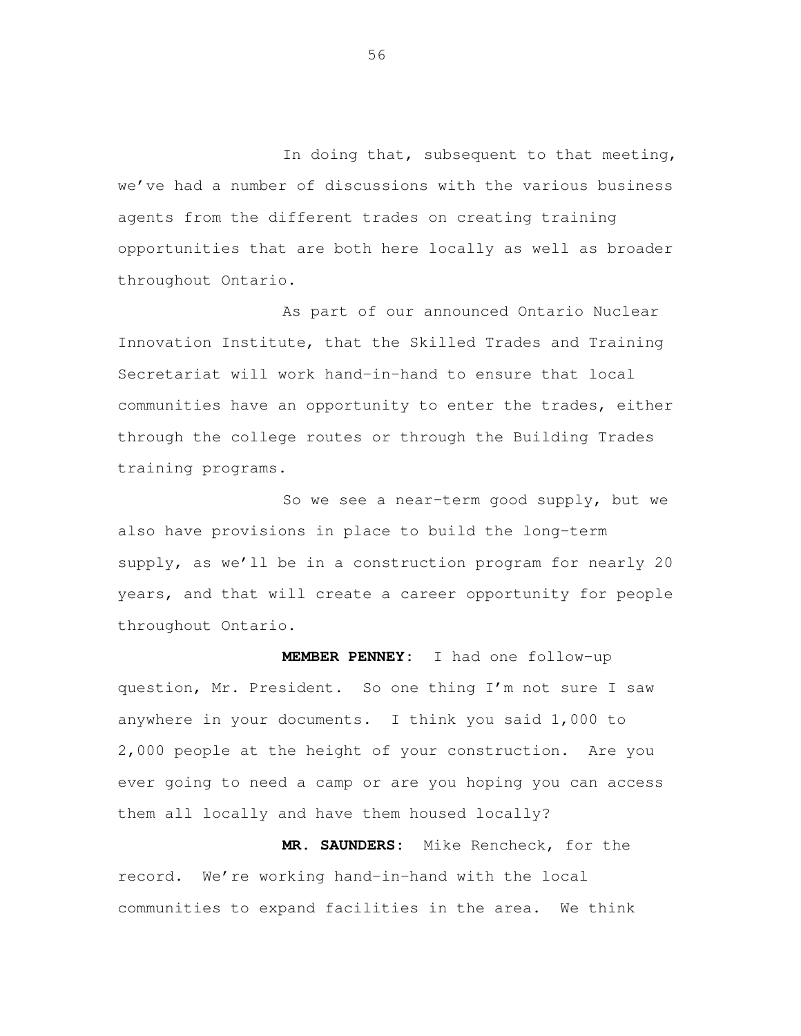In doing that, subsequent to that meeting, we've had a number of discussions with the various business agents from the different trades on creating training opportunities that are both here locally as well as broader throughout Ontario.

 As part of our announced Ontario Nuclear Innovation Institute, that the Skilled Trades and Training Secretariat will work hand-in-hand to ensure that local communities have an opportunity to enter the trades, either through the college routes or through the Building Trades training programs.

 So we see a near-term good supply, but we also have provisions in place to build the long-term supply, as we'll be in a construction program for nearly 20 years, and that will create a career opportunity for people throughout Ontario.

 **MEMBER PENNEY:** I had one follow-up question, Mr. President. So one thing I'm not sure I saw anywhere in your documents. I think you said 1,000 to 2,000 people at the height of your construction. Are you ever going to need a camp or are you hoping you can access them all locally and have them housed locally?

 **MR. SAUNDERS:** Mike Rencheck, for the record. We're working hand-in-hand with the local communities to expand facilities in the area. We think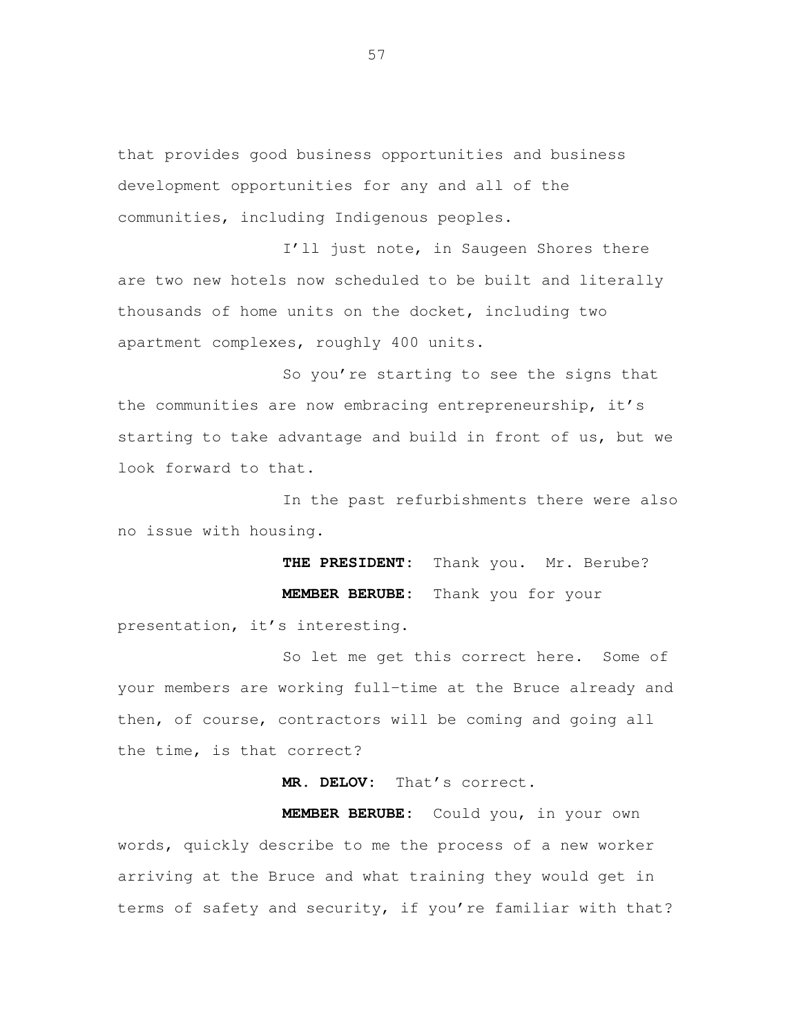that provides good business opportunities and business development opportunities for any and all of the communities, including Indigenous peoples.

I'll just note, in Saugeen Shores there are two new hotels now scheduled to be built and literally thousands of home units on the docket, including two apartment complexes, roughly 400 units.

So you're starting to see the signs that the communities are now embracing entrepreneurship, it's starting to take advantage and build in front of us, but we look forward to that.

In the past refurbishments there were also no issue with housing.

> **THE PRESIDENT:** Thank you. Mr. Berube? **MEMBER BERUBE:** Thank you for your

presentation, it's interesting.

So let me get this correct here. Some of your members are working full-time at the Bruce already and then, of course, contractors will be coming and going all the time, is that correct?

**MR. DELOV:** That's correct.

**MEMBER BERUBE:** Could you, in your own words, quickly describe to me the process of a new worker arriving at the Bruce and what training they would get in terms of safety and security, if you're familiar with that?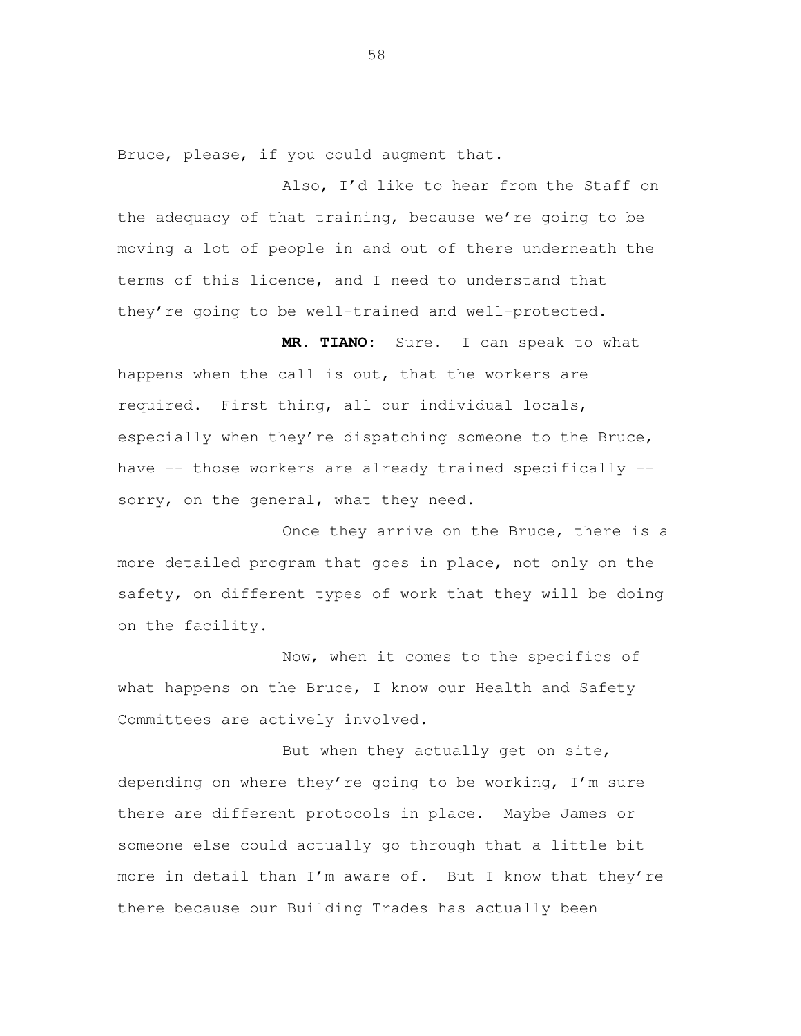Bruce, please, if you could augment that.

 Also, I'd like to hear from the Staff on the adequacy of that training, because we're going to be moving a lot of people in and out of there underneath the terms of this licence, and I need to understand that they're going to be well-trained and well-protected.

 **MR. TIANO:** Sure. I can speak to what happens when the call is out, that the workers are required. First thing, all our individual locals, especially when they're dispatching someone to the Bruce, have -- those workers are already trained specifically -sorry, on the general, what they need.

Once they arrive on the Bruce, there is a more detailed program that goes in place, not only on the safety, on different types of work that they will be doing on the facility.

 Now, when it comes to the specifics of what happens on the Bruce, I know our Health and Safety Committees are actively involved.

But when they actually get on site, depending on where they're going to be working, I'm sure there are different protocols in place. Maybe James or someone else could actually go through that a little bit more in detail than I'm aware of. But I know that they're there because our Building Trades has actually been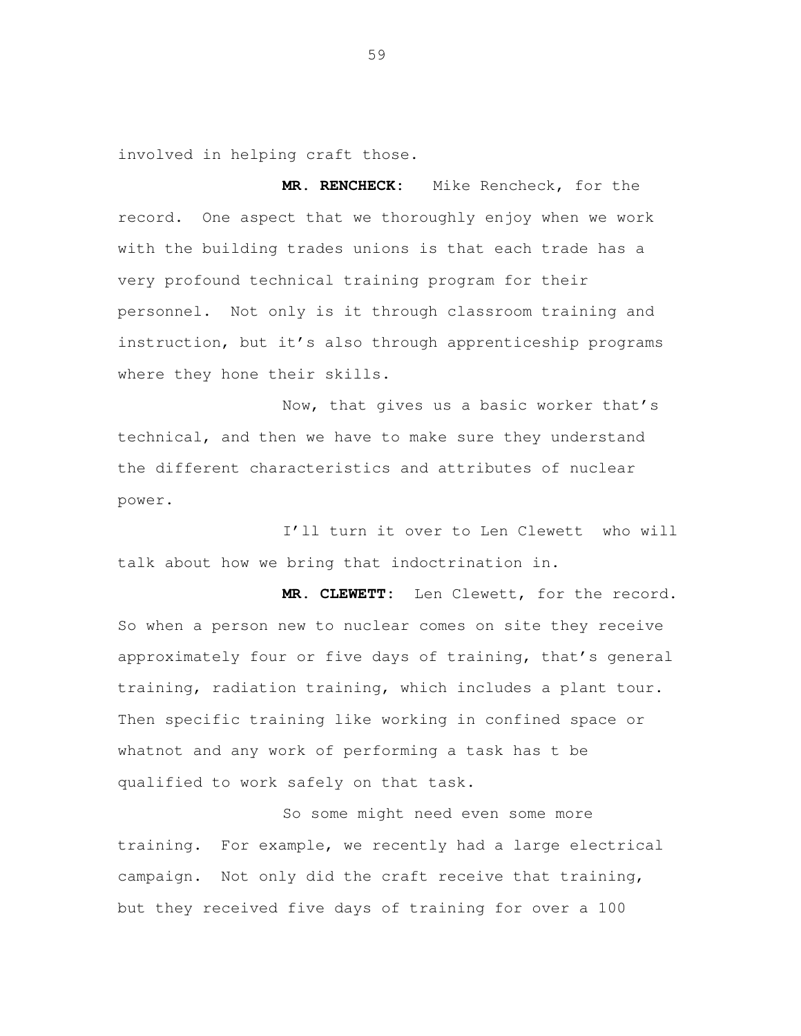involved in helping craft those.

MR. RENCHECK: record. One aspect that we thoroughly enjoy when we work with the building trades unions is that each trade has a very profound technical training program for their personnel. Not only is it through classroom training and instruction, but it's also through apprenticeship programs where they hone their skills. Mike Rencheck, for the

 Now, that gives us a basic worker that's technical, and then we have to make sure they understand the different characteristics and attributes of nuclear power.

 I'll turn it over to Len Clewett who will talk about how we bring that indoctrination in.

 **MR. CLEWETT:** Len Clewett, for the record. So when a person new to nuclear comes on site they receive approximately four or five days of training, that's general training, radiation training, which includes a plant tour. Then specific training like working in confined space or whatnot and any work of performing a task has t be qualified to work safely on that task.

 So some might need even some more training. For example, we recently had a large electrical but they received five days of training for over a 100 campaign. Not only did the craft receive that training,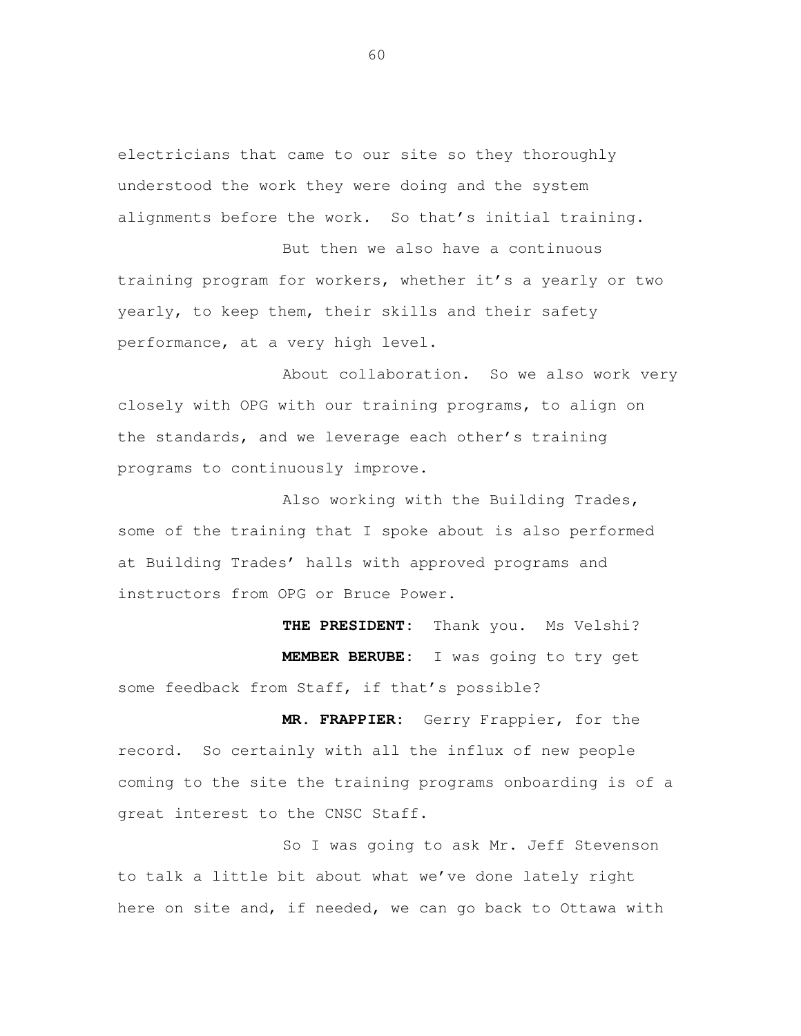electricians that came to our site so they thoroughly understood the work they were doing and the system alignments before the work. So that's initial training.

 But then we also have a continuous training program for workers, whether it's a yearly or two yearly, to keep them, their skills and their safety performance, at a very high level.

 About collaboration. So we also work very closely with OPG with our training programs, to align on the standards, and we leverage each other's training programs to continuously improve.

 Also working with the Building Trades, some of the training that I spoke about is also performed at Building Trades' halls with approved programs and instructors from OPG or Bruce Power.

 **THE PRESIDENT:** Thank you. Ms Velshi? **MEMBER BERUBE:** I was going to try get some feedback from Staff, if that's possible?

 **MR. FRAPPIER:** Gerry Frappier, for the record. So certainly with all the influx of new people coming to the site the training programs onboarding is of a great interest to the CNSC Staff.

 So I was going to ask Mr. Jeff Stevenson to talk a little bit about what we've done lately right here on site and, if needed, we can go back to Ottawa with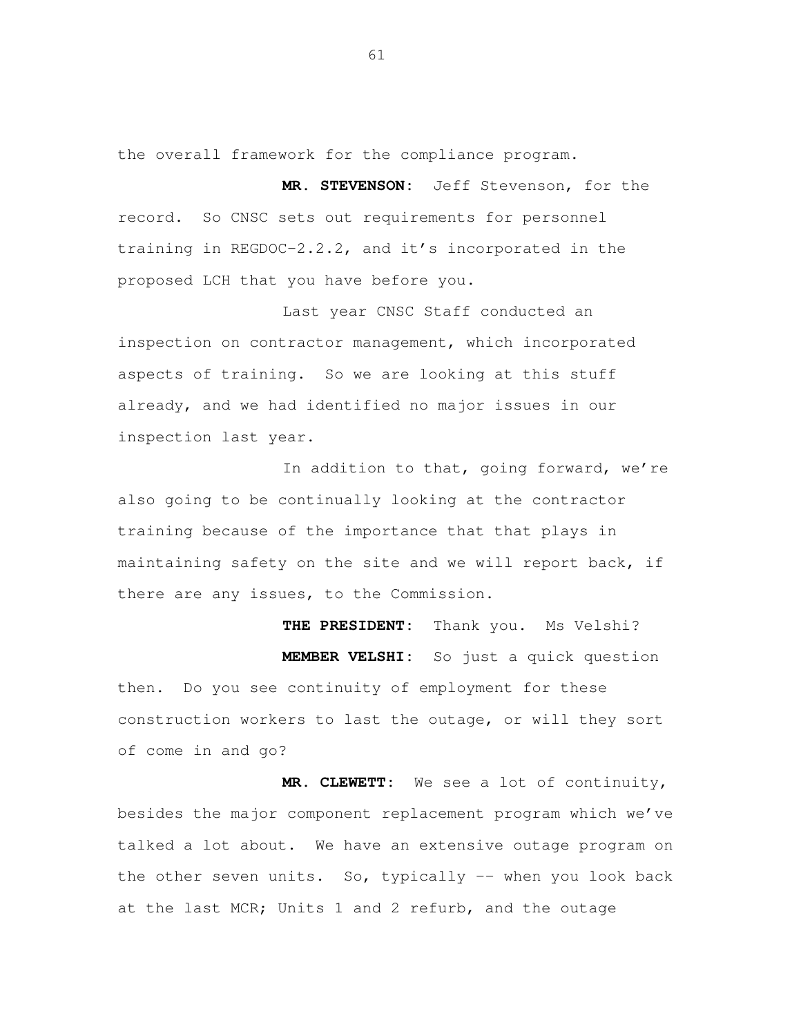the overall framework for the compliance program.

 **MR. STEVENSON:** Jeff Stevenson, for the record. So CNSC sets out requirements for personnel training in REGDOC-2.2.2, and it's incorporated in the proposed LCH that you have before you.

 Last year CNSC Staff conducted an inspection on contractor management, which incorporated aspects of training. So we are looking at this stuff already, and we had identified no major issues in our inspection last year.

In addition to that, going forward, we're also going to be continually looking at the contractor training because of the importance that that plays in maintaining safety on the site and we will report back, if there are any issues, to the Commission.

THE PRESIDENT: **MEMBER VELSHI:** So just a quick question then. Do you see continuity of employment for these construction workers to last the outage, or will they sort of come in and go? Thank you. Ms Velshi?

 **MR. CLEWETT:** We see a lot of continuity, besides the major component replacement program which we've talked a lot about. We have an extensive outage program on the other seven units. So, typically -- when you look back at the last MCR; Units 1 and 2 refurb, and the outage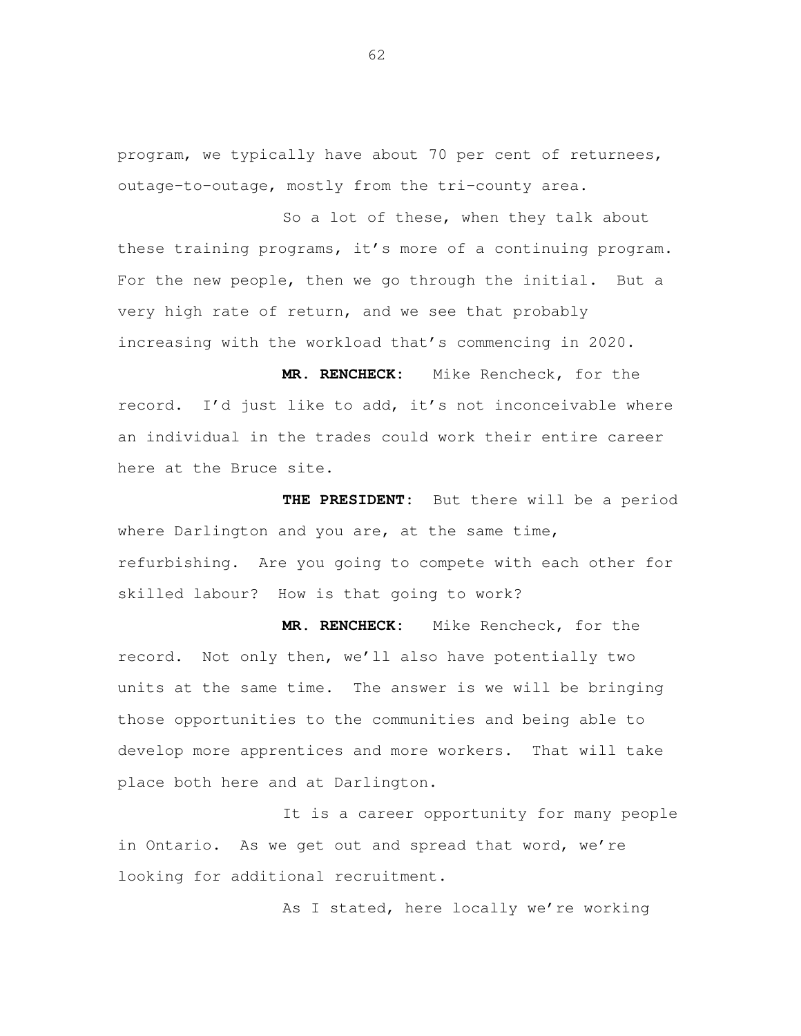program, we typically have about 70 per cent of returnees, outage-to-outage, mostly from the tri-county area.

 So a lot of these, when they talk about these training programs, it's more of a continuing program. For the new people, then we go through the initial. But a very high rate of return, and we see that probably increasing with the workload that's commencing in 2020.

 **MR. RENCHECK:** Mike Rencheck, for the record. I'd just like to add, it's not inconceivable where an individual in the trades could work their entire career here at the Bruce site.

THE PRESIDENT: where Darlington and you are, at the same time, refurbishing. Are you going to compete with each other for skilled labour? How is that going to work? But there will be a period

MR. RENCHECK: record. Not only then, we'll also have potentially two units at the same time. The answer is we will be bringing those opportunities to the communities and being able to develop more apprentices and more workers. That will take place both here and at Darlington. Mike Rencheck, for the

 It is a career opportunity for many people in Ontario. As we get out and spread that word, we're looking for additional recruitment.

As I stated, here locally we're working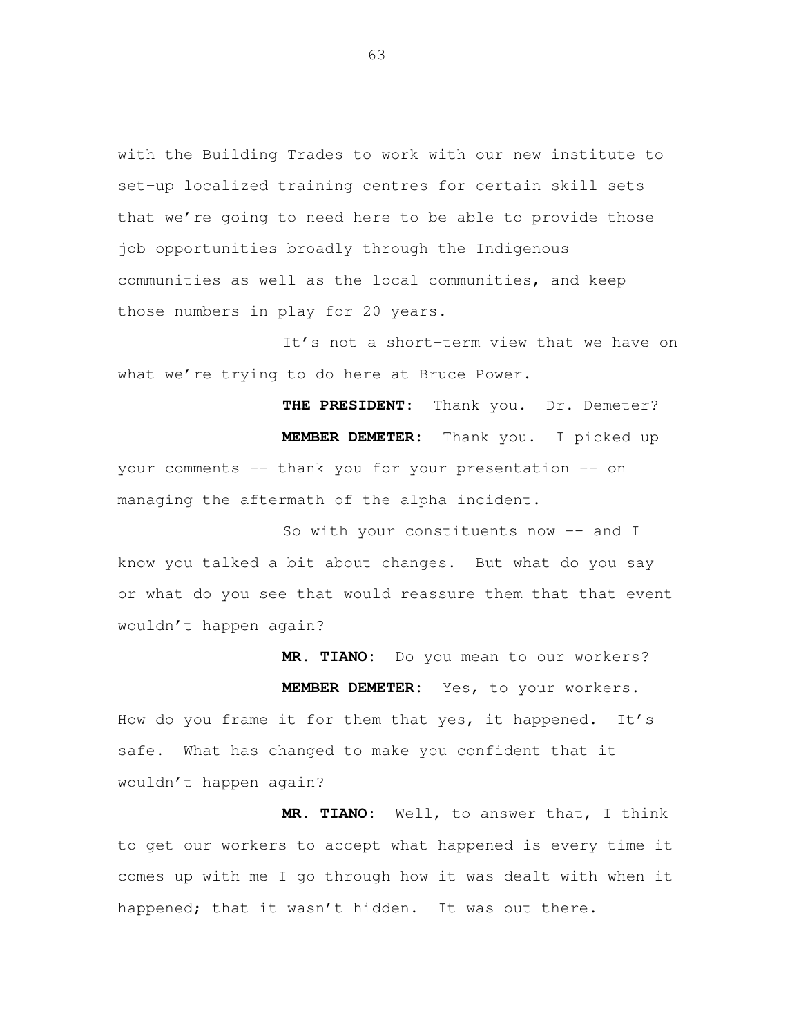with the Building Trades to work with our new institute to set-up localized training centres for certain skill sets that we're going to need here to be able to provide those job opportunities broadly through the Indigenous communities as well as the local communities, and keep those numbers in play for 20 years.

 It's not a short-term view that we have on what we're trying to do here at Bruce Power.

 **THE PRESIDENT:** Thank you. Dr. Demeter? **MEMBER DEMETER:** Thank you. I picked up your comments -- thank you for your presentation -- on managing the aftermath of the alpha incident.

So with your constituents now -- and I know you talked a bit about changes. But what do you say or what do you see that would reassure them that that event wouldn't happen again?

 **MR. TIANO:** Do you mean to our workers? **MEMBER DEMETER:** Yes, to your workers. How do you frame it for them that yes, it happened. It's safe. What has changed to make you confident that it wouldn't happen again?

 **MR. TIANO:** Well, to answer that, I think to get our workers to accept what happened is every time it comes up with me I go through how it was dealt with when it happened; that it wasn't hidden. It was out there.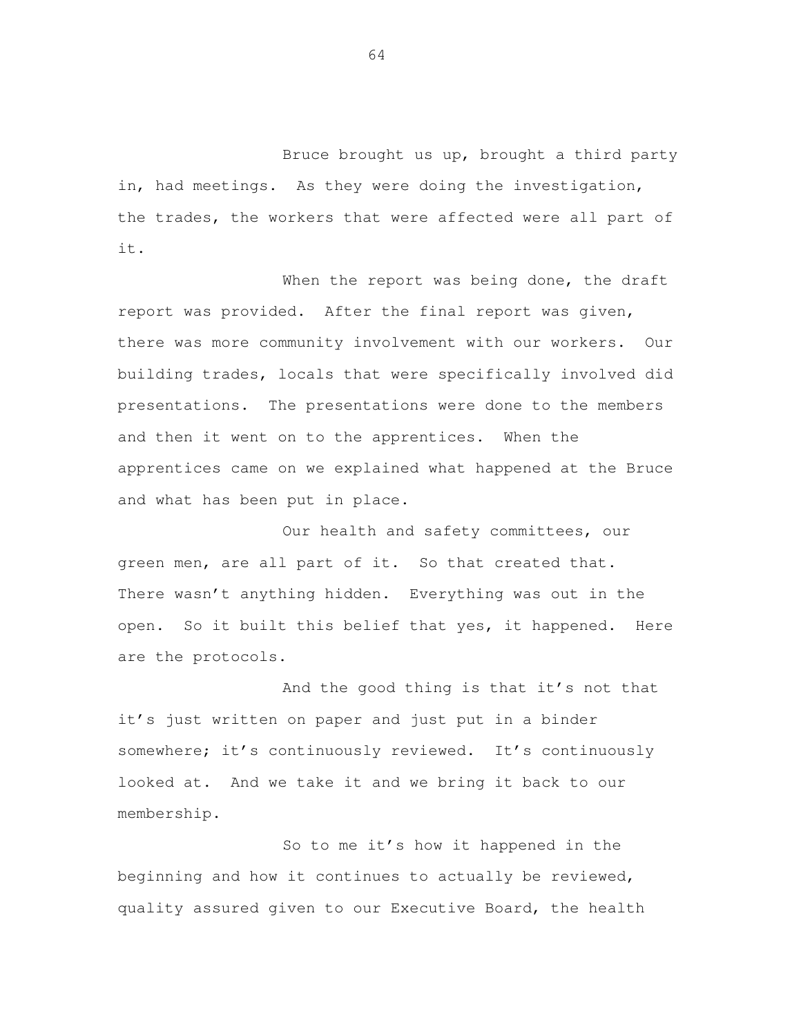Bruce brought us up, brought a third party in, had meetings. As they were doing the investigation, the trades, the workers that were affected were all part of it.

When the report was being done, the draft report was provided. After the final report was given, there was more community involvement with our workers. Our building trades, locals that were specifically involved did presentations. The presentations were done to the members and then it went on to the apprentices. When the apprentices came on we explained what happened at the Bruce and what has been put in place.

 Our health and safety committees, our green men, are all part of it. So that created that. There wasn't anything hidden. Everything was out in the open. So it built this belief that yes, it happened. Here are the protocols.

 And the good thing is that it's not that it's just written on paper and just put in a binder somewhere; it's continuously reviewed. It's continuously looked at. And we take it and we bring it back to our membership.

 So to me it's how it happened in the beginning and how it continues to actually be reviewed, quality assured given to our Executive Board, the health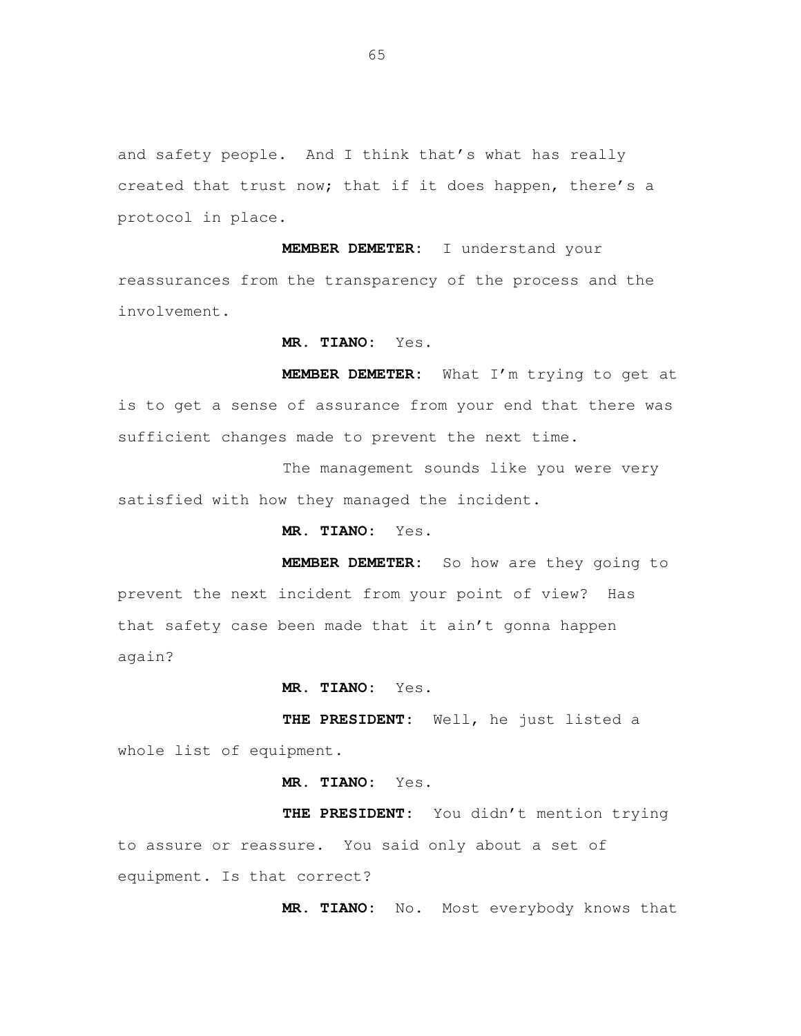and safety people. And I think that's what has really created that trust now; that if it does happen, there's a protocol in place.

 **MEMBER DEMETER:** I understand your reassurances from the transparency of the process and the involvement.

**MR. TIANO:** Yes.

 **MEMBER DEMETER:** What I'm trying to get at is to get a sense of assurance from your end that there was sufficient changes made to prevent the next time.

 The management sounds like you were very satisfied with how they managed the incident.

**MR. TIANO:** Yes.

 **MEMBER DEMETER:** So how are they going to prevent the next incident from your point of view? Has that safety case been made that it ain't gonna happen again?

**MR. TIANO:** Yes.

 **THE PRESIDENT:** Well, he just listed a whole list of equipment.

**MR. TIANO:** Yes.

 **THE PRESIDENT:** You didn't mention trying to assure or reassure. You said only about a set of equipment. Is that correct?

**MR. TIANO:** No. Most everybody knows that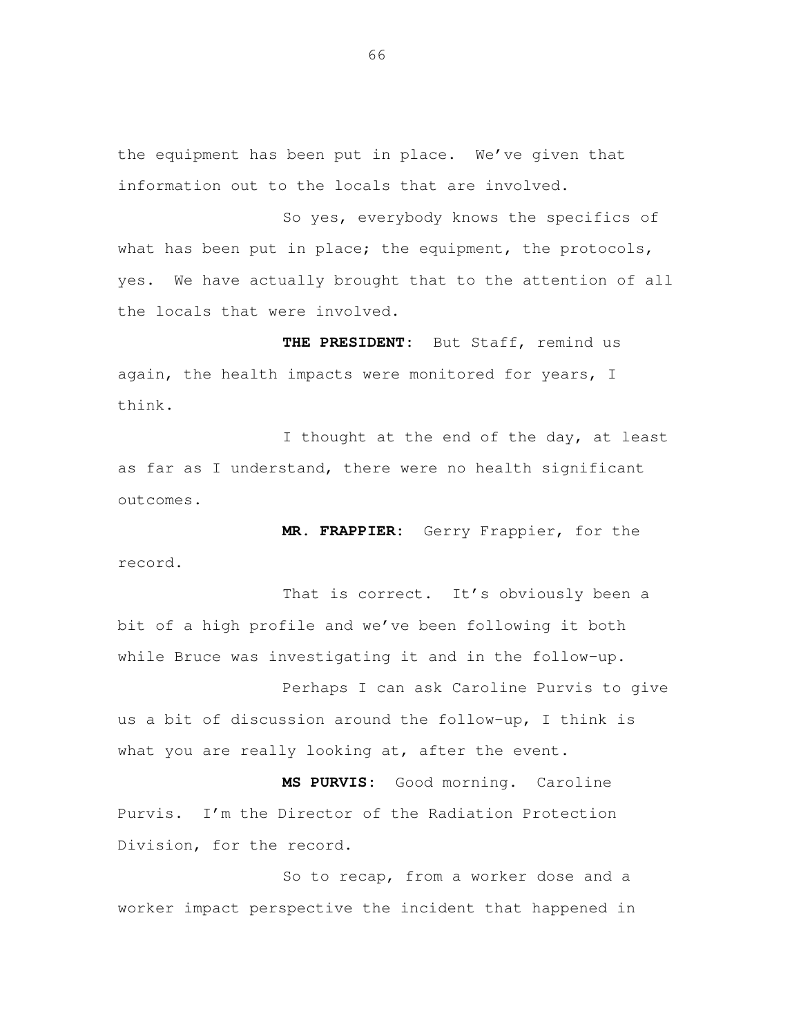the equipment has been put in place. We've given that information out to the locals that are involved.

 So yes, everybody knows the specifics of what has been put in place; the equipment, the protocols, yes. We have actually brought that to the attention of all the locals that were involved.

 **THE PRESIDENT:** But Staff, remind us again, the health impacts were monitored for years, I think.

I thought at the end of the day, at least as far as I understand, there were no health significant outcomes.

 **MR. FRAPPIER:** Gerry Frappier, for the record.

That is correct. It's obviously been a bit of a high profile and we've been following it both while Bruce was investigating it and in the follow-up.

 Perhaps I can ask Caroline Purvis to give us a bit of discussion around the follow-up, I think is what you are really looking at, after the event.

 **MS PURVIS:** Good morning. Caroline Purvis. I'm the Director of the Radiation Protection Division, for the record.

 So to recap, from a worker dose and a worker impact perspective the incident that happened in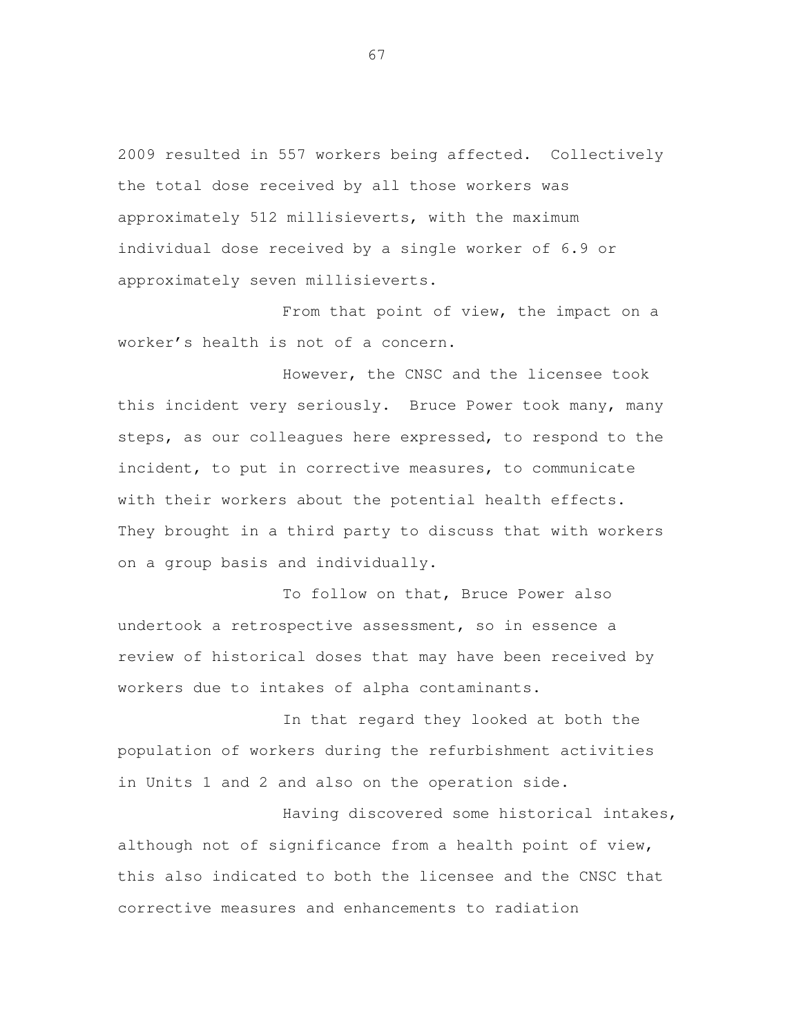2009 resulted in 557 workers being affected. Collectively the total dose received by all those workers was approximately 512 millisieverts, with the maximum individual dose received by a single worker of 6.9 or approximately seven millisieverts.

 From that point of view, the impact on a worker's health is not of a concern.

 However, the CNSC and the licensee took this incident very seriously. Bruce Power took many, many steps, as our colleagues here expressed, to respond to the incident, to put in corrective measures, to communicate with their workers about the potential health effects. They brought in a third party to discuss that with workers on a group basis and individually.

 To follow on that, Bruce Power also undertook a retrospective assessment, so in essence a review of historical doses that may have been received by workers due to intakes of alpha contaminants.

 In that regard they looked at both the population of workers during the refurbishment activities in Units 1 and 2 and also on the operation side.

 Having discovered some historical intakes, although not of significance from a health point of view, this also indicated to both the licensee and the CNSC that corrective measures and enhancements to radiation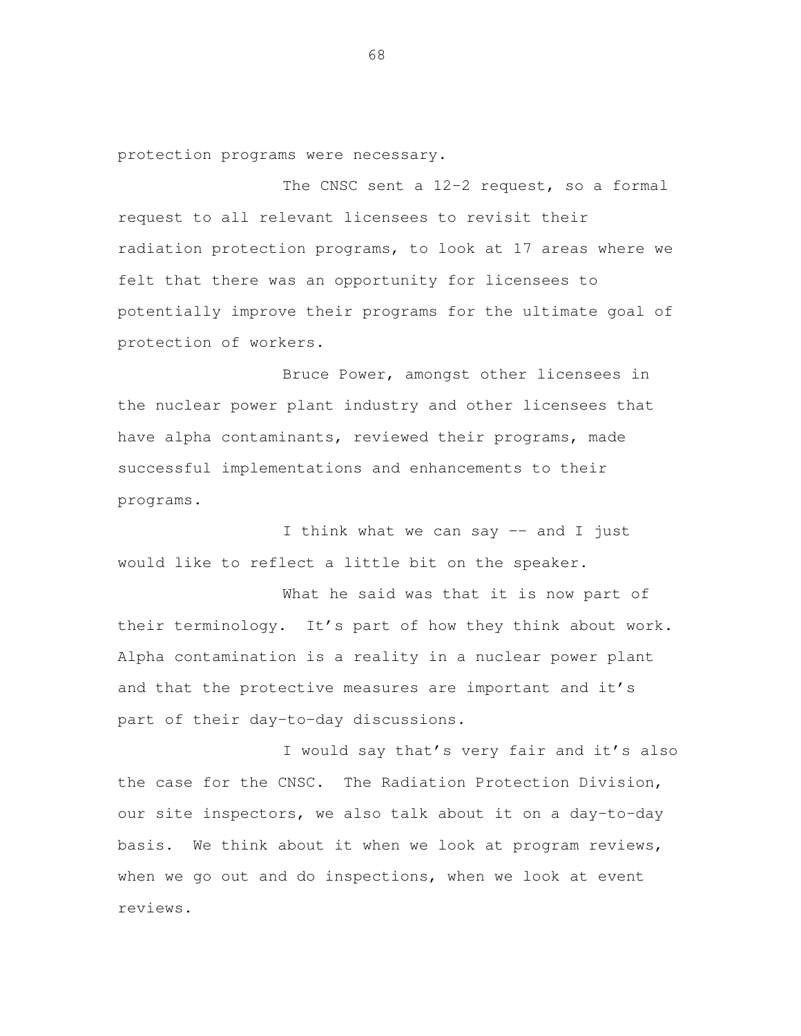protection programs were necessary.

The CNSC sent a 12-2 request, so a formal request to all relevant licensees to revisit their radiation protection programs, to look at 17 areas where we felt that there was an opportunity for licensees to potentially improve their programs for the ultimate goal of protection of workers.

 Bruce Power, amongst other licensees in the nuclear power plant industry and other licensees that have alpha contaminants, reviewed their programs, made successful implementations and enhancements to their programs.

 I think what we can say –- and I just would like to reflect a little bit on the speaker.

 What he said was that it is now part of their terminology. It's part of how they think about work. Alpha contamination is a reality in a nuclear power plant and that the protective measures are important and it's part of their day-to-day discussions.

 I would say that's very fair and it's also the case for the CNSC. The Radiation Protection Division, our site inspectors, we also talk about it on a day-to-day basis. We think about it when we look at program reviews, when we go out and do inspections, when we look at event reviews.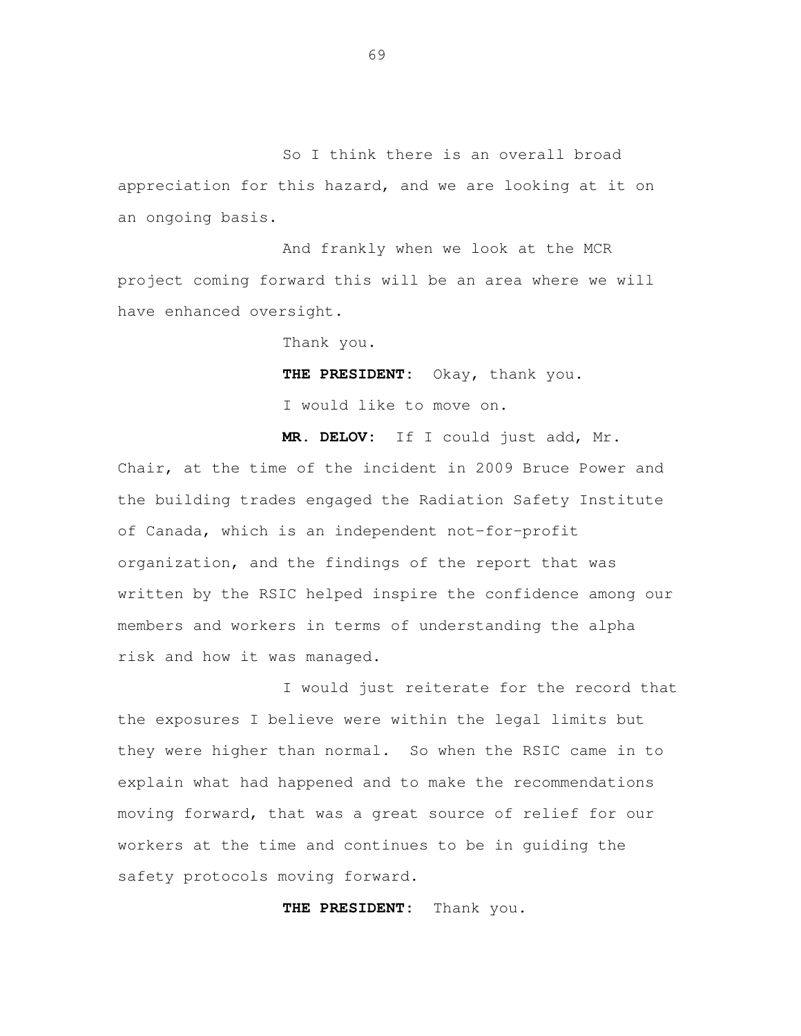So I think there is an overall broad appreciation for this hazard, and we are looking at it on an ongoing basis.

 And frankly when we look at the MCR project coming forward this will be an area where we will have enhanced oversight.

Thank you.

**THE PRESIDENT:** Okay, thank you.

I would like to move on.

 **MR. DELOV:** If I could just add, Mr. Chair, at the time of the incident in 2009 Bruce Power and the building trades engaged the Radiation Safety Institute of Canada, which is an independent not-for-profit organization, and the findings of the report that was written by the RSIC helped inspire the confidence among our members and workers in terms of understanding the alpha risk and how it was managed.

 I would just reiterate for the record that the exposures I believe were within the legal limits but they were higher than normal. So when the RSIC came in to explain what had happened and to make the recommendations moving forward, that was a great source of relief for our workers at the time and continues to be in guiding the safety protocols moving forward.

**THE PRESIDENT:** Thank you.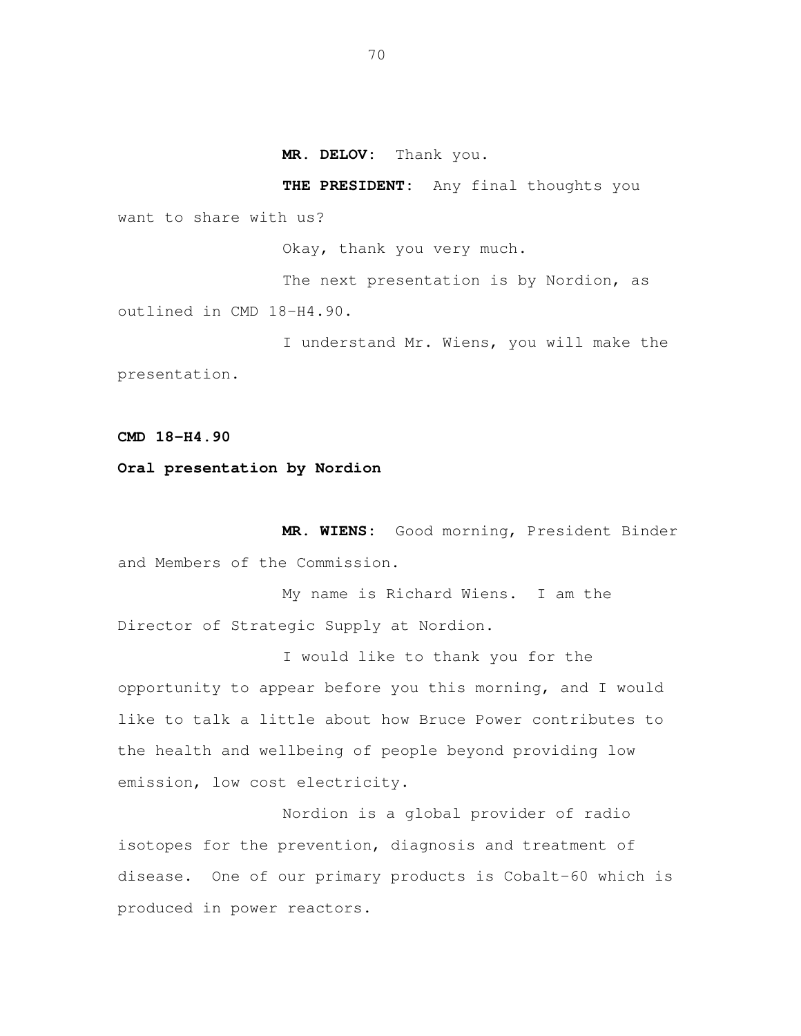**MR. DELOV:** Thank you.

want to share with us?

Okay, thank you very much.

**THE PRESIDENT:** Any final thoughts you

 The next presentation is by Nordion, as outlined in CMD 18-H4.90.

 I understand Mr. Wiens, you will make the presentation.

 **CMD 18-H4.90** 

## **Oral presentation by Nordion**

 **MR. WIENS:** Good morning, President Binder and Members of the Commission.

 My name is Richard Wiens. I am the Director of Strategic Supply at Nordion.

 I would like to thank you for the opportunity to appear before you this morning, and I would like to talk a little about how Bruce Power contributes to the health and wellbeing of people beyond providing low emission, low cost electricity.

 Nordion is a global provider of radio isotopes for the prevention, diagnosis and treatment of disease. One of our primary products is Cobalt-60 which is produced in power reactors.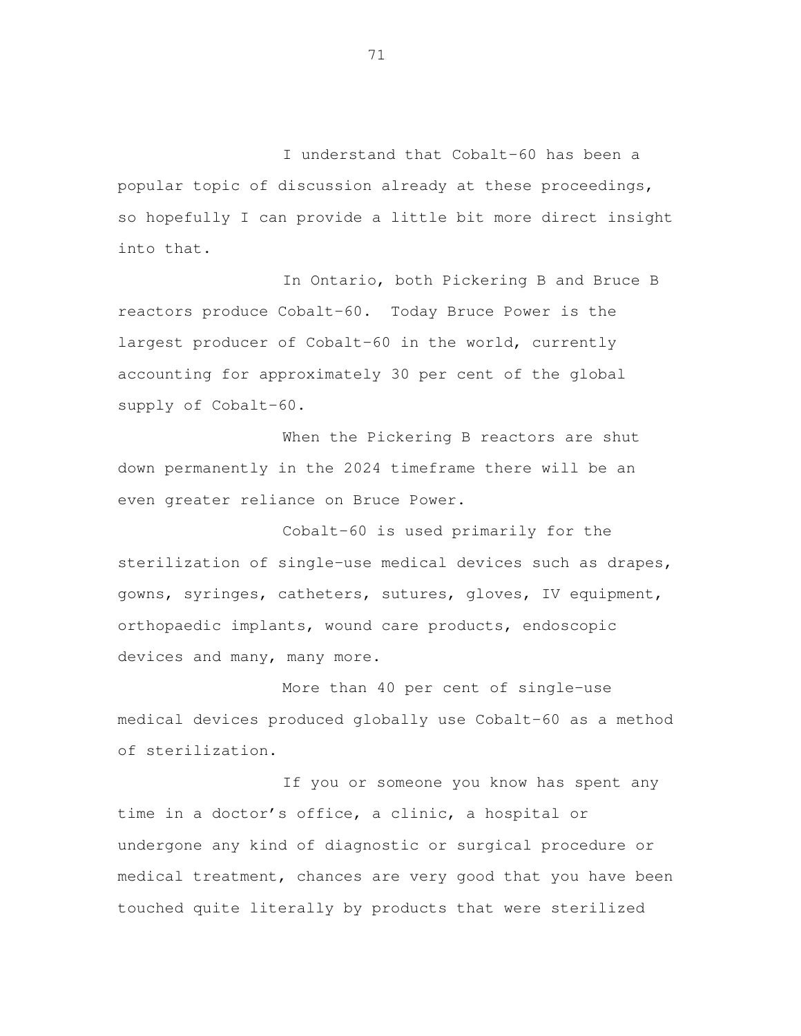I understand that Cobalt-60 has been a popular topic of discussion already at these proceedings, so hopefully I can provide a little bit more direct insight into that.

 In Ontario, both Pickering B and Bruce B reactors produce Cobalt-60. Today Bruce Power is the largest producer of Cobalt-60 in the world, currently accounting for approximately 30 per cent of the global supply of Cobalt-60.

 When the Pickering B reactors are shut down permanently in the 2024 timeframe there will be an even greater reliance on Bruce Power.

 Cobalt-60 is used primarily for the sterilization of single-use medical devices such as drapes, gowns, syringes, catheters, sutures, gloves, IV equipment, orthopaedic implants, wound care products, endoscopic devices and many, many more.

 More than 40 per cent of single-use medical devices produced globally use Cobalt-60 as a method of sterilization.

 If you or someone you know has spent any time in a doctor's office, a clinic, a hospital or undergone any kind of diagnostic or surgical procedure or medical treatment, chances are very good that you have been touched quite literally by products that were sterilized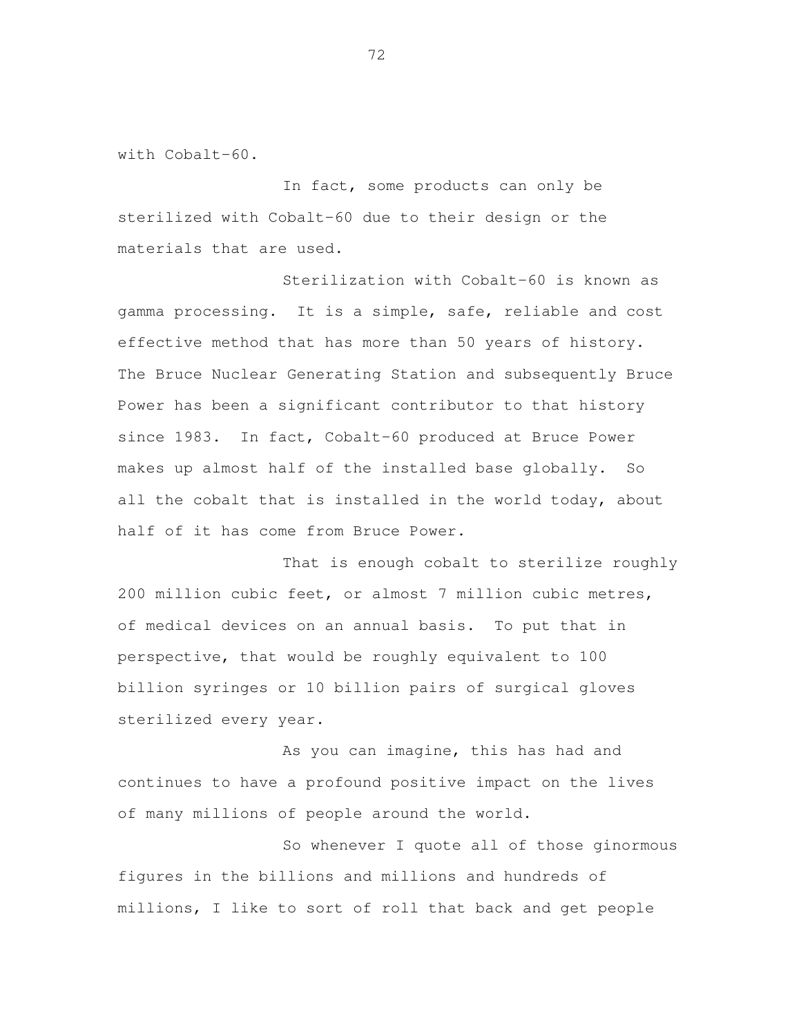with Cobalt-60.

 In fact, some products can only be sterilized with Cobalt-60 due to their design or the materials that are used.

 Sterilization with Cobalt-60 is known as gamma processing. It is a simple, safe, reliable and cost effective method that has more than 50 years of history. The Bruce Nuclear Generating Station and subsequently Bruce Power has been a significant contributor to that history since 1983. In fact, Cobalt-60 produced at Bruce Power makes up almost half of the installed base globally. So all the cobalt that is installed in the world today, about half of it has come from Bruce Power.

 That is enough cobalt to sterilize roughly 200 million cubic feet, or almost 7 million cubic metres, of medical devices on an annual basis. To put that in perspective, that would be roughly equivalent to 100 billion syringes or 10 billion pairs of surgical gloves sterilized every year.

 As you can imagine, this has had and continues to have a profound positive impact on the lives of many millions of people around the world.

 So whenever I quote all of those ginormous figures in the billions and millions and hundreds of millions, I like to sort of roll that back and get people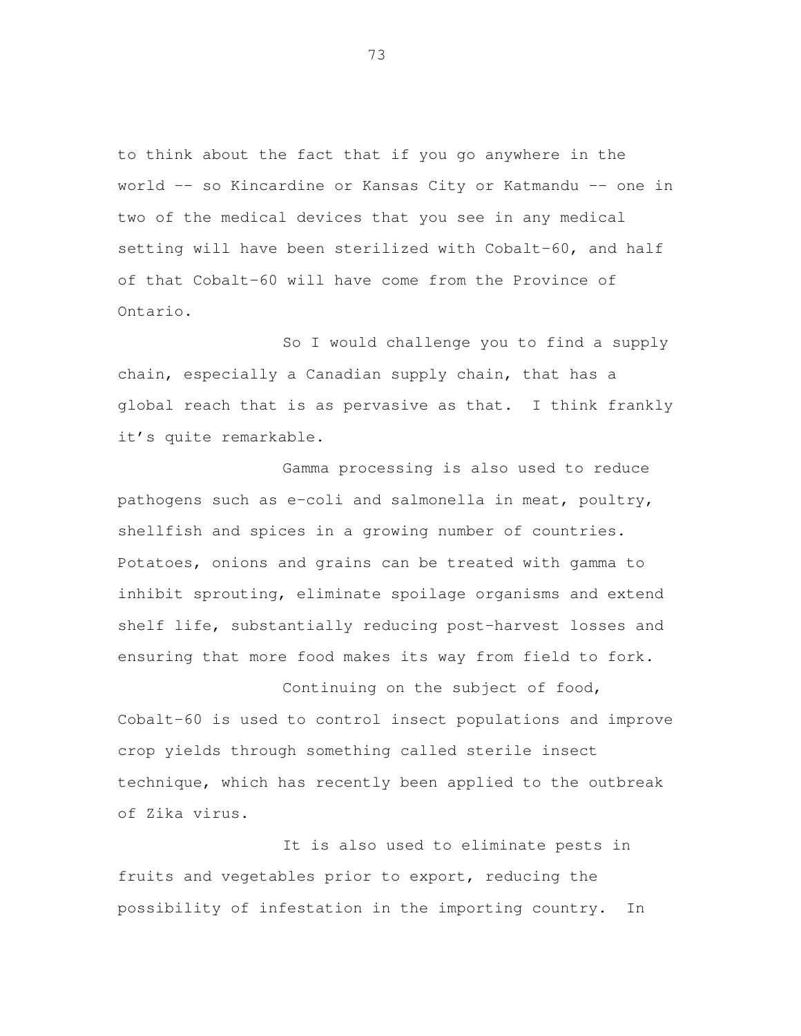to think about the fact that if you go anywhere in the world -– so Kincardine or Kansas City or Katmandu –- one in two of the medical devices that you see in any medical setting will have been sterilized with Cobalt-60, and half of that Cobalt-60 will have come from the Province of Ontario.

 So I would challenge you to find a supply chain, especially a Canadian supply chain, that has a global reach that is as pervasive as that. I think frankly it's quite remarkable.

 Gamma processing is also used to reduce pathogens such as e-coli and salmonella in meat, poultry, shellfish and spices in a growing number of countries. Potatoes, onions and grains can be treated with gamma to inhibit sprouting, eliminate spoilage organisms and extend shelf life, substantially reducing post-harvest losses and ensuring that more food makes its way from field to fork.

 Continuing on the subject of food, Cobalt-60 is used to control insect populations and improve crop yields through something called sterile insect technique, which has recently been applied to the outbreak of Zika virus.

 It is also used to eliminate pests in fruits and vegetables prior to export, reducing the possibility of infestation in the importing country. In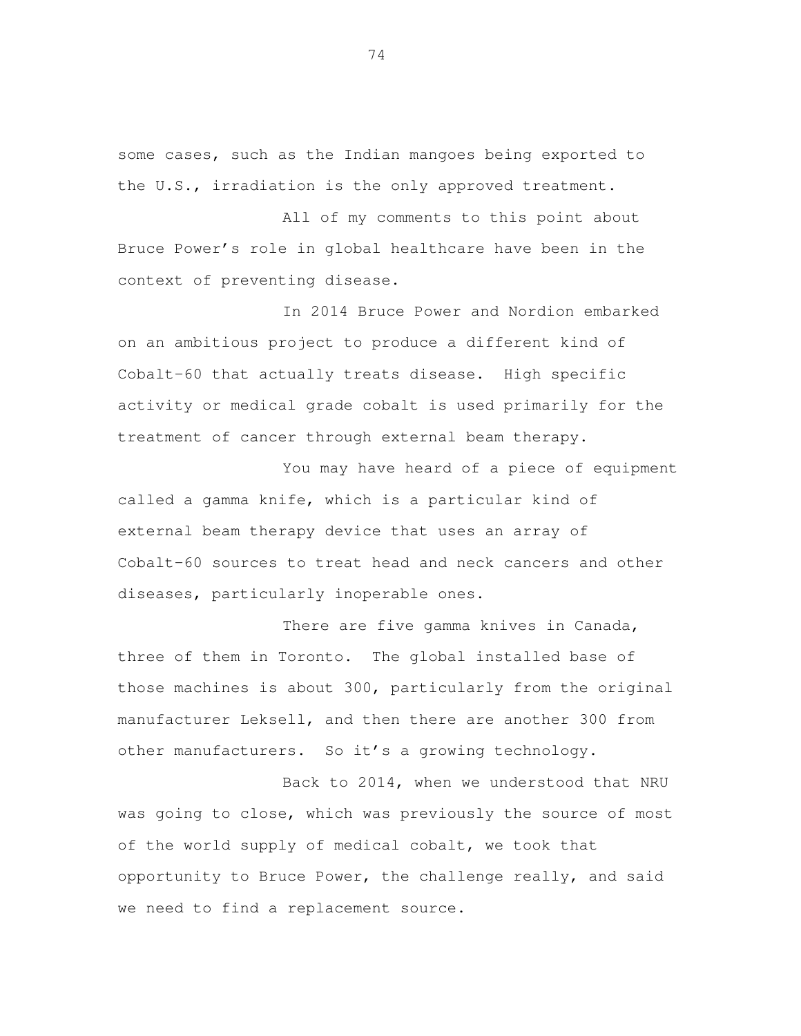some cases, such as the Indian mangoes being exported to the U.S., irradiation is the only approved treatment.

 All of my comments to this point about Bruce Power's role in global healthcare have been in the context of preventing disease.

 In 2014 Bruce Power and Nordion embarked on an ambitious project to produce a different kind of Cobalt-60 that actually treats disease. High specific activity or medical grade cobalt is used primarily for the treatment of cancer through external beam therapy.

 You may have heard of a piece of equipment called a gamma knife, which is a particular kind of external beam therapy device that uses an array of Cobalt-60 sources to treat head and neck cancers and other diseases, particularly inoperable ones.

 There are five gamma knives in Canada, three of them in Toronto. The global installed base of those machines is about 300, particularly from the original manufacturer Leksell, and then there are another 300 from other manufacturers. So it's a growing technology.

 Back to 2014, when we understood that NRU was going to close, which was previously the source of most of the world supply of medical cobalt, we took that opportunity to Bruce Power, the challenge really, and said we need to find a replacement source.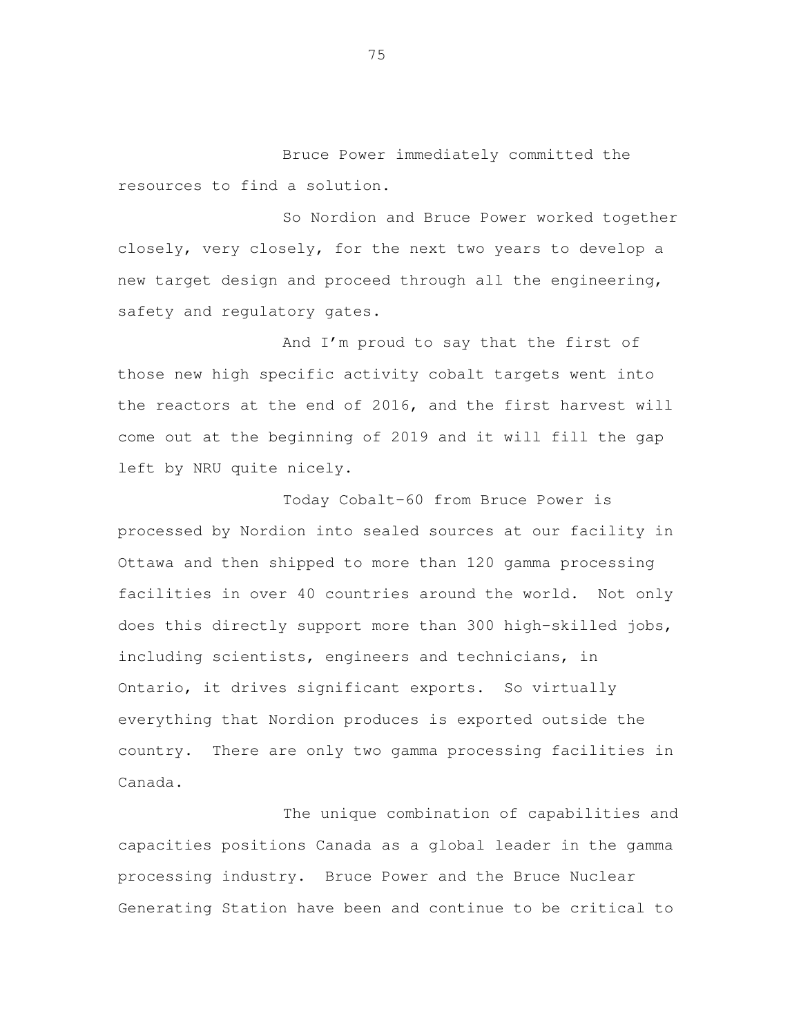Bruce Power immediately committed the resources to find a solution.

So Nordion and Bruce Power worked together closely, very closely, for the next two years to develop a new target design and proceed through all the engineering, safety and regulatory gates.

And I'm proud to say that the first of those new high specific activity cobalt targets went into the reactors at the end of 2016, and the first harvest will come out at the beginning of 2019 and it will fill the gap left by NRU quite nicely.

Today Cobalt-60 from Bruce Power is processed by Nordion into sealed sources at our facility in Ottawa and then shipped to more than 120 gamma processing facilities in over 40 countries around the world. Not only does this directly support more than 300 high-skilled jobs, including scientists, engineers and technicians, in Ontario, it drives significant exports. So virtually everything that Nordion produces is exported outside the country. There are only two gamma processing facilities in Canada.

The unique combination of capabilities and capacities positions Canada as a global leader in the gamma processing industry. Bruce Power and the Bruce Nuclear Generating Station have been and continue to be critical to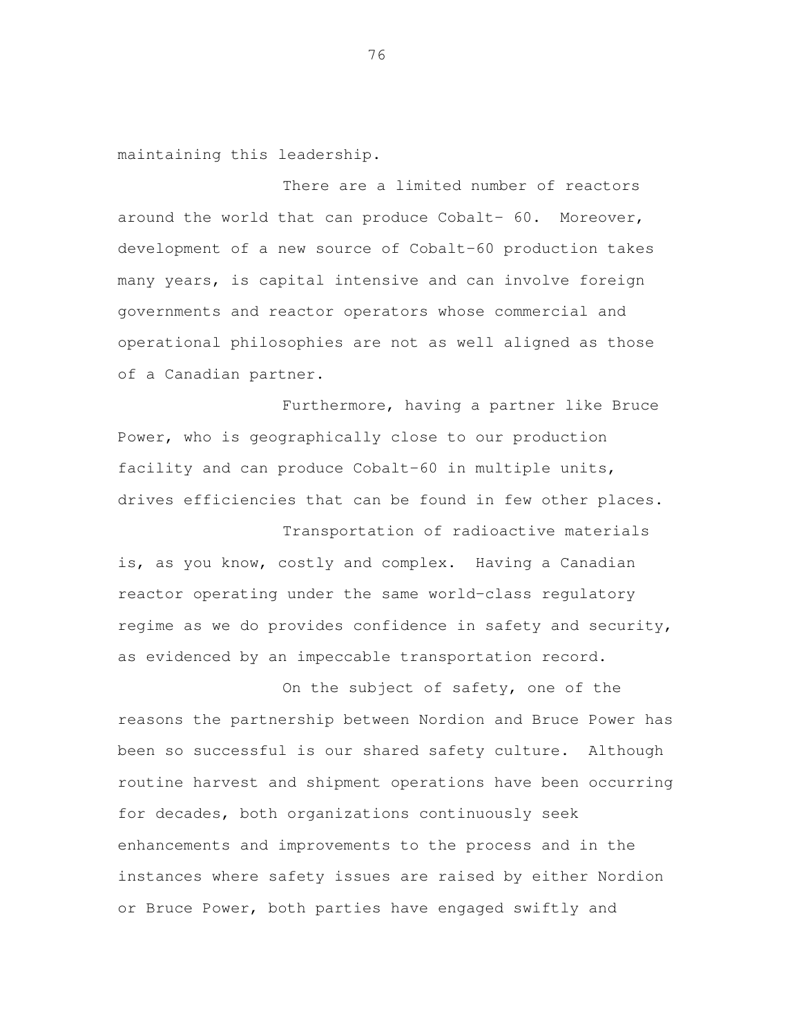maintaining this leadership.

 There are a limited number of reactors around the world that can produce Cobalt- 60. Moreover, development of a new source of Cobalt-60 production takes many years, is capital intensive and can involve foreign governments and reactor operators whose commercial and operational philosophies are not as well aligned as those of a Canadian partner.

 Furthermore, having a partner like Bruce Power, who is geographically close to our production facility and can produce Cobalt-60 in multiple units, drives efficiencies that can be found in few other places.

 Transportation of radioactive materials is, as you know, costly and complex. Having a Canadian reactor operating under the same world-class regulatory regime as we do provides confidence in safety and security, as evidenced by an impeccable transportation record.

 On the subject of safety, one of the reasons the partnership between Nordion and Bruce Power has been so successful is our shared safety culture. Although routine harvest and shipment operations have been occurring for decades, both organizations continuously seek enhancements and improvements to the process and in the instances where safety issues are raised by either Nordion or Bruce Power, both parties have engaged swiftly and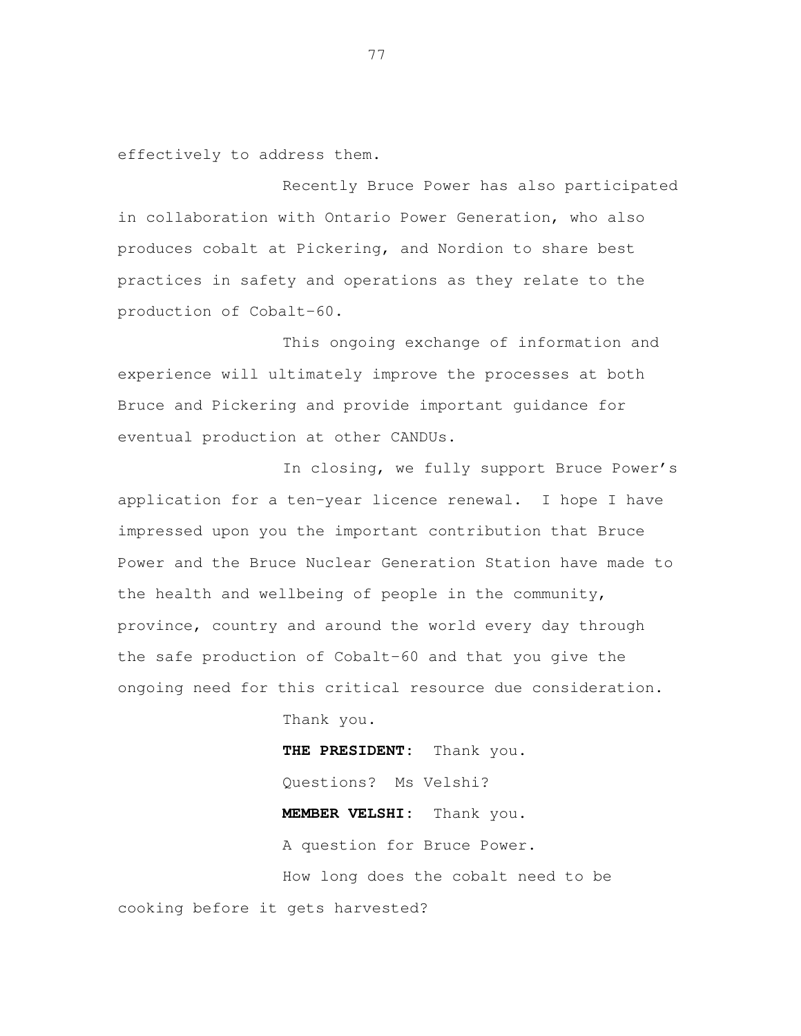effectively to address them.

 Recently Bruce Power has also participated in collaboration with Ontario Power Generation, who also produces cobalt at Pickering, and Nordion to share best practices in safety and operations as they relate to the production of Cobalt-60.

 This ongoing exchange of information and experience will ultimately improve the processes at both Bruce and Pickering and provide important guidance for eventual production at other CANDUs.

 In closing, we fully support Bruce Power's application for a ten-year licence renewal. I hope I have impressed upon you the important contribution that Bruce Power and the Bruce Nuclear Generation Station have made to the health and wellbeing of people in the community, province, country and around the world every day through the safe production of Cobalt-60 and that you give the ongoing need for this critical resource due consideration.

Thank you.

 **THE PRESIDENT:** Thank you. Questions? Ms Velshi? **MEMBER VELSHI:** Thank you. A question for Bruce Power. How long does the cobalt need to be cooking before it gets harvested?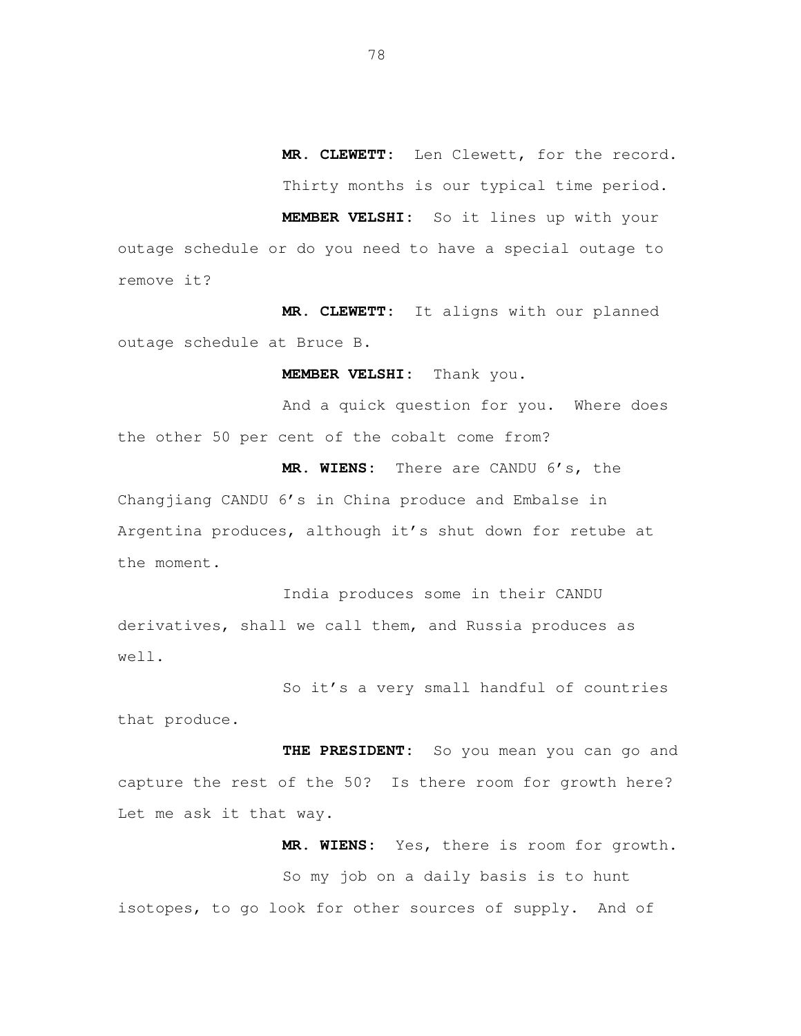**MR. CLEWETT:** Len Clewett, for the record. Thirty months is our typical time period.

 **MEMBER VELSHI:** So it lines up with your outage schedule or do you need to have a special outage to remove it?

 **MR. CLEWETT:** It aligns with our planned outage schedule at Bruce B.

**MEMBER VELSHI:** Thank you.

 And a quick question for you. Where does the other 50 per cent of the cobalt come from?

 **MR. WIENS:** There are CANDU 6's, the Changjiang CANDU 6's in China produce and Embalse in Argentina produces, although it's shut down for retube at the moment.

 India produces some in their CANDU derivatives, shall we call them, and Russia produces as well.

 So it's a very small handful of countries that produce.

 **THE PRESIDENT:** So you mean you can go and capture the rest of the 50? Is there room for growth here? Let me ask it that way.

 **MR. WIENS:** Yes, there is room for growth. So my job on a daily basis is to hunt isotopes, to go look for other sources of supply. And of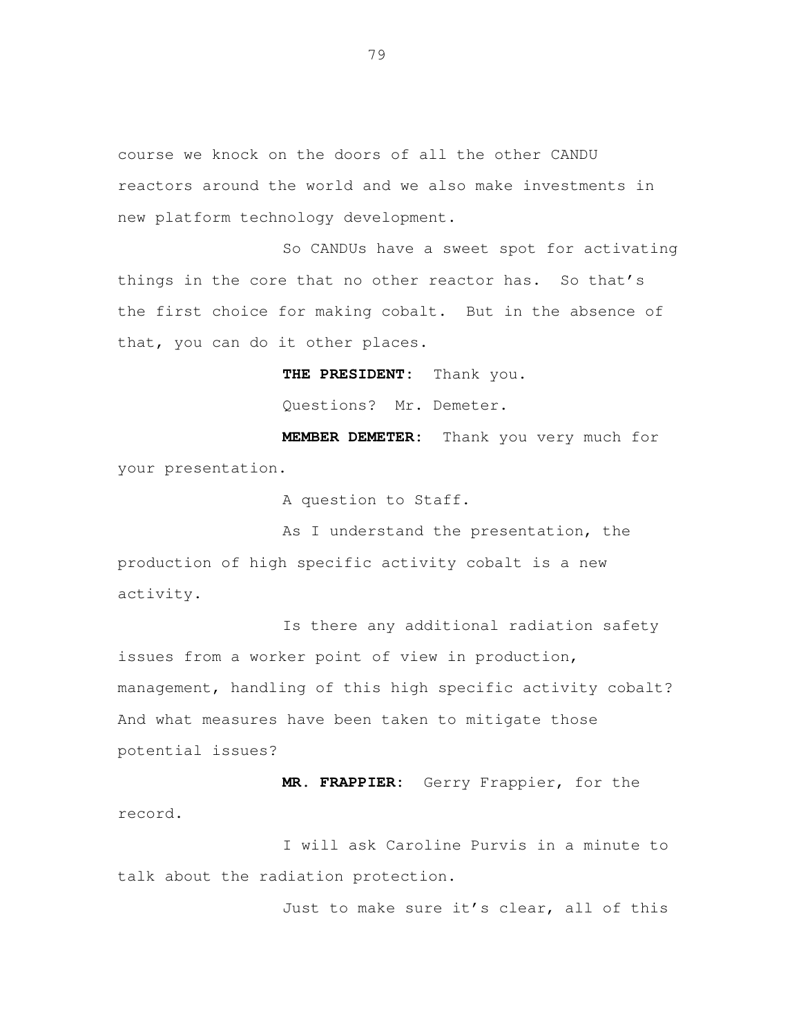course we knock on the doors of all the other CANDU reactors around the world and we also make investments in new platform technology development.

 So CANDUs have a sweet spot for activating things in the core that no other reactor has. So that's the first choice for making cobalt. But in the absence of that, you can do it other places.

**THE PRESIDENT:** Thank you.

Questions? Mr. Demeter.

 **MEMBER DEMETER:** Thank you very much for your presentation.

A question to Staff.

As I understand the presentation, the production of high specific activity cobalt is a new activity.

 Is there any additional radiation safety issues from a worker point of view in production, management, handling of this high specific activity cobalt? And what measures have been taken to mitigate those potential issues?

 **MR. FRAPPIER:** Gerry Frappier, for the record.

 I will ask Caroline Purvis in a minute to talk about the radiation protection.

Just to make sure it's clear, all of this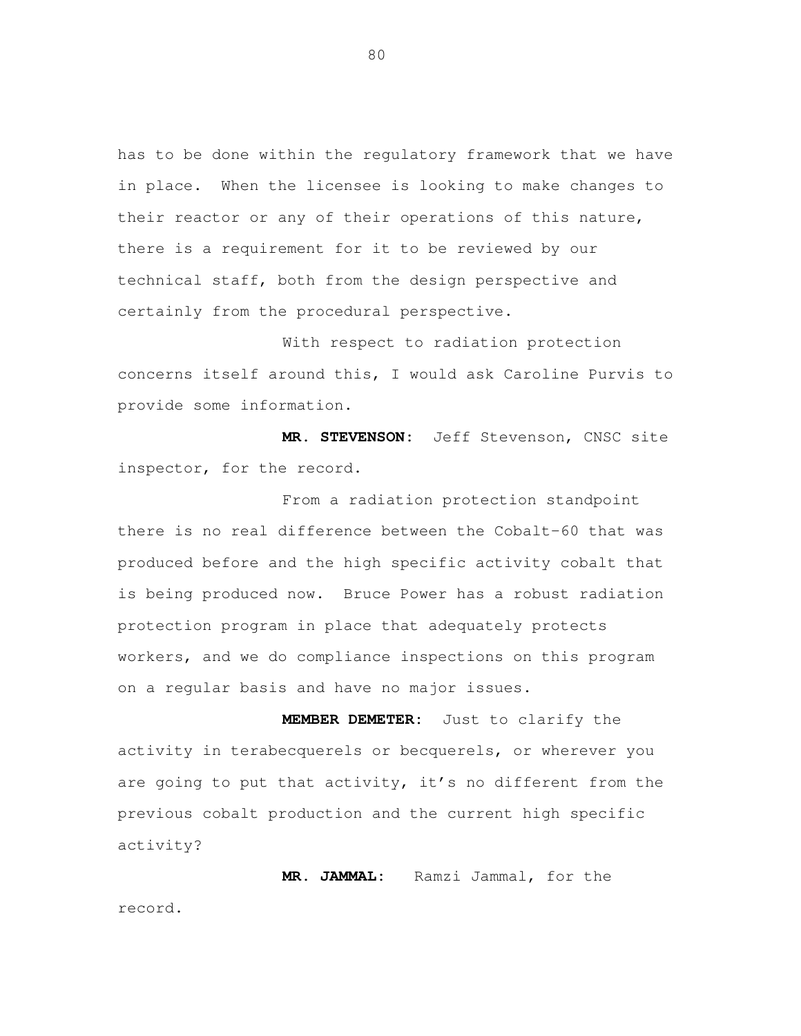has to be done within the regulatory framework that we have in place. When the licensee is looking to make changes to their reactor or any of their operations of this nature, there is a requirement for it to be reviewed by our technical staff, both from the design perspective and certainly from the procedural perspective.

 With respect to radiation protection concerns itself around this, I would ask Caroline Purvis to provide some information.

 **MR. STEVENSON:** Jeff Stevenson, CNSC site inspector, for the record.

 From a radiation protection standpoint there is no real difference between the Cobalt-60 that was produced before and the high specific activity cobalt that is being produced now. Bruce Power has a robust radiation protection program in place that adequately protects workers, and we do compliance inspections on this program on a regular basis and have no major issues.

 **MEMBER DEMETER:** Just to clarify the activity in terabecquerels or becquerels, or wherever you are going to put that activity, it's no different from the previous cobalt production and the current high specific activity?

 **MR. JAMMAL:** Ramzi Jammal, for the record.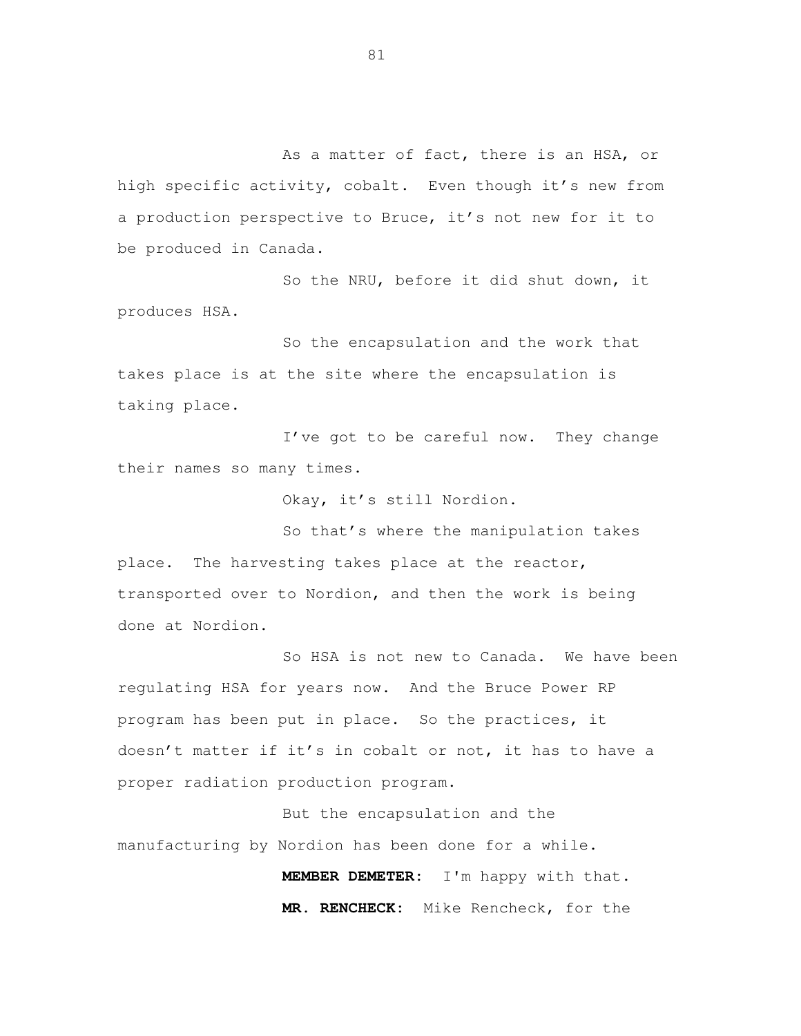As a matter of fact, there is an HSA, or high specific activity, cobalt. Even though it's new from a production perspective to Bruce, it's not new for it to be produced in Canada.

 So the NRU, before it did shut down, it produces HSA.

 So the encapsulation and the work that takes place is at the site where the encapsulation is taking place.

 I've got to be careful now. They change their names so many times.

Okay, it's still Nordion.

 So that's where the manipulation takes place. The harvesting takes place at the reactor, transported over to Nordion, and then the work is being done at Nordion.

 So HSA is not new to Canada. We have been regulating HSA for years now. And the Bruce Power RP program has been put in place. So the practices, it doesn't matter if it's in cobalt or not, it has to have a proper radiation production program.

 But the encapsulation and the manufacturing by Nordion has been done for a while.

> **MEMBER DEMETER:** I'm happy with that. **MR. RENCHECK:** Mike Rencheck, for the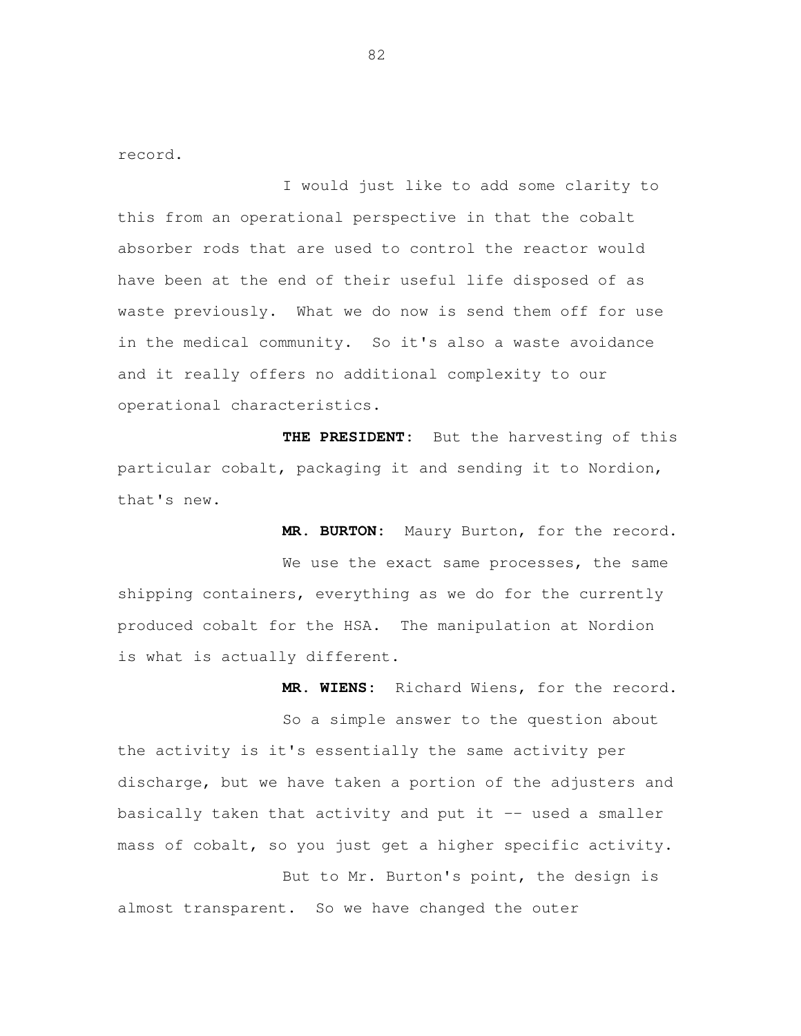record.<br>I would just like to add some clarity to this from an operational perspective in that the cobalt absorber rods that are used to control the reactor would have been at the end of their useful life disposed of as waste previously. What we do now is send them off for use in the medical community. So it's also a waste avoidance and it really offers no additional complexity to our operational characteristics.

 **THE PRESIDENT:** But the harvesting of this particular cobalt, packaging it and sending it to Nordion, that's new.

**MR. BURTON:** Maury Burton, for the record.

We use the exact same processes, the same shipping containers, everything as we do for the currently produced cobalt for the HSA. The manipulation at Nordion is what is actually different.

**MR. WIENS:** Richard Wiens, for the record.

 So a simple answer to the question about the activity is it's essentially the same activity per discharge, but we have taken a portion of the adjusters and basically taken that activity and put it -- used a smaller mass of cobalt, so you just get a higher specific activity.

 But to Mr. Burton's point, the design is almost transparent. So we have changed the outer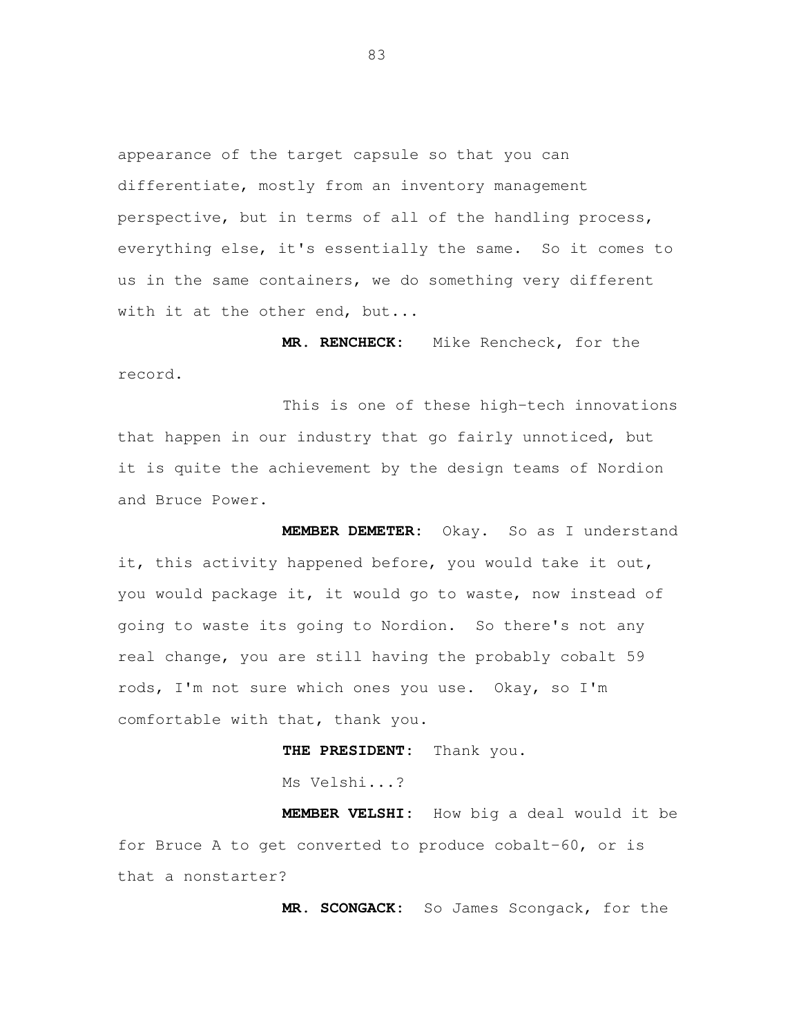appearance of the target capsule so that you can differentiate, mostly from an inventory management perspective, but in terms of all of the handling process, everything else, it's essentially the same. So it comes to us in the same containers, we do something very different with it at the other end, but...

**MR. RENCHECK:** Mike Rencheck, for the

record.<br>This is one of these high-tech innovations that happen in our industry that go fairly unnoticed, but it is quite the achievement by the design teams of Nordion and Bruce Power.

 **MEMBER DEMETER:** Okay. So as I understand it, this activity happened before, you would take it out, you would package it, it would go to waste, now instead of going to waste its going to Nordion. So there's not any real change, you are still having the probably cobalt 59 rods, I'm not sure which ones you use. Okay, so I'm comfortable with that, thank you.

**THE PRESIDENT:** Thank you.

Ms Velshi...?

 **MEMBER VELSHI:** How big a deal would it be for Bruce A to get converted to produce cobalt-60, or is that a nonstarter?

**MR. SCONGACK:** So James Scongack, for the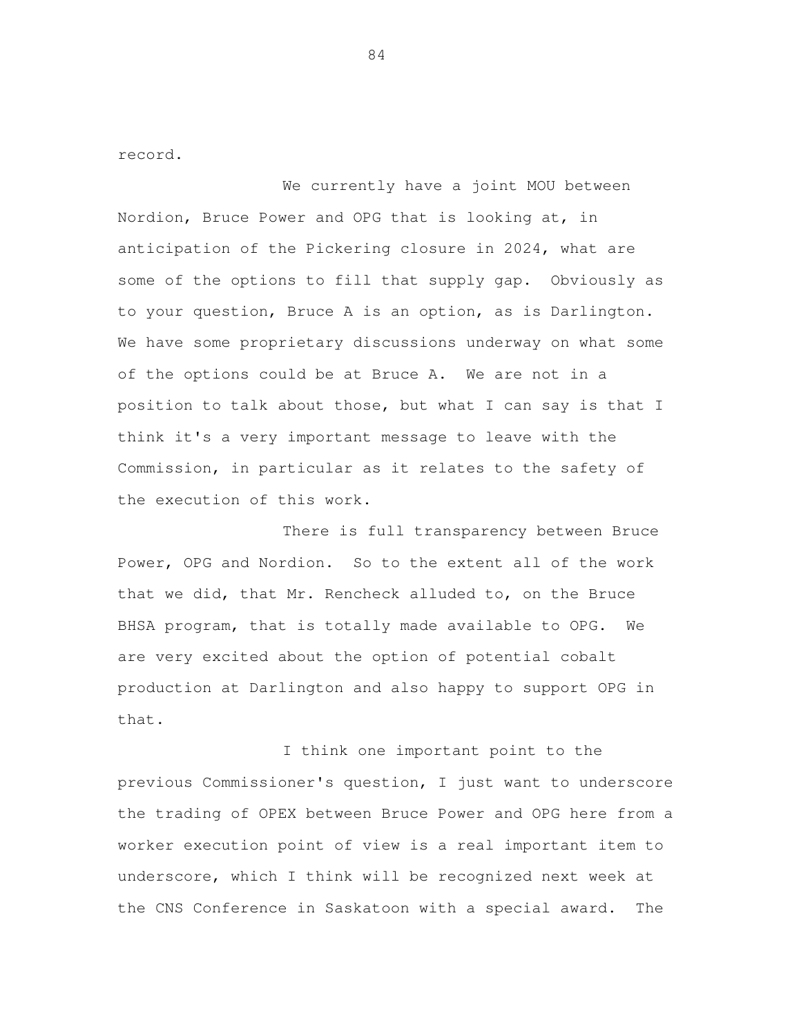record.<br>We currently have a joint MOU between Nordion, Bruce Power and OPG that is looking at, in anticipation of the Pickering closure in 2024, what are some of the options to fill that supply gap. Obviously as to your question, Bruce A is an option, as is Darlington. We have some proprietary discussions underway on what some of the options could be at Bruce A. We are not in a position to talk about those, but what I can say is that I think it's a very important message to leave with the Commission, in particular as it relates to the safety of the execution of this work.

 There is full transparency between Bruce Power, OPG and Nordion. So to the extent all of the work that we did, that Mr. Rencheck alluded to, on the Bruce BHSA program, that is totally made available to OPG. We are very excited about the option of potential cobalt production at Darlington and also happy to support OPG in that.<br>I think one important point to the

 previous Commissioner's question, I just want to underscore the trading of OPEX between Bruce Power and OPG here from a worker execution point of view is a real important item to underscore, which I think will be recognized next week at the CNS Conference in Saskatoon with a special award. The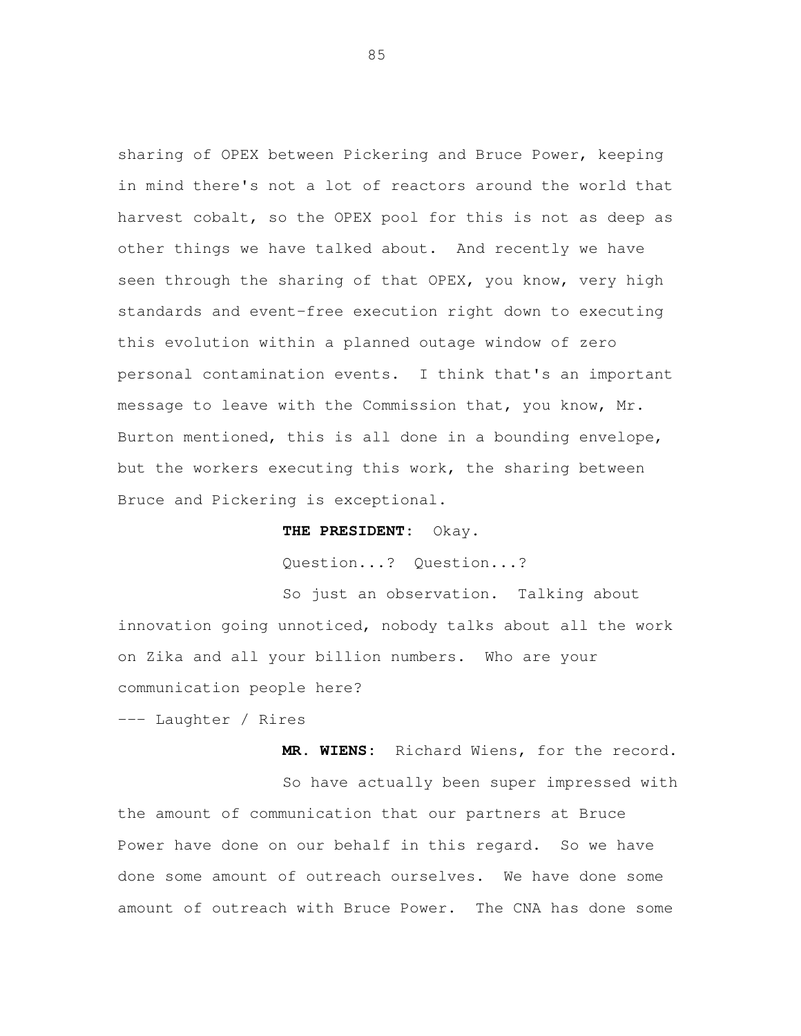sharing of OPEX between Pickering and Bruce Power, keeping in mind there's not a lot of reactors around the world that harvest cobalt, so the OPEX pool for this is not as deep as other things we have talked about. And recently we have seen through the sharing of that OPEX, you know, very high standards and event-free execution right down to executing this evolution within a planned outage window of zero personal contamination events. I think that's an important message to leave with the Commission that, you know, Mr. Burton mentioned, this is all done in a bounding envelope, but the workers executing this work, the sharing between Bruce and Pickering is exceptional.

## **THE PRESIDENT:** Okay.

Question...? Question...?

 So just an observation. Talking about innovation going unnoticed, nobody talks about all the work on Zika and all your billion numbers. Who are your communication people here?

--- Laughter / Rires

**MR. WIENS:** Richard Wiens, for the record.

 So have actually been super impressed with the amount of communication that our partners at Bruce Power have done on our behalf in this regard. So we have done some amount of outreach ourselves. We have done some amount of outreach with Bruce Power. The CNA has done some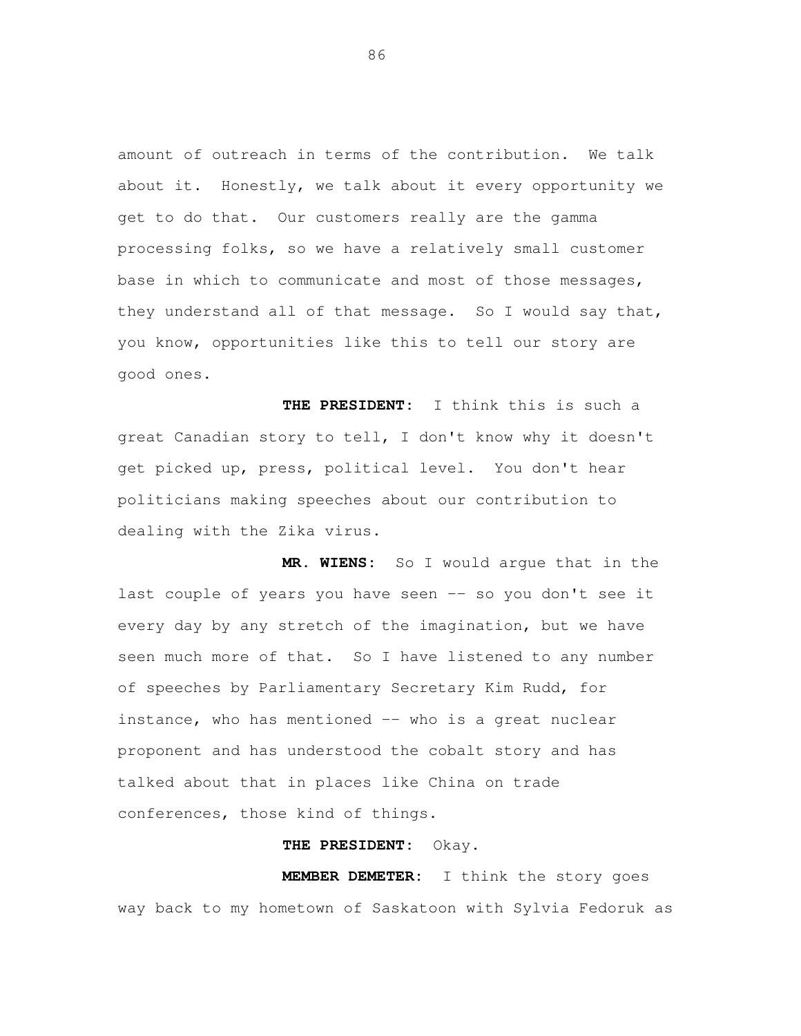amount of outreach in terms of the contribution. We talk about it. Honestly, we talk about it every opportunity we get to do that. Our customers really are the gamma processing folks, so we have a relatively small customer base in which to communicate and most of those messages, they understand all of that message. So I would say that, you know, opportunities like this to tell our story are good ones.

 **THE PRESIDENT:** I think this is such a great Canadian story to tell, I don't know why it doesn't get picked up, press, political level. You don't hear politicians making speeches about our contribution to dealing with the Zika virus.

 **MR. WIENS:** So I would argue that in the last couple of years you have seen -- so you don't see it every day by any stretch of the imagination, but we have seen much more of that. So I have listened to any number of speeches by Parliamentary Secretary Kim Rudd, for instance, who has mentioned -- who is a great nuclear proponent and has understood the cobalt story and has talked about that in places like China on trade conferences, those kind of things.

## **THE PRESIDENT:** Okay.

 **MEMBER DEMETER:** I think the story goes way back to my hometown of Saskatoon with Sylvia Fedoruk as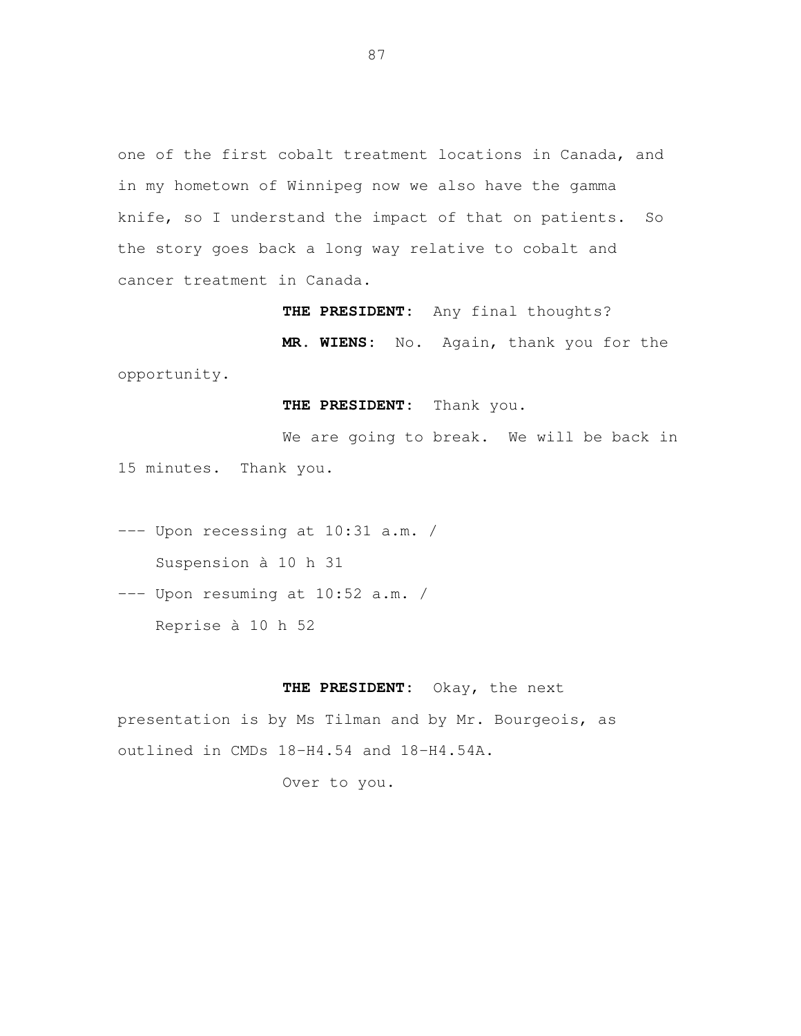one of the first cobalt treatment locations in Canada, and in my hometown of Winnipeg now we also have the gamma knife, so I understand the impact of that on patients. So the story goes back a long way relative to cobalt and cancer treatment in Canada.

**THE PRESIDENT:** Any final thoughts?

 **MR. WIENS:** No. Again, thank you for the opportunity.

## **THE PRESIDENT:** Thank you.

 We are going to break. We will be back in 15 minutes. Thank you.

 --- Upon recessing at 10:31 a.m. / Suspension à 10 h 31

 --- Upon resuming at 10:52 a.m. / Reprise à 10 h 52

## **THE PRESIDENT:** Okay, the next

 presentation is by Ms Tilman and by Mr. Bourgeois, as outlined in CMDs 18-H4.54 and 18-H4.54A.

Over to you.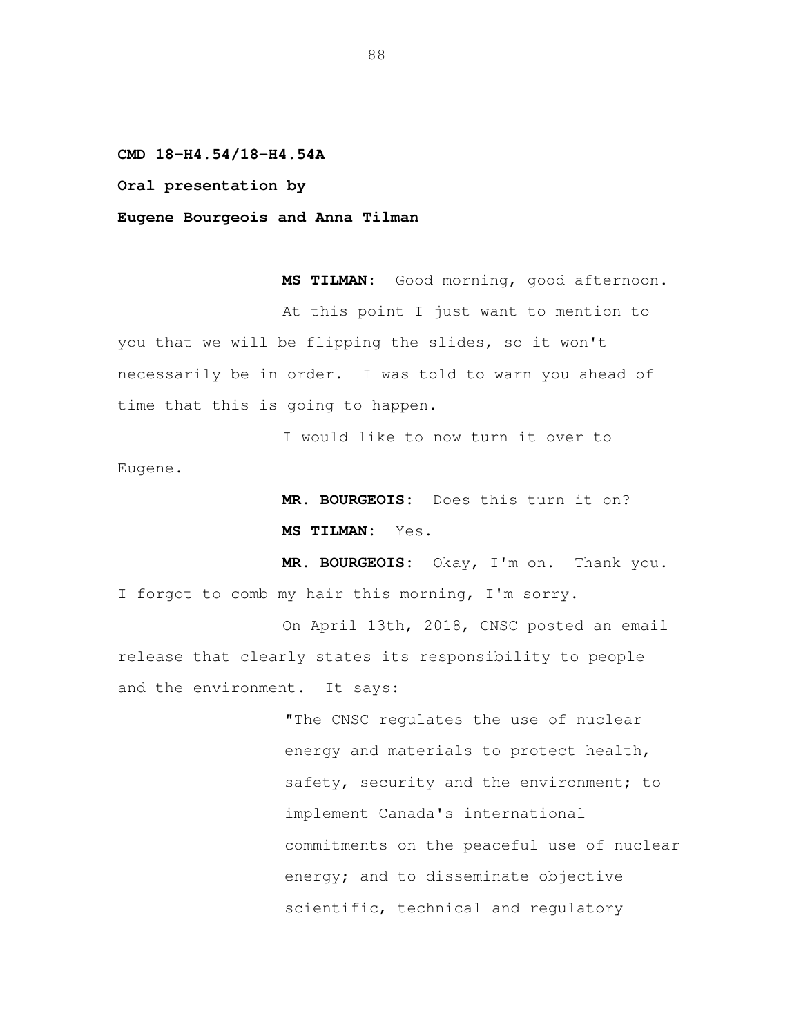**CMD 18-H4.54/18-H4.54A** 

 **Oral presentation by** 

 **Eugene Bourgeois and Anna Tilman** 

MS TILMAN: At this point I just want to mention to you that we will be flipping the slides, so it won't necessarily be in order. I was told to warn you ahead of time that this is going to happen. Good morning, good afternoon.

 I would like to now turn it over to Eugene.

> **MR. BOURGEOIS:** Does this turn it on? **MS TILMAN:** Yes.

 **MR. BOURGEOIS:** Okay, I'm on. Thank you. I forgot to comb my hair this morning, I'm sorry.

 On April 13th, 2018, CNSC posted an email release that clearly states its responsibility to people and the environment. It says:

> "The CNSC regulates the use of nuclear energy and materials to protect health, safety, security and the environment; to implement Canada's international commitments on the peaceful use of nuclear energy; and to disseminate objective scientific, technical and regulatory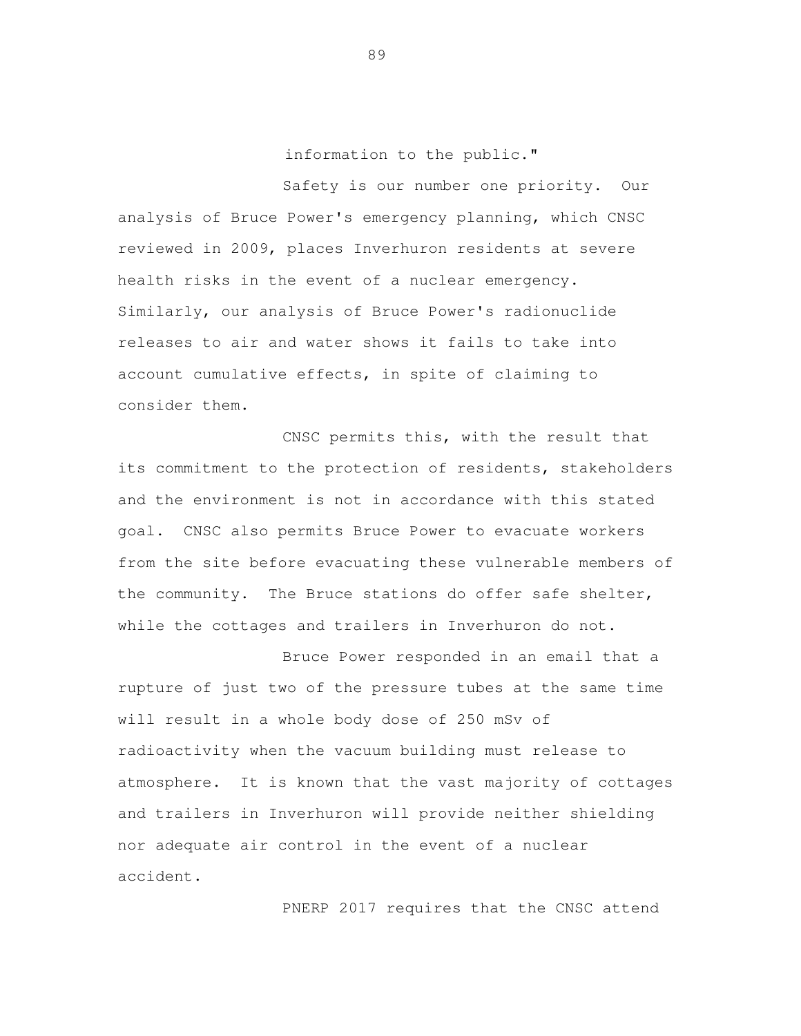information to the public."

 Safety is our number one priority. Our analysis of Bruce Power's emergency planning, which CNSC reviewed in 2009, places Inverhuron residents at severe health risks in the event of a nuclear emergency. Similarly, our analysis of Bruce Power's radionuclide releases to air and water shows it fails to take into account cumulative effects, in spite of claiming to consider them.

 CNSC permits this, with the result that its commitment to the protection of residents, stakeholders and the environment is not in accordance with this stated goal. CNSC also permits Bruce Power to evacuate workers from the site before evacuating these vulnerable members of the community. The Bruce stations do offer safe shelter, while the cottages and trailers in Inverhuron do not.

 Bruce Power responded in an email that a rupture of just two of the pressure tubes at the same time will result in a whole body dose of 250 mSv of radioactivity when the vacuum building must release to atmosphere. It is known that the vast majority of cottages and trailers in Inverhuron will provide neither shielding nor adequate air control in the event of a nuclear accident.<br>PNERP 2017 requires that the CNSC attend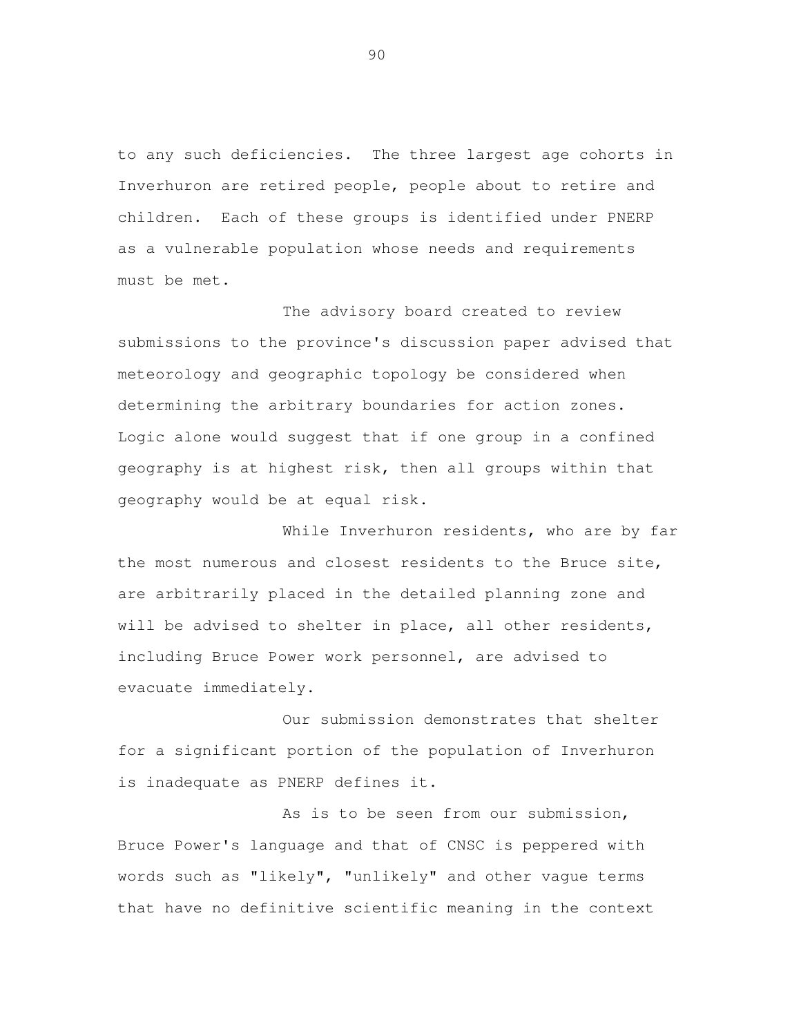to any such deficiencies. The three largest age cohorts in Inverhuron are retired people, people about to retire and children. Each of these groups is identified under PNERP as a vulnerable population whose needs and requirements must be met.

 The advisory board created to review submissions to the province's discussion paper advised that meteorology and geographic topology be considered when determining the arbitrary boundaries for action zones. Logic alone would suggest that if one group in a confined geography is at highest risk, then all groups within that geography would be at equal risk.

While Inverhuron residents, who are by far the most numerous and closest residents to the Bruce site, are arbitrarily placed in the detailed planning zone and will be advised to shelter in place, all other residents, including Bruce Power work personnel, are advised to evacuate immediately.

 Our submission demonstrates that shelter for a significant portion of the population of Inverhuron is inadequate as PNERP defines it.

 As is to be seen from our submission, Bruce Power's language and that of CNSC is peppered with words such as "likely", "unlikely" and other vague terms that have no definitive scientific meaning in the context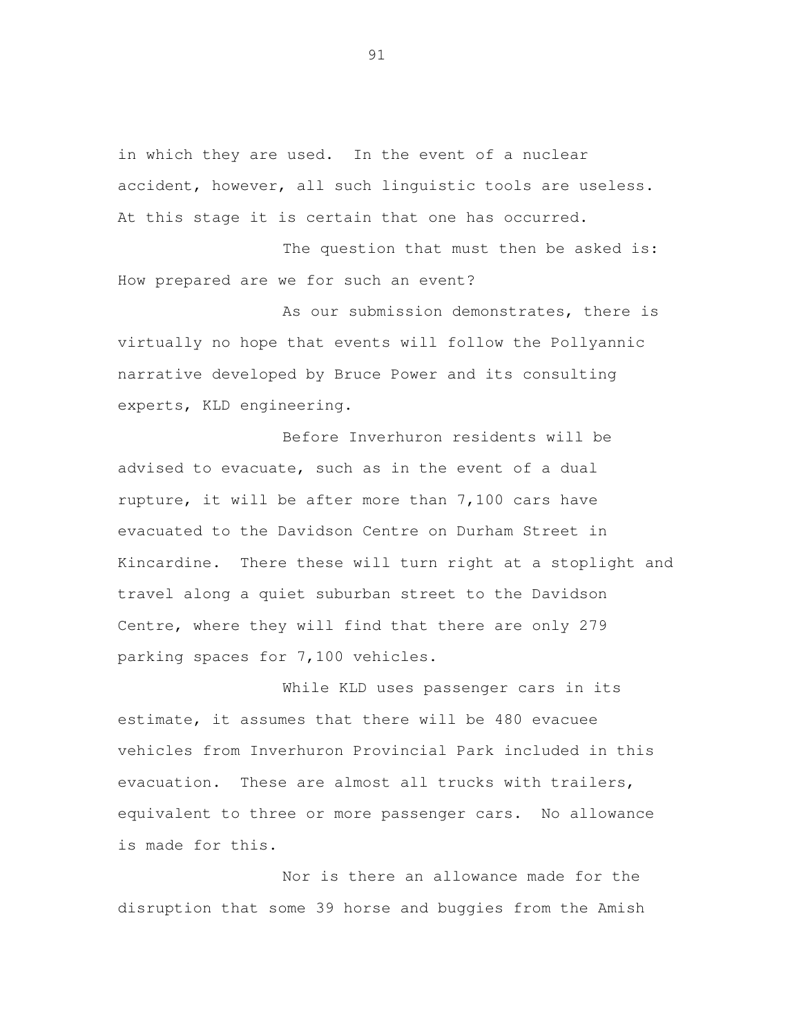in which they are used. In the event of a nuclear accident, however, all such linguistic tools are useless. At this stage it is certain that one has occurred.

The question that must then be asked is: How prepared are we for such an event?

 As our submission demonstrates, there is virtually no hope that events will follow the Pollyannic narrative developed by Bruce Power and its consulting experts, KLD engineering.

 Before Inverhuron residents will be advised to evacuate, such as in the event of a dual rupture, it will be after more than 7,100 cars have evacuated to the Davidson Centre on Durham Street in Kincardine. There these will turn right at a stoplight and travel along a quiet suburban street to the Davidson Centre, where they will find that there are only 279 parking spaces for 7,100 vehicles.

 While KLD uses passenger cars in its estimate, it assumes that there will be 480 evacuee vehicles from Inverhuron Provincial Park included in this evacuation. These are almost all trucks with trailers, equivalent to three or more passenger cars. No allowance is made for this.

 Nor is there an allowance made for the disruption that some 39 horse and buggies from the Amish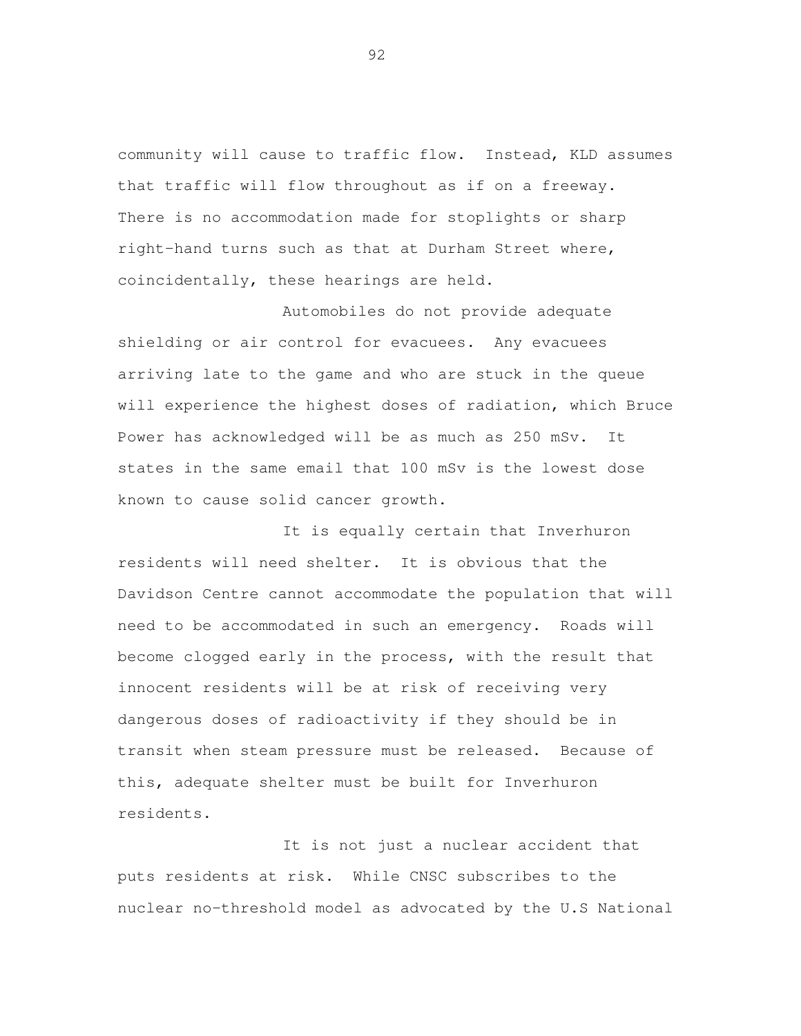community will cause to traffic flow. Instead, KLD assumes that traffic will flow throughout as if on a freeway. There is no accommodation made for stoplights or sharp right-hand turns such as that at Durham Street where, coincidentally, these hearings are held.

 Automobiles do not provide adequate shielding or air control for evacuees. Any evacuees arriving late to the game and who are stuck in the queue will experience the highest doses of radiation, which Bruce Power has acknowledged will be as much as 250 mSv. It states in the same email that 100 mSv is the lowest dose known to cause solid cancer growth.

 It is equally certain that Inverhuron residents will need shelter. It is obvious that the Davidson Centre cannot accommodate the population that will need to be accommodated in such an emergency. Roads will become clogged early in the process, with the result that innocent residents will be at risk of receiving very dangerous doses of radioactivity if they should be in transit when steam pressure must be released. Because of this, adequate shelter must be built for Inverhuron residents.

 It is not just a nuclear accident that puts residents at risk. While CNSC subscribes to the nuclear no-threshold model as advocated by the U.S National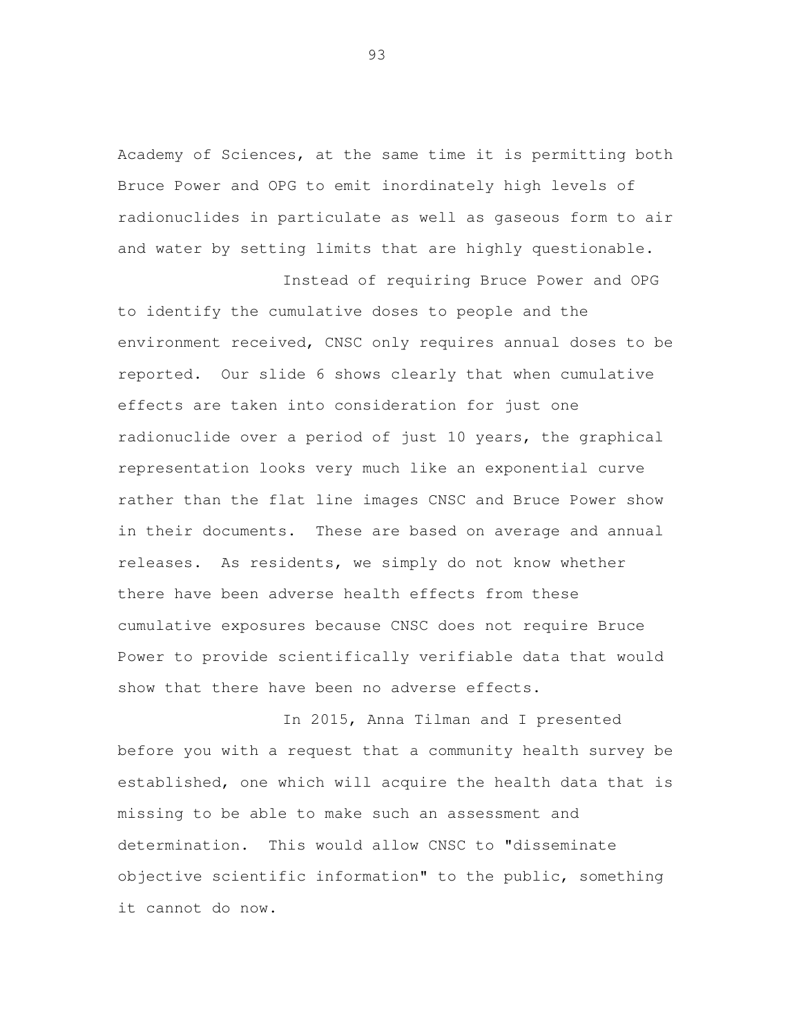Academy of Sciences, at the same time it is permitting both Bruce Power and OPG to emit inordinately high levels of radionuclides in particulate as well as gaseous form to air and water by setting limits that are highly questionable.

Instead of requiring Bruce Power and OPG

 to identify the cumulative doses to people and the environment received, CNSC only requires annual doses to be reported. Our slide 6 shows clearly that when cumulative effects are taken into consideration for just one radionuclide over a period of just 10 years, the graphical representation looks very much like an exponential curve rather than the flat line images CNSC and Bruce Power show in their documents. These are based on average and annual releases. As residents, we simply do not know whether there have been adverse health effects from these cumulative exposures because CNSC does not require Bruce Power to provide scientifically verifiable data that would show that there have been no adverse effects.

 In 2015, Anna Tilman and I presented before you with a request that a community health survey be established, one which will acquire the health data that is missing to be able to make such an assessment and determination. This would allow CNSC to "disseminate objective scientific information" to the public, something it cannot do now.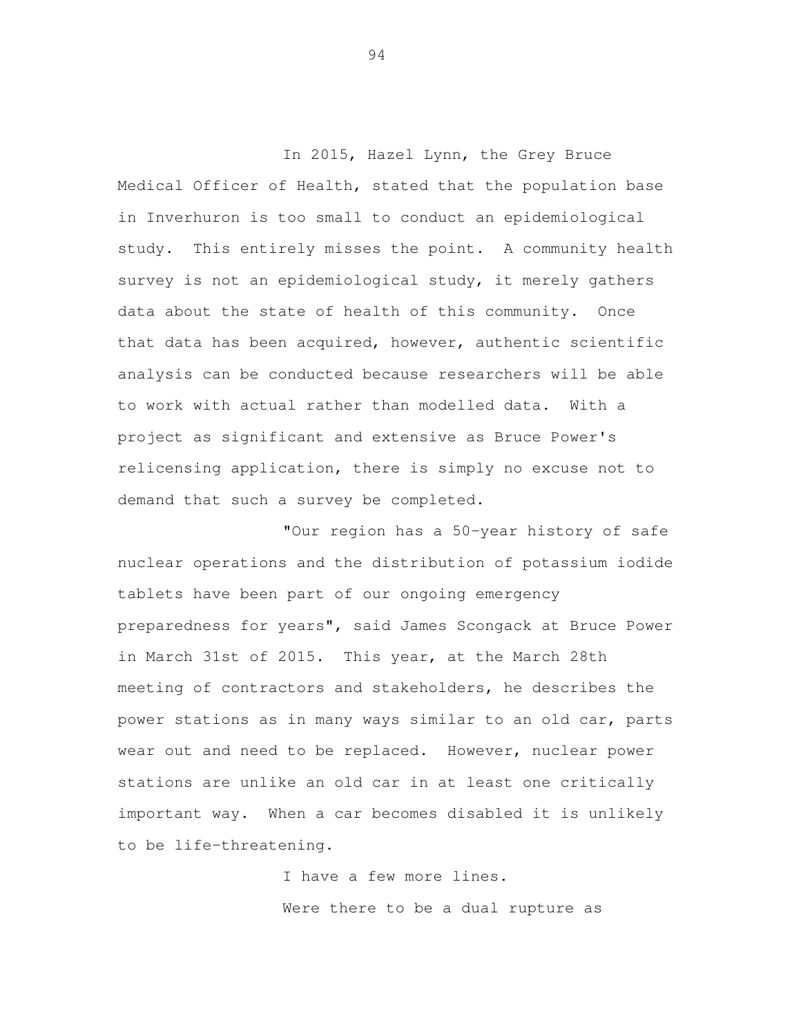In 2015, Hazel Lynn, the Grey Bruce Medical Officer of Health, stated that the population base in Inverhuron is too small to conduct an epidemiological study. This entirely misses the point. A community health survey is not an epidemiological study, it merely gathers data about the state of health of this community. Once that data has been acquired, however, authentic scientific analysis can be conducted because researchers will be able to work with actual rather than modelled data. With a project as significant and extensive as Bruce Power's relicensing application, there is simply no excuse not to demand that such a survey be completed.

 "Our region has a 50-year history of safe nuclear operations and the distribution of potassium iodide tablets have been part of our ongoing emergency preparedness for years", said James Scongack at Bruce Power in March 31st of 2015. This year, at the March 28th meeting of contractors and stakeholders, he describes the power stations as in many ways similar to an old car, parts wear out and need to be replaced. However, nuclear power stations are unlike an old car in at least one critically important way. When a car becomes disabled it is unlikely to be life-threatening.

> I have a few more lines. Were there to be a dual rupture as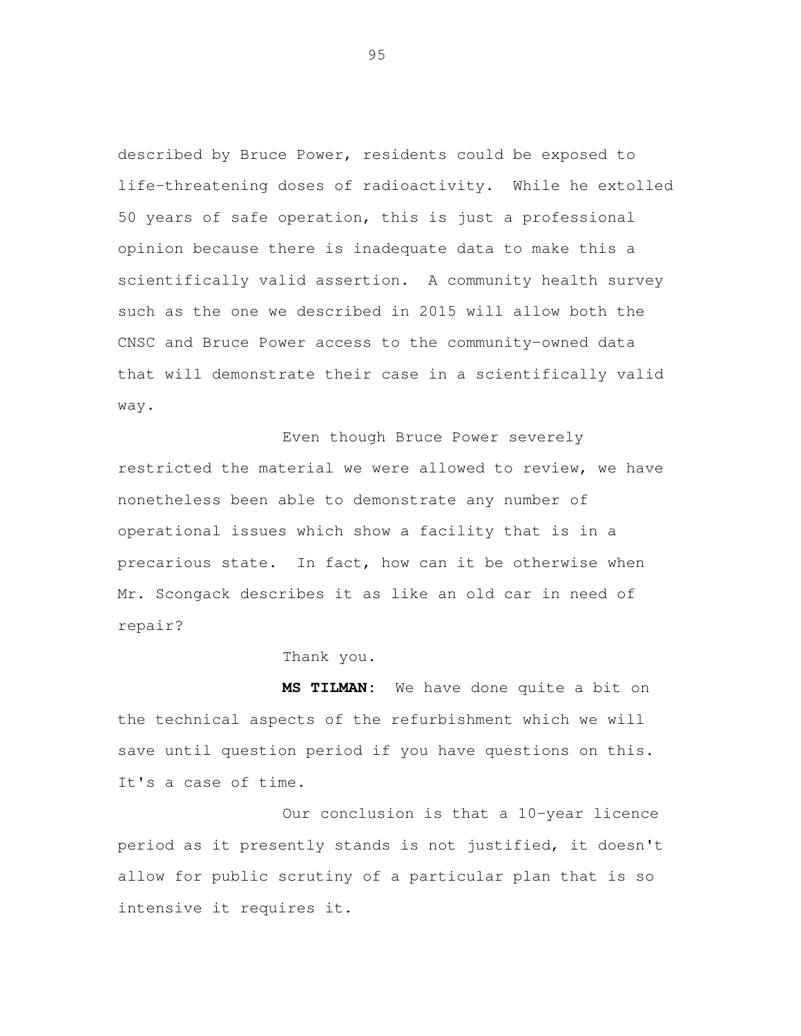described by Bruce Power, residents could be exposed to life-threatening doses of radioactivity. While he extolled 50 years of safe operation, this is just a professional opinion because there is inadequate data to make this a scientifically valid assertion. A community health survey such as the one we described in 2015 will allow both the CNSC and Bruce Power access to the community-owned data that will demonstrate their case in a scientifically valid

 way. Even though Bruce Power severely restricted the material we were allowed to review, we have nonetheless been able to demonstrate any number of operational issues which show a facility that is in a precarious state. In fact, how can it be otherwise when Mr. Scongack describes it as like an old car in need of repair? repair?<br>Thank you.

Thank you.

 **MS TILMAN:** We have done quite a bit on the technical aspects of the refurbishment which we will save until question period if you have questions on this. It's a case of time.

 Our conclusion is that a 10-year licence period as it presently stands is not justified, it doesn't allow for public scrutiny of a particular plan that is so intensive it requires it.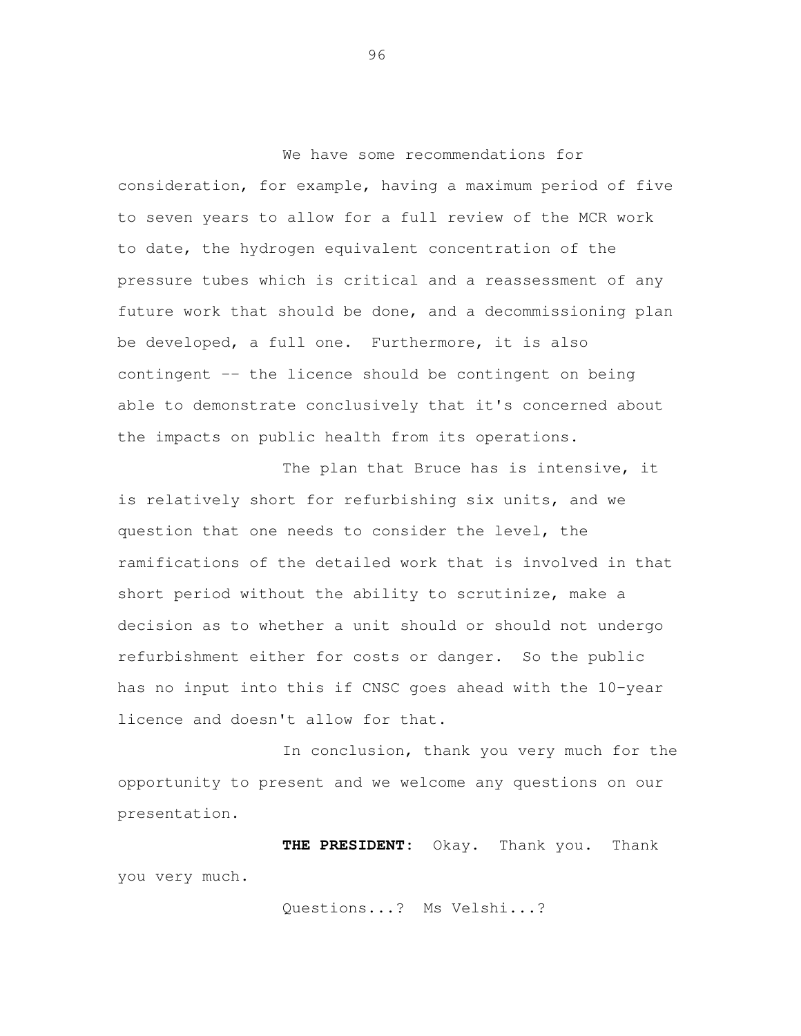We have some recommendations for consideration, for example, having a maximum period of five to seven years to allow for a full review of the MCR work to date, the hydrogen equivalent concentration of the pressure tubes which is critical and a reassessment of any future work that should be done, and a decommissioning plan be developed, a full one. Furthermore, it is also contingent -- the licence should be contingent on being able to demonstrate conclusively that it's concerned about the impacts on public health from its operations.

The plan that Bruce has is intensive, it is relatively short for refurbishing six units, and we question that one needs to consider the level, the ramifications of the detailed work that is involved in that short period without the ability to scrutinize, make a decision as to whether a unit should or should not undergo refurbishment either for costs or danger. So the public has no input into this if CNSC goes ahead with the 10-year licence and doesn't allow for that.

In conclusion, thank you very much for the opportunity to present and we welcome any questions on our presentation.

**THE PRESIDENT:** Okay. Thank you. Thank you very much.

Questions...? Ms Velshi...?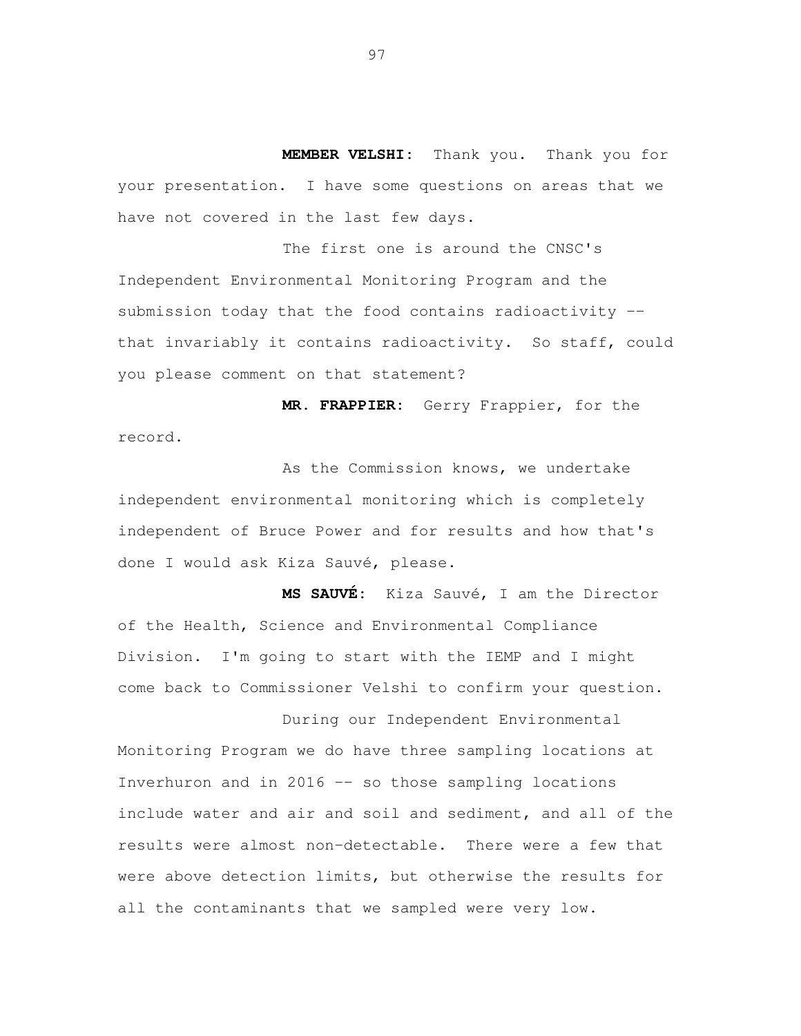**MEMBER VELSHI:** Thank you. Thank you for your presentation. I have some questions on areas that we have not covered in the last few days.

 The first one is around the CNSC's Independent Environmental Monitoring Program and the submission today that the food contains radioactivity -- that invariably it contains radioactivity. So staff, could you please comment on that statement?

 **MR. FRAPPIER:** Gerry Frappier, for the record.<br>As the Commission knows, we undertake

 independent environmental monitoring which is completely independent of Bruce Power and for results and how that's done I would ask Kiza Sauvé, please.

 **MS SAUVÉ:** Kiza Sauvé, I am the Director of the Health, Science and Environmental Compliance Division. I'm going to start with the IEMP and I might come back to Commissioner Velshi to confirm your question.

 During our Independent Environmental Monitoring Program we do have three sampling locations at Inverhuron and in 2016 -- so those sampling locations include water and air and soil and sediment, and all of the results were almost non-detectable. There were a few that were above detection limits, but otherwise the results for all the contaminants that we sampled were very low.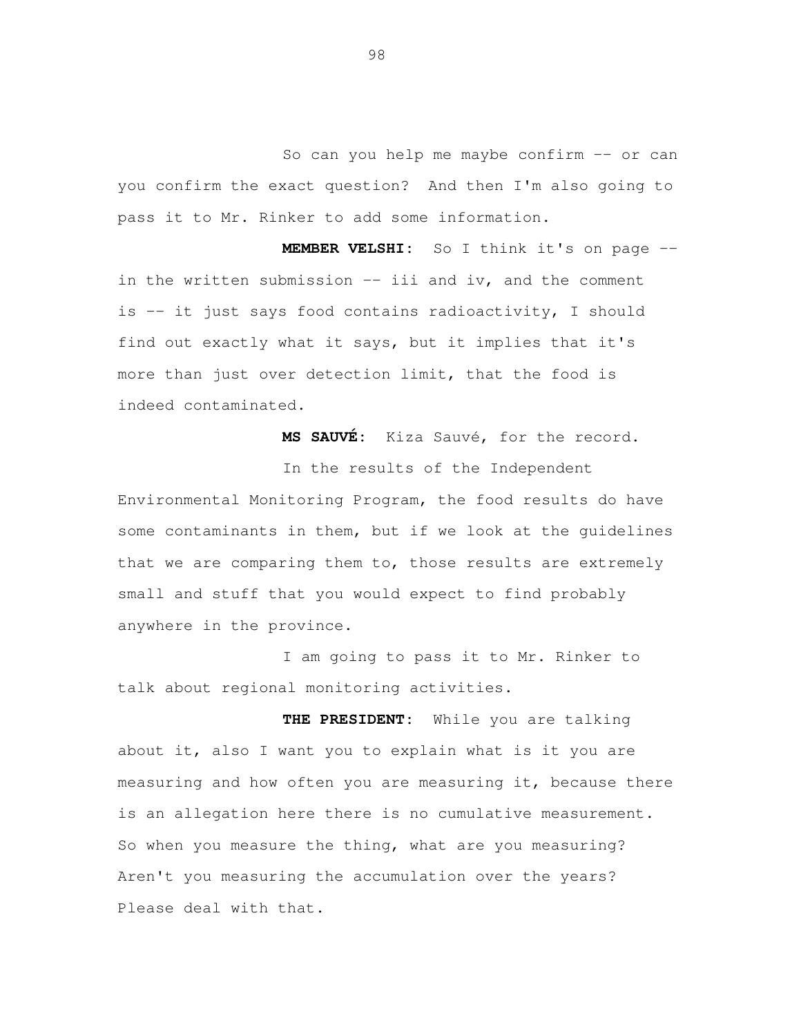So can you help me maybe confirm -- or can you confirm the exact question? And then I'm also going to pass it to Mr. Rinker to add some information.

 **MEMBER VELSHI:** So I think it's on page - in the written submission -- iii and iv, and the comment is -- it just says food contains radioactivity, I should find out exactly what it says, but it implies that it's more than just over detection limit, that the food is indeed contaminated.

**MS SAUVÉ:** Kiza Sauvé, for the record.

 In the results of the Independent Environmental Monitoring Program, the food results do have some contaminants in them, but if we look at the guidelines that we are comparing them to, those results are extremely small and stuff that you would expect to find probably anywhere in the province.

 I am going to pass it to Mr. Rinker to talk about regional monitoring activities.

 **THE PRESIDENT:** While you are talking about it, also I want you to explain what is it you are measuring and how often you are measuring it, because there is an allegation here there is no cumulative measurement. So when you measure the thing, what are you measuring? Aren't you measuring the accumulation over the years? Please deal with that.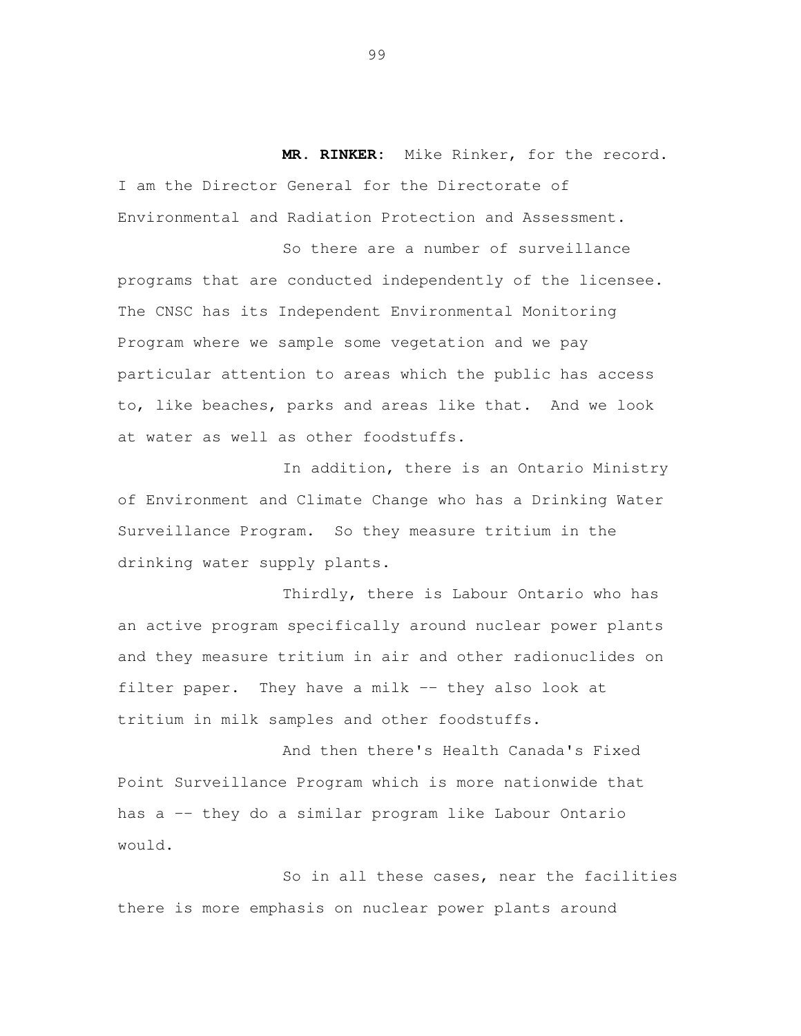**MR. RINKER:** Mike Rinker, for the record. I am the Director General for the Directorate of Environmental and Radiation Protection and Assessment.

 So there are a number of surveillance programs that are conducted independently of the licensee. The CNSC has its Independent Environmental Monitoring Program where we sample some vegetation and we pay particular attention to areas which the public has access to, like beaches, parks and areas like that. And we look at water as well as other foodstuffs.

 In addition, there is an Ontario Ministry of Environment and Climate Change who has a Drinking Water Surveillance Program. So they measure tritium in the drinking water supply plants.

 Thirdly, there is Labour Ontario who has an active program specifically around nuclear power plants and they measure tritium in air and other radionuclides on filter paper. They have a milk -- they also look at tritium in milk samples and other foodstuffs.

 And then there's Health Canada's Fixed Point Surveillance Program which is more nationwide that has a -- they do a similar program like Labour Ontario

would.<br>So in all these cases, near the facilities there is more emphasis on nuclear power plants around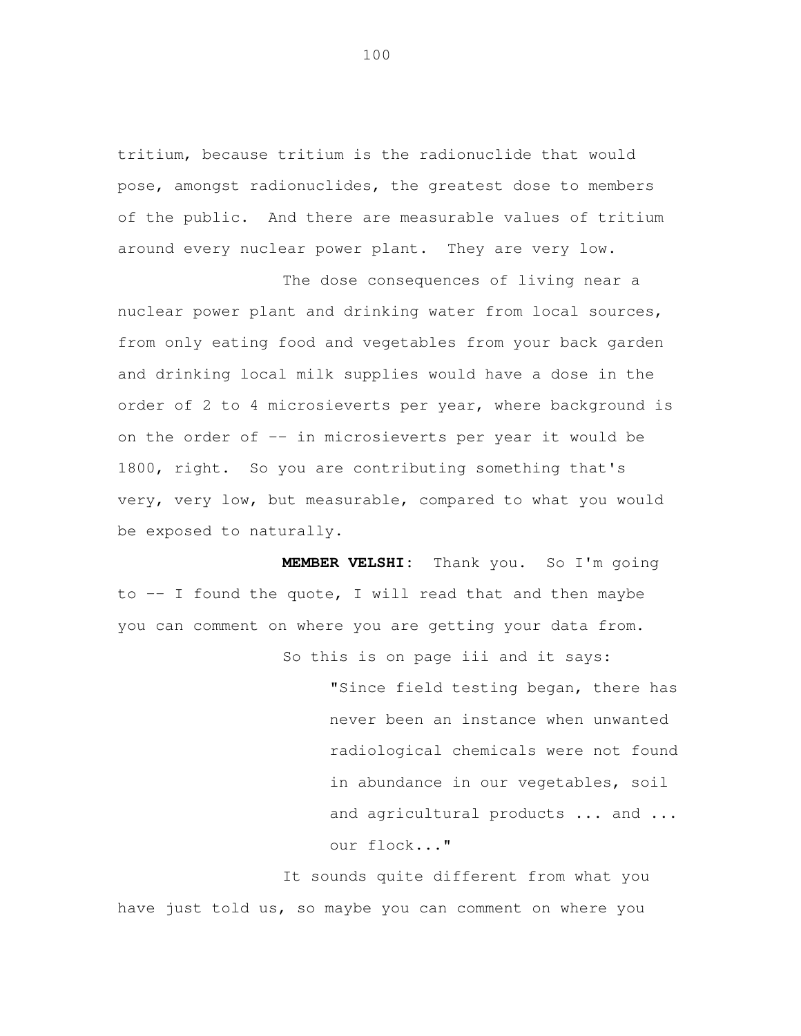tritium, because tritium is the radionuclide that would pose, amongst radionuclides, the greatest dose to members of the public. And there are measurable values of tritium around every nuclear power plant. They are very low.

 The dose consequences of living near a nuclear power plant and drinking water from local sources, from only eating food and vegetables from your back garden and drinking local milk supplies would have a dose in the order of 2 to 4 microsieverts per year, where background is on the order of -- in microsieverts per year it would be 1800, right. So you are contributing something that's very, very low, but measurable, compared to what you would be exposed to naturally.

 **MEMBER VELSHI:** Thank you. So I'm going to -- I found the quote, I will read that and then maybe you can comment on where you are getting your data from. So this is on page iii and it says:

> "Since field testing began, there has never been an instance when unwanted radiological chemicals were not found in abundance in our vegetables, soil and agricultural products ... and ... our flock..."

 It sounds quite different from what you have just told us, so maybe you can comment on where you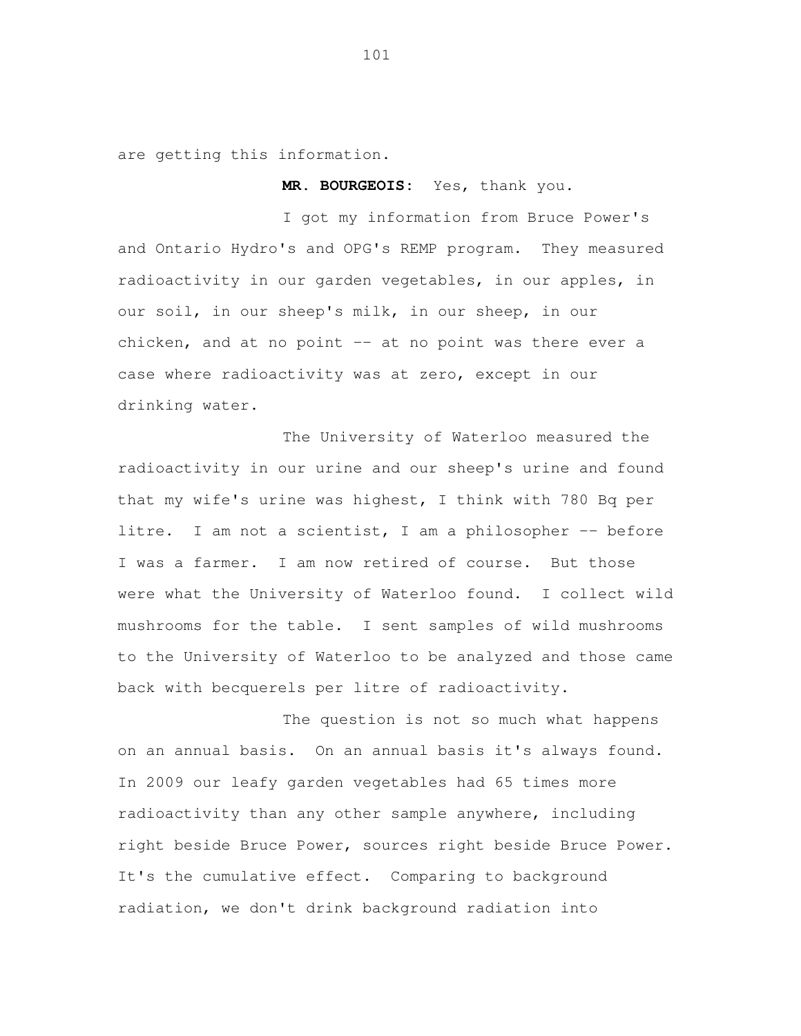are getting this information.

**MR. BOURGEOIS:** Yes, thank you.

 I got my information from Bruce Power's and Ontario Hydro's and OPG's REMP program. They measured radioactivity in our garden vegetables, in our apples, in our soil, in our sheep's milk, in our sheep, in our chicken, and at no point -- at no point was there ever a case where radioactivity was at zero, except in our drinking water.

 The University of Waterloo measured the radioactivity in our urine and our sheep's urine and found that my wife's urine was highest, I think with 780 Bq per litre. I am not a scientist, I am a philosopher -- before I was a farmer. I am now retired of course. But those were what the University of Waterloo found. I collect wild mushrooms for the table. I sent samples of wild mushrooms to the University of Waterloo to be analyzed and those came back with becquerels per litre of radioactivity.

 The question is not so much what happens on an annual basis. On an annual basis it's always found. In 2009 our leafy garden vegetables had 65 times more radioactivity than any other sample anywhere, including right beside Bruce Power, sources right beside Bruce Power. It's the cumulative effect. Comparing to background radiation, we don't drink background radiation into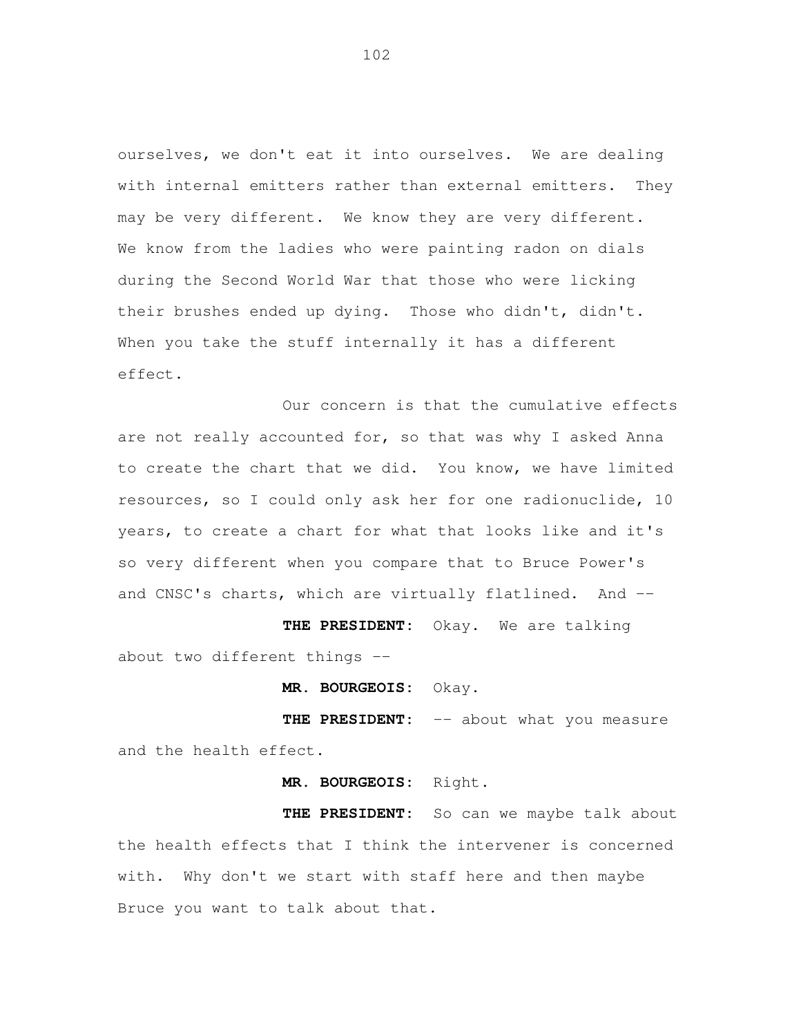ourselves, we don't eat it into ourselves. We are dealing with internal emitters rather than external emitters. They may be very different. We know they are very different. We know from the ladies who were painting radon on dials during the Second World War that those who were licking their brushes ended up dying. Those who didn't, didn't. When you take the stuff internally it has a different effect.

Our concern is that the cumulative effects are not really accounted for, so that was why I asked Anna to create the chart that we did. You know, we have limited resources, so I could only ask her for one radionuclide, 10 years, to create a chart for what that looks like and it's so very different when you compare that to Bruce Power's and CNSC's charts, which are virtually flatlined. And --

**THE PRESIDENT:** Okay. We are talking about two different things --

**MR. BOURGEOIS:** Okay.

**THE PRESIDENT:** -- about what you measure and the health effect.

**MR. BOURGEOIS:** Right.

THE PRESIDENT: So can we maybe talk about the health effects that I think the intervener is concerned with. Why don't we start with staff here and then maybe Bruce you want to talk about that.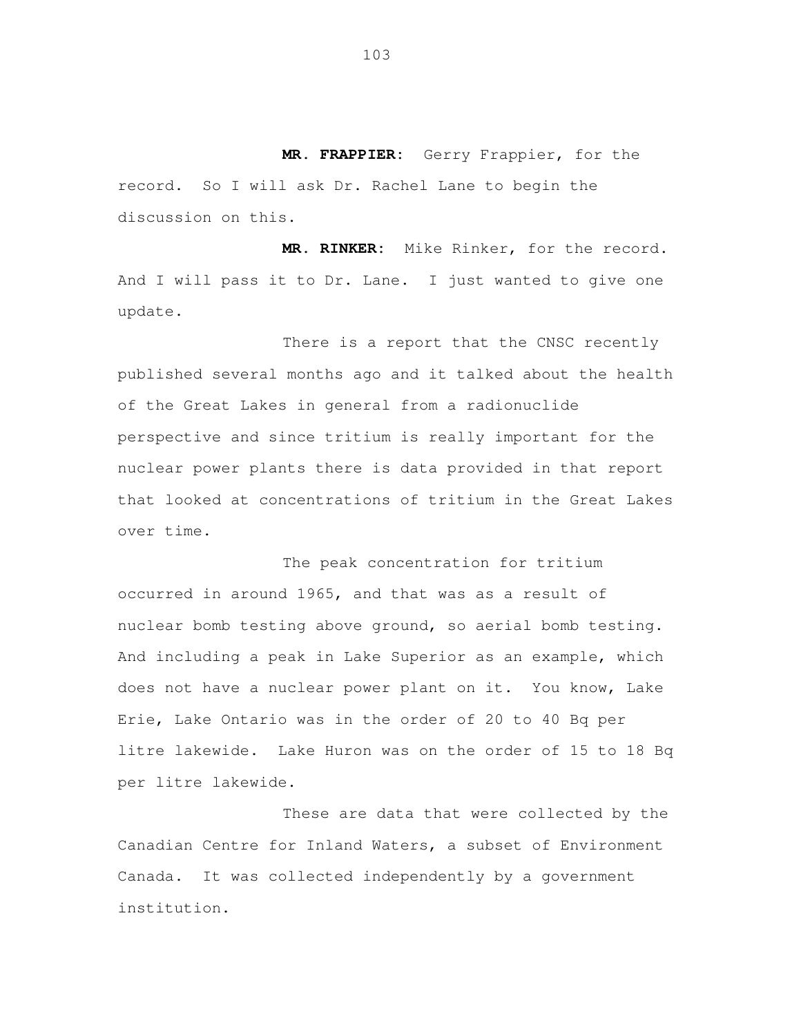**MR. FRAPPIER:** Gerry Frappier, for the record. So I will ask Dr. Rachel Lane to begin the discussion on this.

 **MR. RINKER:** Mike Rinker, for the record. And I will pass it to Dr. Lane. I just wanted to give one update.<br>There is a report that the CNSC recently

 published several months ago and it talked about the health of the Great Lakes in general from a radionuclide perspective and since tritium is really important for the nuclear power plants there is data provided in that report that looked at concentrations of tritium in the Great Lakes over time.

 The peak concentration for tritium occurred in around 1965, and that was as a result of nuclear bomb testing above ground, so aerial bomb testing. And including a peak in Lake Superior as an example, which does not have a nuclear power plant on it. You know, Lake Erie, Lake Ontario was in the order of 20 to 40 Bq per litre lakewide. Lake Huron was on the order of 15 to 18 Bq per litre lakewide.

 These are data that were collected by the Canadian Centre for Inland Waters, a subset of Environment Canada. It was collected independently by a government institution.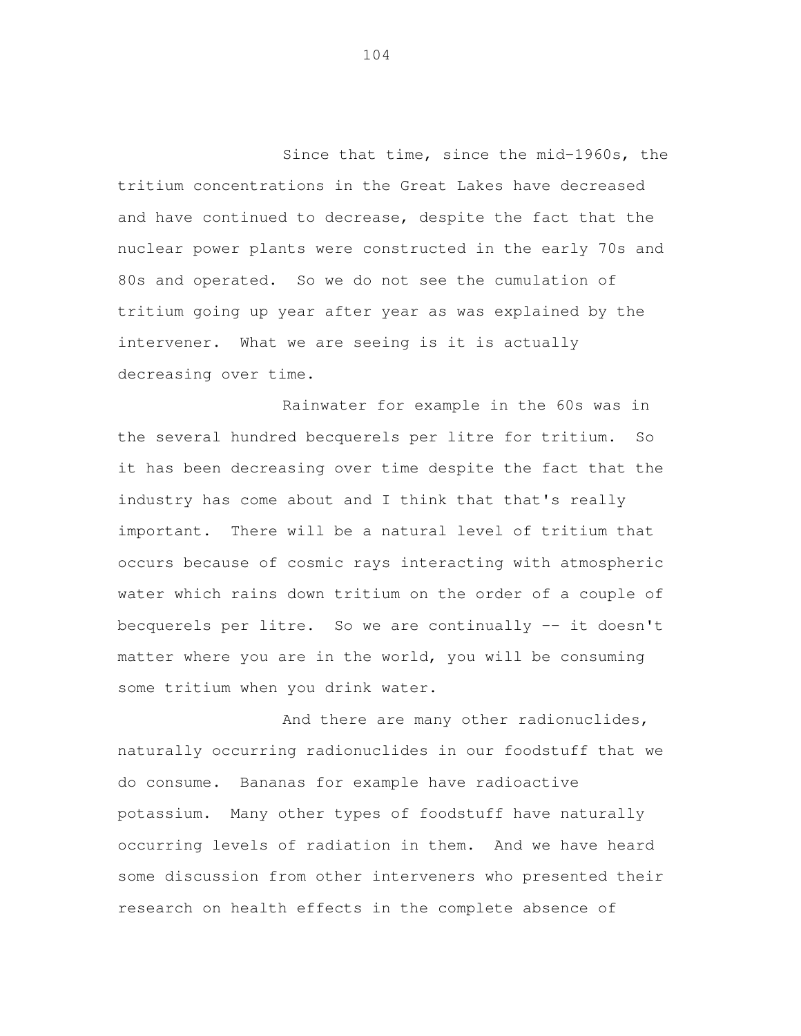Since that time, since the mid-1960s, the tritium concentrations in the Great Lakes have decreased and have continued to decrease, despite the fact that the nuclear power plants were constructed in the early 70s and 80s and operated. So we do not see the cumulation of tritium going up year after year as was explained by the intervener. What we are seeing is it is actually decreasing over time.

 Rainwater for example in the 60s was in the several hundred becquerels per litre for tritium. So it has been decreasing over time despite the fact that the industry has come about and I think that that's really important. There will be a natural level of tritium that occurs because of cosmic rays interacting with atmospheric water which rains down tritium on the order of a couple of becquerels per litre. So we are continually -- it doesn't matter where you are in the world, you will be consuming some tritium when you drink water.

And there are many other radionuclides, naturally occurring radionuclides in our foodstuff that we do consume. Bananas for example have radioactive potassium. Many other types of foodstuff have naturally occurring levels of radiation in them. And we have heard some discussion from other interveners who presented their research on health effects in the complete absence of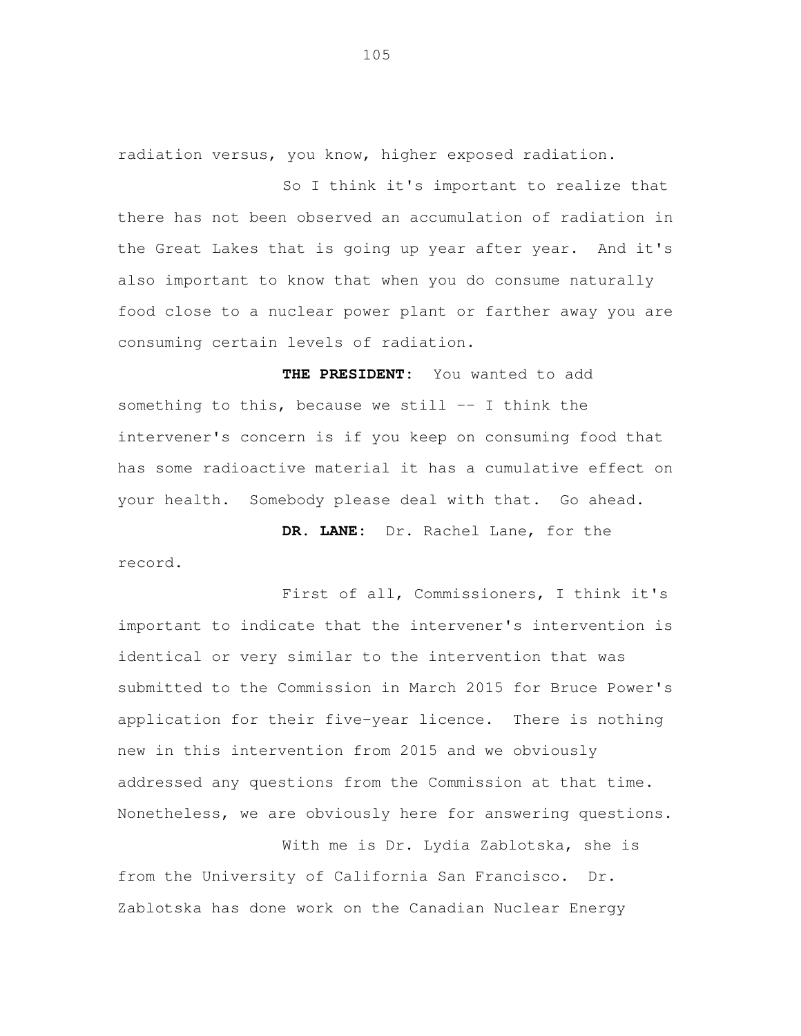radiation versus, you know, higher exposed radiation.

So I think it's important to realize that there has not been observed an accumulation of radiation in the Great Lakes that is going up year after year. And it's also important to know that when you do consume naturally food close to a nuclear power plant or farther away you are consuming certain levels of radiation.

**THE PRESIDENT:** You wanted to add something to this, because we still  $--$  I think the intervener's concern is if you keep on consuming food that has some radioactive material it has a cumulative effect on your health. Somebody please deal with that. Go ahead.

**DR. LANE:** Dr. Rachel Lane, for the record.

First of all, Commissioners, I think it's important to indicate that the intervener's intervention is identical or very similar to the intervention that was submitted to the Commission in March 2015 for Bruce Power's application for their five-year licence. There is nothing new in this intervention from 2015 and we obviously addressed any questions from the Commission at that time. Nonetheless, we are obviously here for answering questions.

With me is Dr. Lydia Zablotska, she is from the University of California San Francisco. Dr. Zablotska has done work on the Canadian Nuclear Energy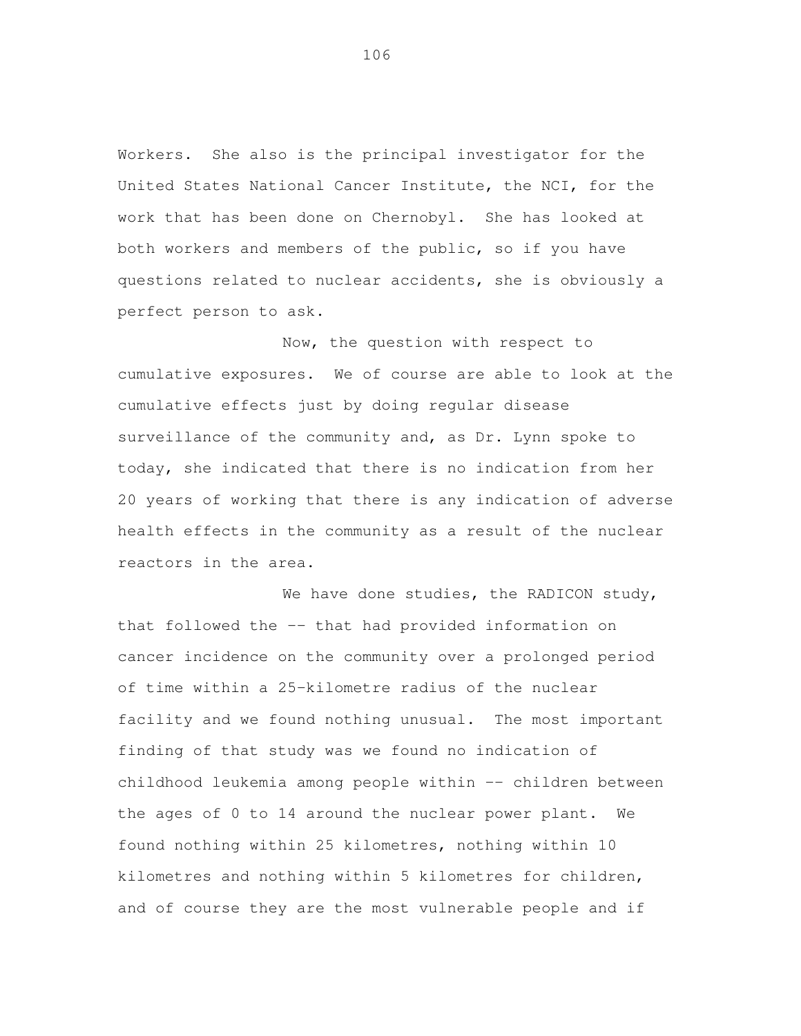Workers. United States National Cancer Institute, the NCI, for the work that has been done on Chernobyl. She has looked at both workers and members of the public, so if you have questions related to nuclear accidents, she is obviously a perfect person to ask. She also is the principal investigator for the

 Now, the question with respect to cumulative exposures. We of course are able to look at the cumulative effects just by doing regular disease surveillance of the community and, as Dr. Lynn spoke to today, she indicated that there is no indication from her 20 years of working that there is any indication of adverse health effects in the community as a result of the nuclear reactors in the area.

We have done studies, the RADICON study, that followed the -- that had provided information on cancer incidence on the community over a prolonged period of time within a 25-kilometre radius of the nuclear facility and we found nothing unusual. The most important finding of that study was we found no indication of childhood leukemia among people within -- children between the ages of 0 to 14 around the nuclear power plant. We found nothing within 25 kilometres, nothing within 10 kilometres and nothing within 5 kilometres for children, and of course they are the most vulnerable people and if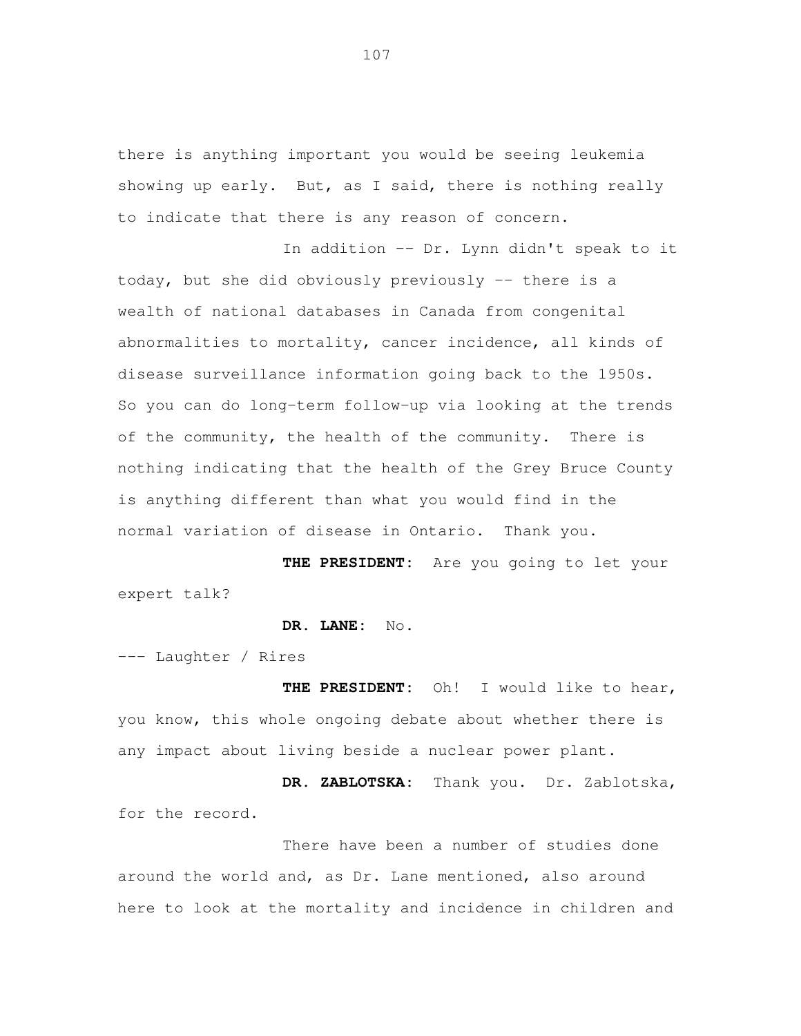there is anything important you would be seeing leukemia showing up early. But, as I said, there is nothing really to indicate that there is any reason of concern.

 In addition -- Dr. Lynn didn't speak to it today, but she did obviously previously -- there is a wealth of national databases in Canada from congenital abnormalities to mortality, cancer incidence, all kinds of disease surveillance information going back to the 1950s. So you can do long-term follow-up via looking at the trends of the community, the health of the community. There is nothing indicating that the health of the Grey Bruce County is anything different than what you would find in the normal variation of disease in Ontario. Thank you.

 **THE PRESIDENT:** Are you going to let your expert talk?

**DR. LANE:** No.

--- Laughter / Rires

 **THE PRESIDENT:** Oh! I would like to hear, you know, this whole ongoing debate about whether there is any impact about living beside a nuclear power plant.

 **DR. ZABLOTSKA:** Thank you. Dr. Zablotska, for the record.

 There have been a number of studies done around the world and, as Dr. Lane mentioned, also around here to look at the mortality and incidence in children and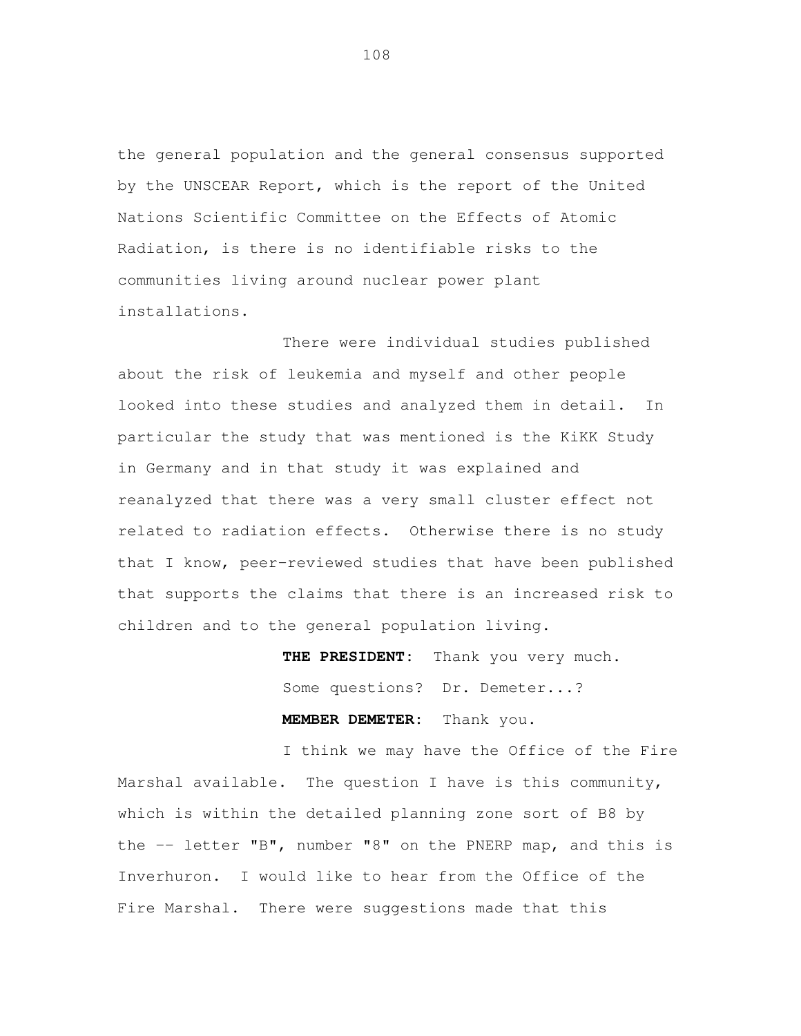the general population and the general consensus supported by the UNSCEAR Report, which is the report of the United Nations Scientific Committee on the Effects of Atomic Radiation, is there is no identifiable risks to the communities living around nuclear power plant installations. There were individual studies published

 about the risk of leukemia and myself and other people looked into these studies and analyzed them in detail. In particular the study that was mentioned is the KiKK Study in Germany and in that study it was explained and reanalyzed that there was a very small cluster effect not related to radiation effects. Otherwise there is no study that I know, peer-reviewed studies that have been published that supports the claims that there is an increased risk to children and to the general population living.

> **THE PRESIDENT:** Thank you very much. Some questions? Dr. Demeter...? **MEMBER DEMETER:** Thank you.

 I think we may have the Office of the Fire Marshal available. The question I have is this community, which is within the detailed planning zone sort of B8 by the -- letter "B", number "8" on the PNERP map, and this is Inverhuron. I would like to hear from the Office of the Fire Marshal. There were suggestions made that this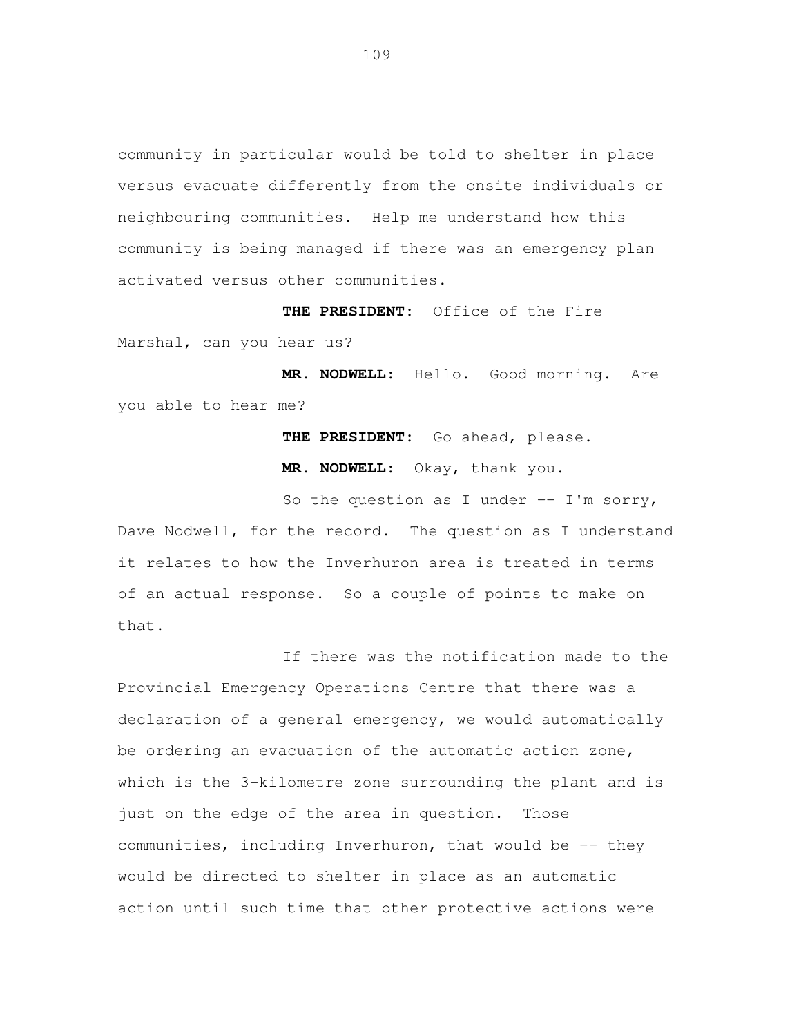community in particular would be told to shelter in place versus evacuate differently from the onsite individuals or neighbouring communities. Help me understand how this community is being managed if there was an emergency plan activated versus other communities.

 **THE PRESIDENT:** Office of the Fire Marshal, can you hear us?

 **MR. NODWELL:** Hello. Good morning. Are you able to hear me?

> **THE PRESIDENT:** Go ahead, please. **MR. NODWELL:** Okay, thank you.

So the question as I under  $--$  I'm sorry, Dave Nodwell, for the record. The question as I understand it relates to how the Inverhuron area is treated in terms of an actual response. So a couple of points to make on that.<br>If there was the notification made to the

 Provincial Emergency Operations Centre that there was a declaration of a general emergency, we would automatically be ordering an evacuation of the automatic action zone, which is the 3-kilometre zone surrounding the plant and is just on the edge of the area in question. Those communities, including Inverhuron, that would be -- they would be directed to shelter in place as an automatic action until such time that other protective actions were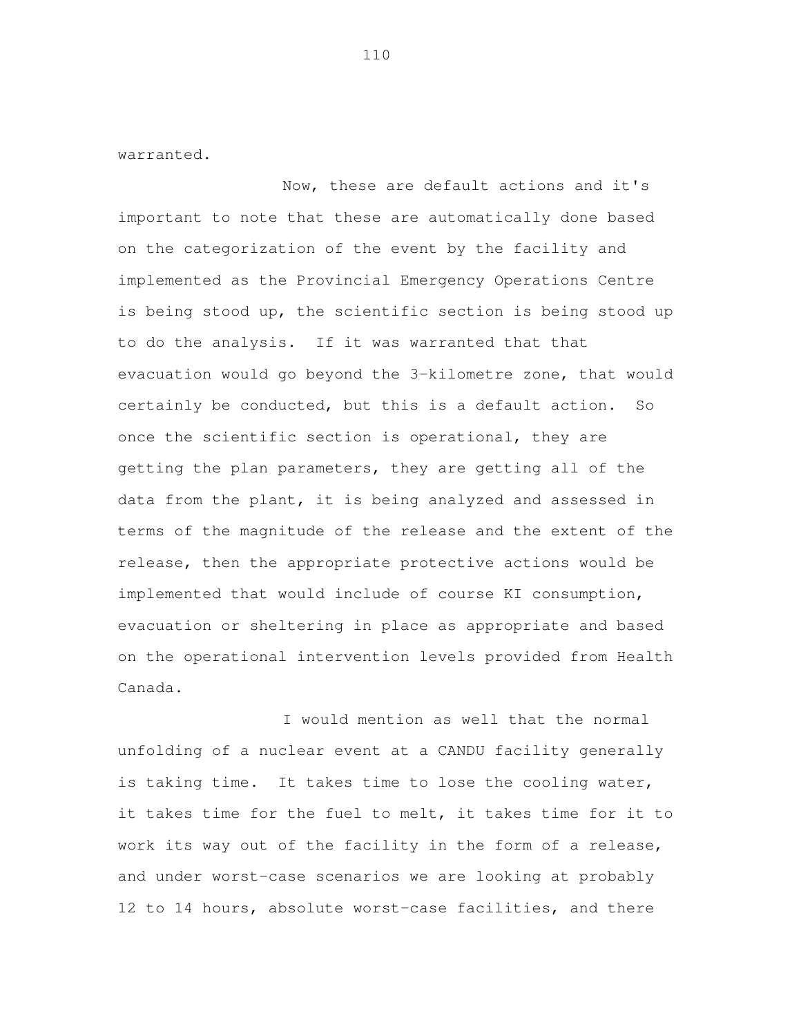warranted.<br>Now, these are default actions and it's important to note that these are automatically done based on the categorization of the event by the facility and implemented as the Provincial Emergency Operations Centre is being stood up, the scientific section is being stood up to do the analysis. If it was warranted that that evacuation would go beyond the 3-kilometre zone, that would certainly be conducted, but this is a default action. So once the scientific section is operational, they are getting the plan parameters, they are getting all of the data from the plant, it is being analyzed and assessed in terms of the magnitude of the release and the extent of the release, then the appropriate protective actions would be implemented that would include of course KI consumption, evacuation or sheltering in place as appropriate and based on the operational intervention levels provided from Health Canada.

 I would mention as well that the normal unfolding of a nuclear event at a CANDU facility generally is taking time. It takes time to lose the cooling water, it takes time for the fuel to melt, it takes time for it to work its way out of the facility in the form of a release, and under worst-case scenarios we are looking at probably 12 to 14 hours, absolute worst-case facilities, and there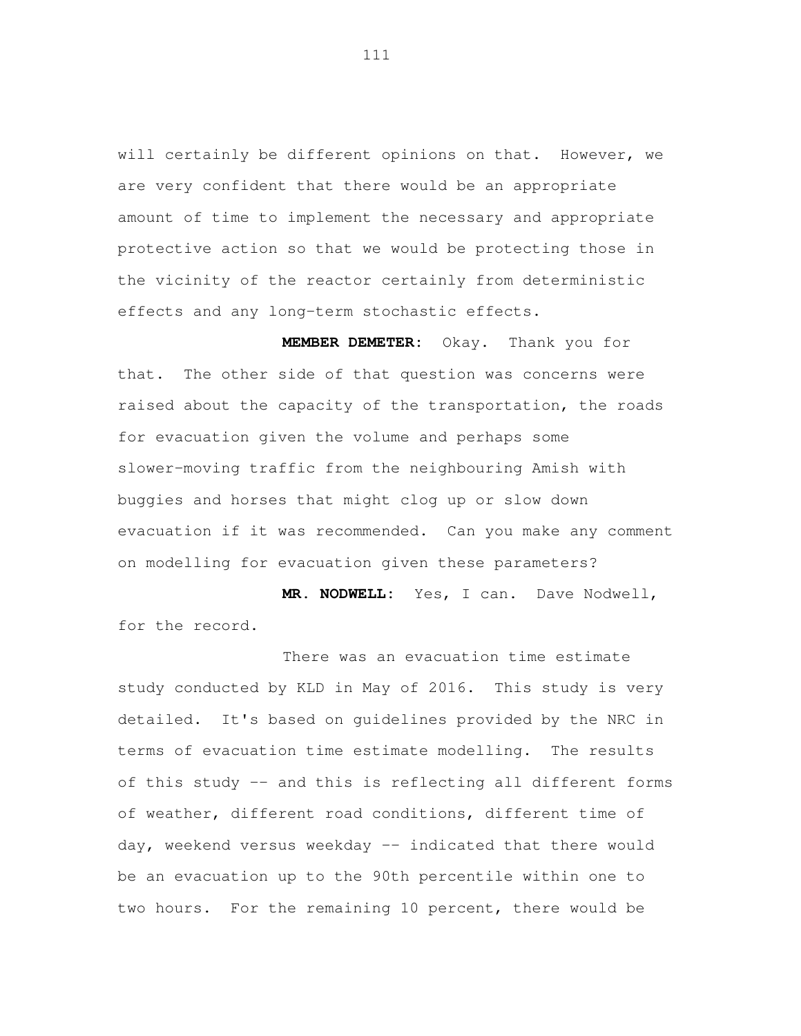will certainly be different opinions on that. However, we are very confident that there would be an appropriate amount of time to implement the necessary and appropriate protective action so that we would be protecting those in the vicinity of the reactor certainly from deterministic effects and any long-term stochastic effects.

 **MEMBER DEMETER:** Okay. Thank you for that. The other side of that question was concerns were raised about the capacity of the transportation, the roads for evacuation given the volume and perhaps some slower-moving traffic from the neighbouring Amish with buggies and horses that might clog up or slow down evacuation if it was recommended. Can you make any comment on modelling for evacuation given these parameters?

 **MR. NODWELL:** Yes, I can. Dave Nodwell, for the record.

 There was an evacuation time estimate study conducted by KLD in May of 2016. This study is very detailed. It's based on guidelines provided by the NRC in terms of evacuation time estimate modelling. The results of this study -- and this is reflecting all different forms of weather, different road conditions, different time of day, weekend versus weekday -- indicated that there would be an evacuation up to the 90th percentile within one to two hours. For the remaining 10 percent, there would be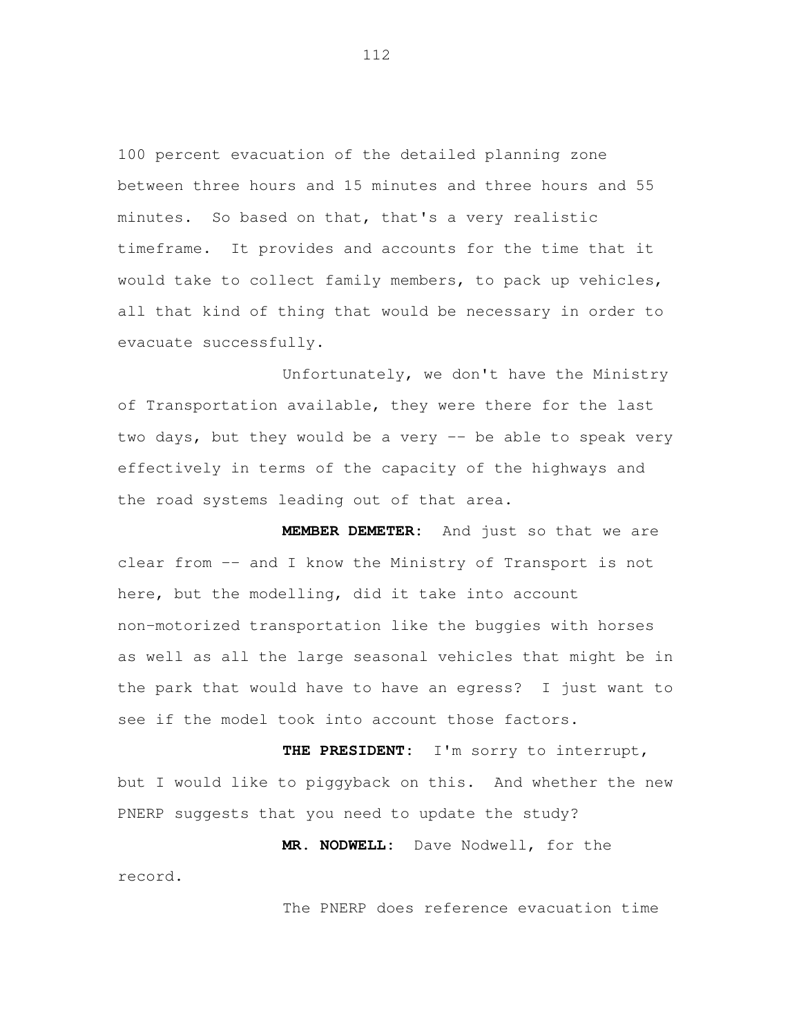100 percent evacuation of the detailed planning zone between three hours and 15 minutes and three hours and 55 minutes. So based on that, that's a very realistic timeframe. It provides and accounts for the time that it would take to collect family members, to pack up vehicles, all that kind of thing that would be necessary in order to evacuate successfully.<br>Unfortunately, we don't have the Ministry

of Transportation available, they were there for the last two days, but they would be a very -- be able to speak very effectively in terms of the capacity of the highways and the road systems leading out of that area.

 **MEMBER DEMETER:** And just so that we are clear from -- and I know the Ministry of Transport is not here, but the modelling, did it take into account non-motorized transportation like the buggies with horses as well as all the large seasonal vehicles that might be in the park that would have to have an egress? I just want to see if the model took into account those factors.

 **THE PRESIDENT:** I'm sorry to interrupt, but I would like to piggyback on this. And whether the new PNERP suggests that you need to update the study?

 **MR. NODWELL:** Dave Nodwell, for the record.<br>The PNERP does reference evacuation time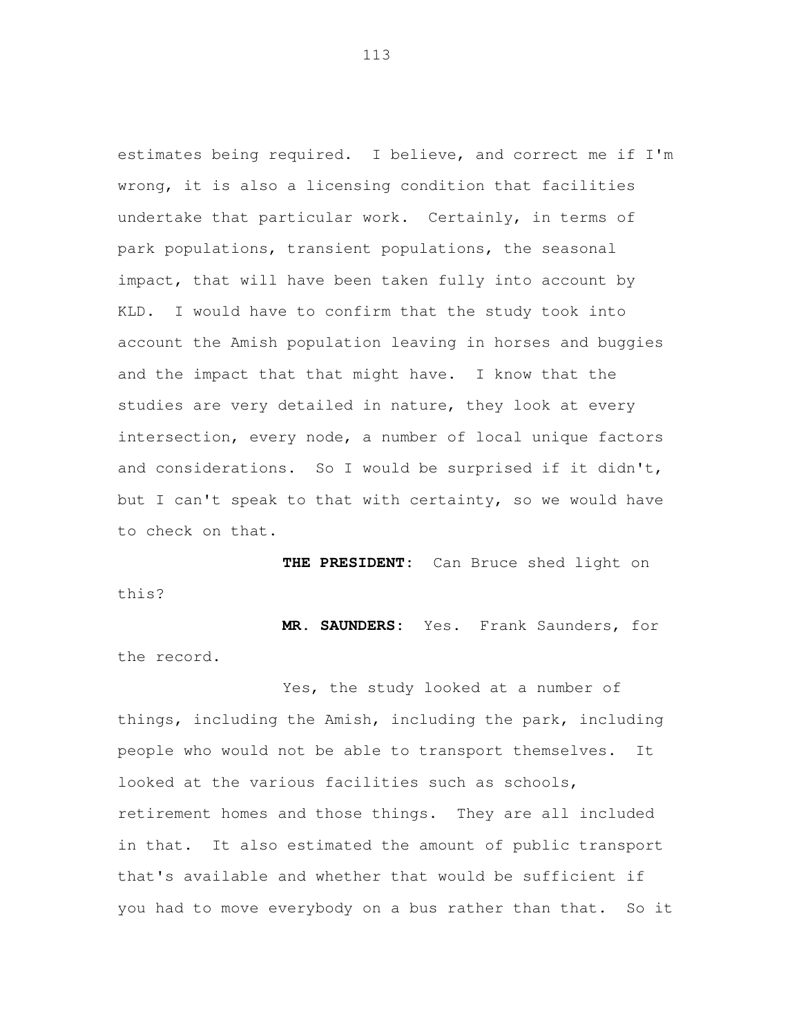estimates being required. I believe, and correct me if I'm wrong, it is also a licensing condition that facilities undertake that particular work. Certainly, in terms of park populations, transient populations, the seasonal impact, that will have been taken fully into account by KLD. I would have to confirm that the study took into account the Amish population leaving in horses and buggies and the impact that that might have. I know that the studies are very detailed in nature, they look at every intersection, every node, a number of local unique factors and considerations. So I would be surprised if it didn't, but I can't speak to that with certainty, so we would have to check on that.

 **THE PRESIDENT:** Can Bruce shed light on this?

 **MR. SAUNDERS:** Yes. Frank Saunders, for the record.

 Yes, the study looked at a number of things, including the Amish, including the park, including people who would not be able to transport themselves. It looked at the various facilities such as schools, retirement homes and those things. They are all included in that. It also estimated the amount of public transport that's available and whether that would be sufficient if you had to move everybody on a bus rather than that. So it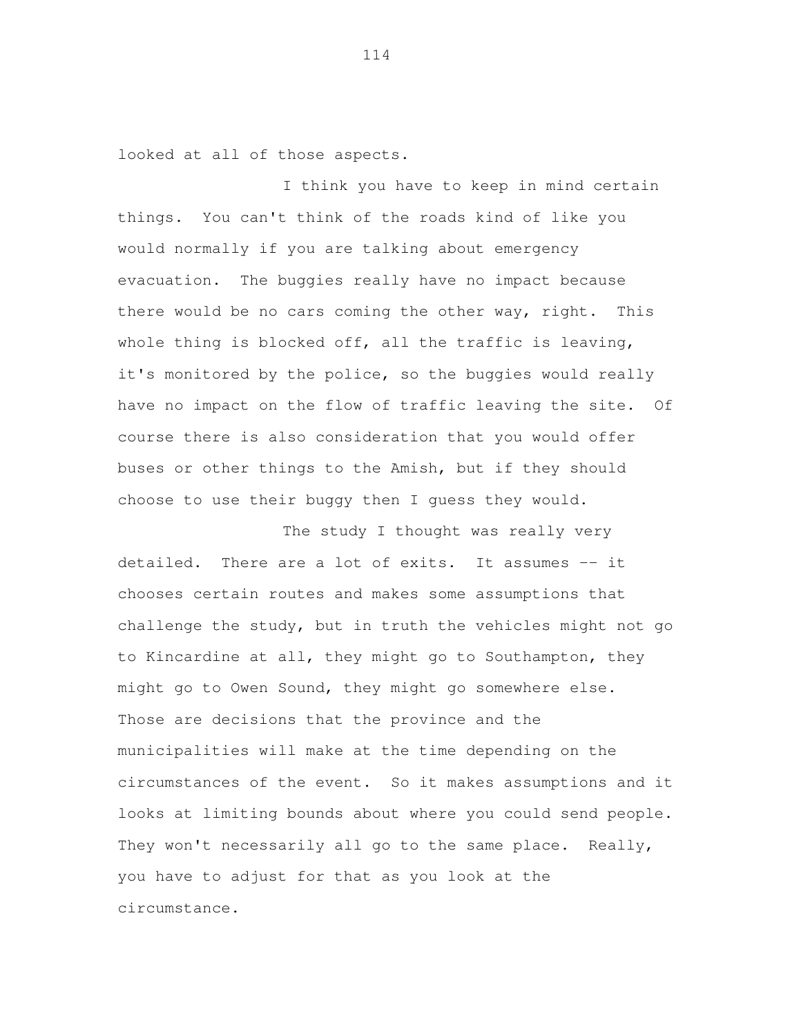looked at all of those aspects.

 I think you have to keep in mind certain things. You can't think of the roads kind of like you would normally if you are talking about emergency evacuation. The buggies really have no impact because there would be no cars coming the other way, right. This whole thing is blocked off, all the traffic is leaving, it's monitored by the police, so the buggies would really have no impact on the flow of traffic leaving the site. Of course there is also consideration that you would offer buses or other things to the Amish, but if they should choose to use their buggy then I guess they would.

 The study I thought was really very detailed. chooses certain routes and makes some assumptions that challenge the study, but in truth the vehicles might not go to Kincardine at all, they might go to Southampton, they might go to Owen Sound, they might go somewhere else. Those are decisions that the province and the municipalities will make at the time depending on the circumstances of the event. So it makes assumptions and it looks at limiting bounds about where you could send people. They won't necessarily all go to the same place. Really, you have to adjust for that as you look at the There are a lot of exits. It assumes  $-$  it circumstance.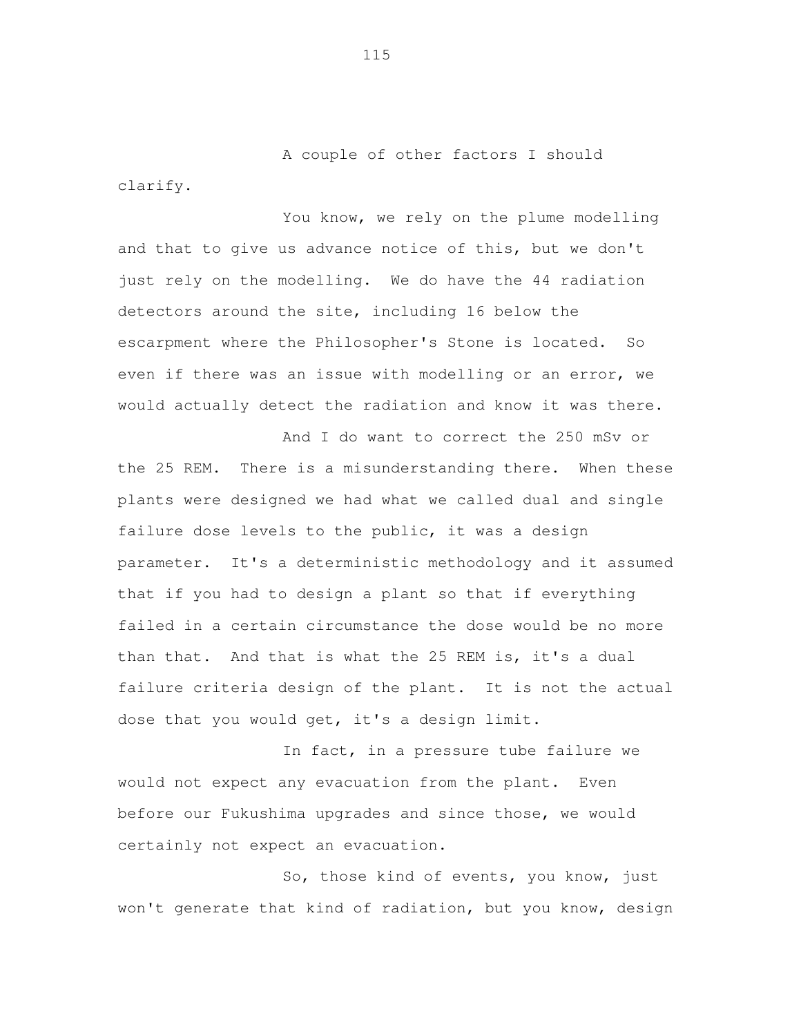A couple of other factors I should clarify.<br>You know, we rely on the plume modelling

 and that to give us advance notice of this, but we don't just rely on the modelling. We do have the 44 radiation detectors around the site, including 16 below the escarpment where the Philosopher's Stone is located. So even if there was an issue with modelling or an error, we would actually detect the radiation and know it was there.

 And I do want to correct the 250 mSv or the 25 REM. There is a misunderstanding there. When these plants were designed we had what we called dual and single failure dose levels to the public, it was a design parameter. It's a deterministic methodology and it assumed that if you had to design a plant so that if everything failed in a certain circumstance the dose would be no more than that. And that is what the 25 REM is, it's a dual failure criteria design of the plant. It is not the actual dose that you would get, it's a design limit.

 In fact, in a pressure tube failure we would not expect any evacuation from the plant. Even before our Fukushima upgrades and since those, we would certainly not expect an evacuation.

 So, those kind of events, you know, just won't generate that kind of radiation, but you know, design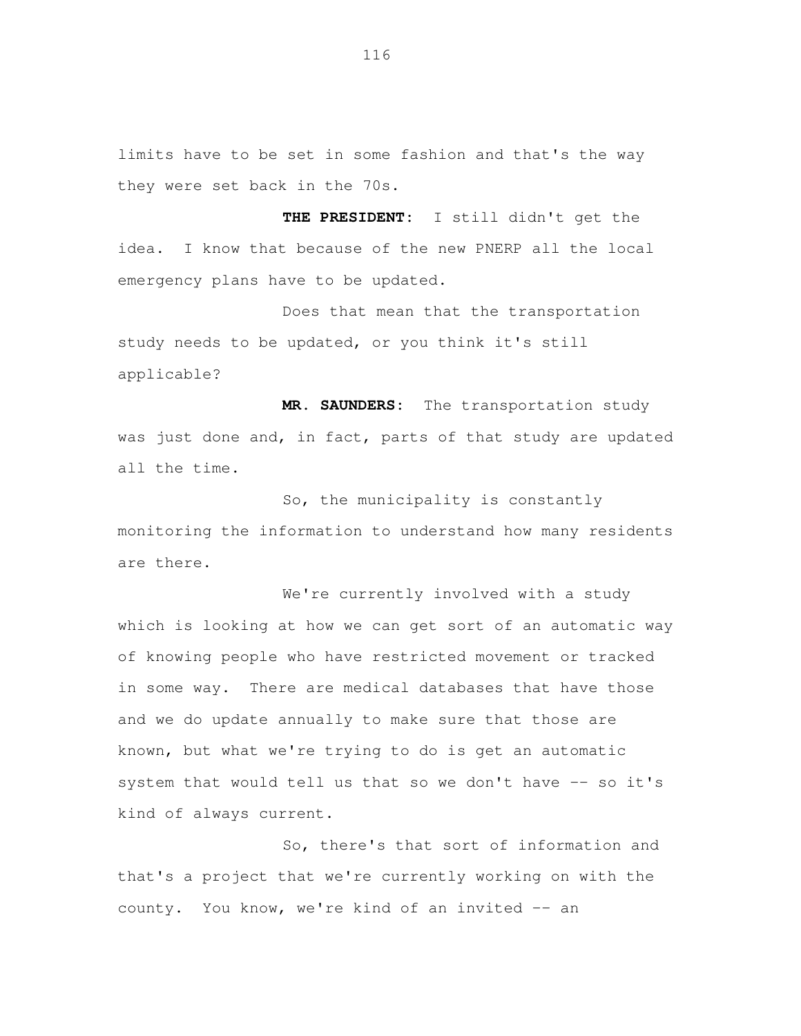limits have to be set in some fashion and that's the way they were set back in the 70s.

 **THE PRESIDENT:** I still didn't get the idea. emergency plans have to be updated. I know that because of the new PNERP all the local

 Does that mean that the transportation study needs to be updated, or you think it's still applicable?

 **MR. SAUNDERS:** The transportation study was just done and, in fact, parts of that study are updated all the time.

 So, the municipality is constantly monitoring the information to understand how many residents are there.

 We're currently involved with a study which is looking at how we can get sort of an automatic way of knowing people who have restricted movement or tracked in some way. There are medical databases that have those and we do update annually to make sure that those are known, but what we're trying to do is get an automatic system that would tell us that so we don't have -- so it's kind of always current.

 So, there's that sort of information and that's a project that we're currently working on with the county. You know, we're kind of an invited -- an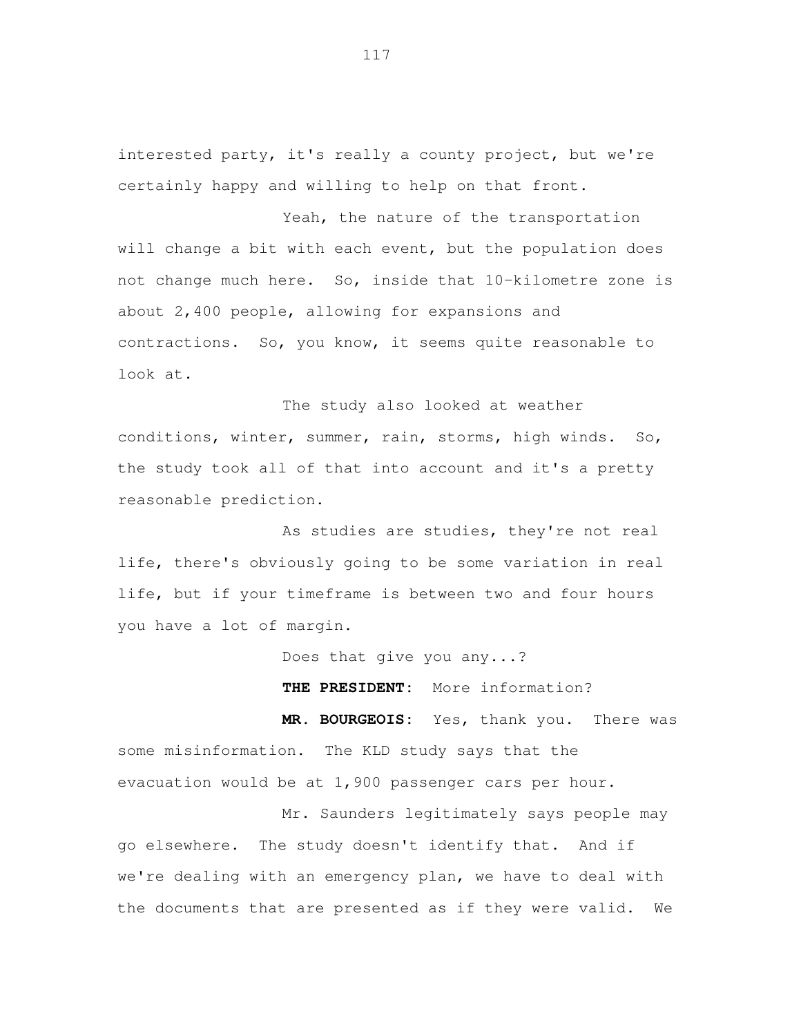interested party, it's really a county project, but we're certainly happy and willing to help on that front.

Yeah, the nature of the transportation will change a bit with each event, but the population does not change much here. So, inside that 10-kilometre zone is about 2,400 people, allowing for expansions and contractions. So, you know, it seems quite reasonable to look at.

The study also looked at weather conditions, winter, summer, rain, storms, high winds. So, the study took all of that into account and it's a pretty reasonable prediction.

As studies are studies, they're not real life, there's obviously going to be some variation in real life, but if your timeframe is between two and four hours you have a lot of margin.

Does that give you any...?

**THE PRESIDENT:** More information?

**MR. BOURGEOIS:** Yes, thank you. There was some misinformation. The KLD study says that the evacuation would be at 1,900 passenger cars per hour.

Mr. Saunders legitimately says people may go elsewhere. The study doesn't identify that. And if we're dealing with an emergency plan, we have to deal with the documents that are presented as if they were valid. We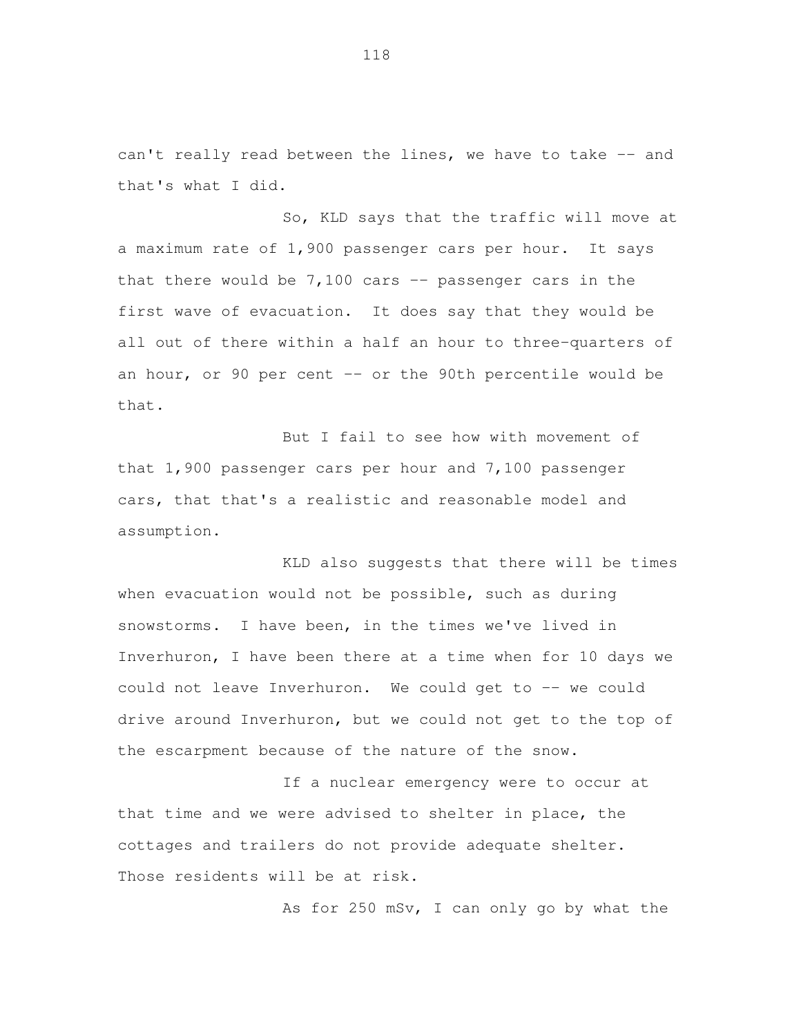can't really read between the lines, we have to take -- and that's what I did.

 So, KLD says that the traffic will move at a maximum rate of 1,900 passenger cars per hour. It says that there would be 7,100 cars -- passenger cars in the first wave of evacuation. It does say that they would be all out of there within a half an hour to three-quarters of an hour, or 90 per cent -- or the 90th percentile would be that.

 But I fail to see how with movement of that 1,900 passenger cars per hour and 7,100 passenger cars, that that's a realistic and reasonable model and assumption.

 KLD also suggests that there will be times when evacuation would not be possible, such as during snowstorms. I have been, in the times we've lived in Inverhuron, I have been there at a time when for 10 days we could not leave Inverhuron. We could get to -- we could drive around Inverhuron, but we could not get to the top of the escarpment because of the nature of the snow.

 If a nuclear emergency were to occur at that time and we were advised to shelter in place, the cottages and trailers do not provide adequate shelter. Those residents will be at risk.

As for 250 mSv, I can only go by what the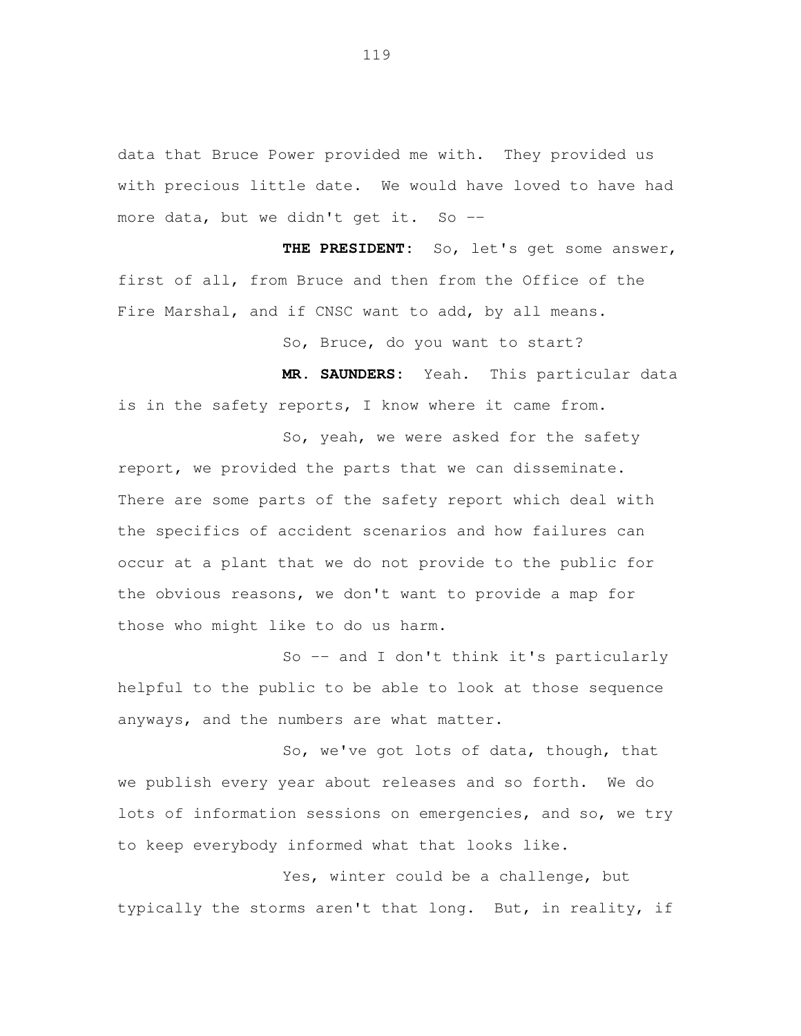data that Bruce Power provided me with. They provided us with precious little date. We would have loved to have had more data, but we didn't get it. So --

 **THE PRESIDENT:** So, let's get some answer, first of all, from Bruce and then from the Office of the Fire Marshal, and if CNSC want to add, by all means.

So, Bruce, do you want to start?

 **MR. SAUNDERS:** Yeah. This particular data is in the safety reports, I know where it came from.

 So, yeah, we were asked for the safety report, we provided the parts that we can disseminate. There are some parts of the safety report which deal with the specifics of accident scenarios and how failures can occur at a plant that we do not provide to the public for the obvious reasons, we don't want to provide a map for those who might like to do us harm.

 So -- and I don't think it's particularly helpful to the public to be able to look at those sequence anyways, and the numbers are what matter.

 So, we've got lots of data, though, that we publish every year about releases and so forth. We do lots of information sessions on emergencies, and so, we try to keep everybody informed what that looks like.

 Yes, winter could be a challenge, but typically the storms aren't that long. But, in reality, if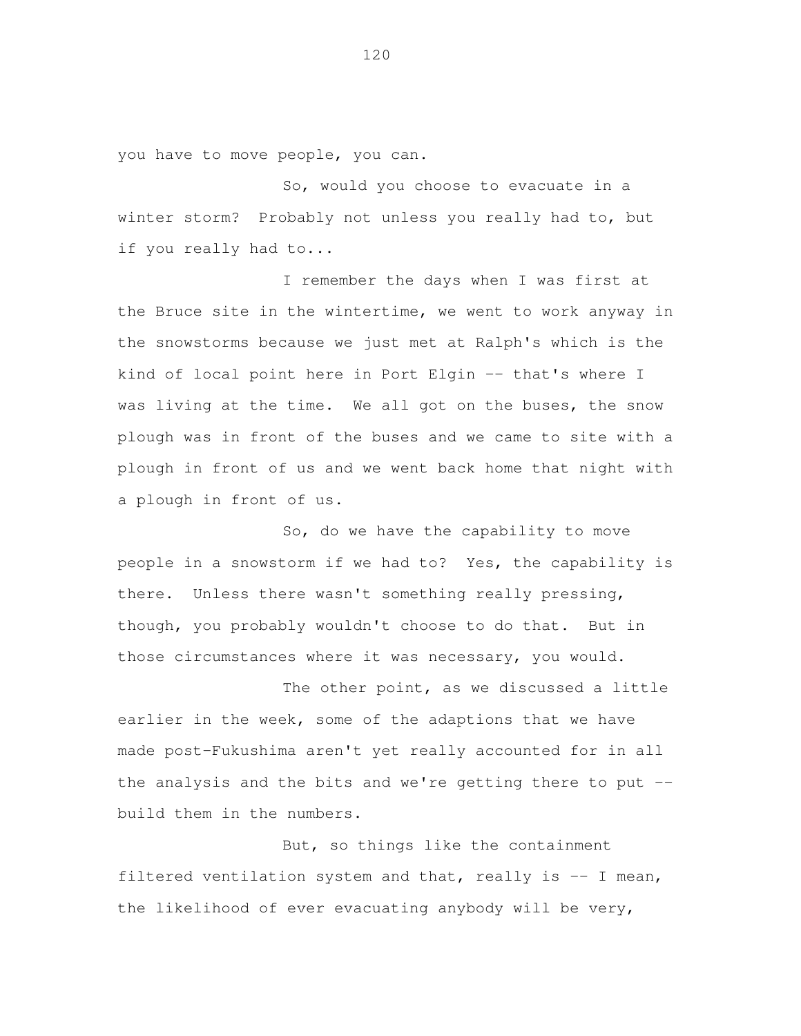you have to move people, you can.

 So, would you choose to evacuate in a winter storm? Probably not unless you really had to, but if you really had to...

 I remember the days when I was first at the Bruce site in the wintertime, we went to work anyway in the snowstorms because we just met at Ralph's which is the kind of local point here in Port Elgin -- that's where I was living at the time. We all got on the buses, the snow plough was in front of the buses and we came to site with a plough in front of us and we went back home that night with a plough in front of us.

 So, do we have the capability to move people in a snowstorm if we had to? Yes, the capability is there. Unless there wasn't something really pressing, though, you probably wouldn't choose to do that. But in those circumstances where it was necessary, you would.

 The other point, as we discussed a little earlier in the week, some of the adaptions that we have made post-Fukushima aren't yet really accounted for in all the analysis and the bits and we're getting there to put --build them in the numbers.

 But, so things like the containment filtered ventilation system and that, really is -- I mean, the likelihood of ever evacuating anybody will be very,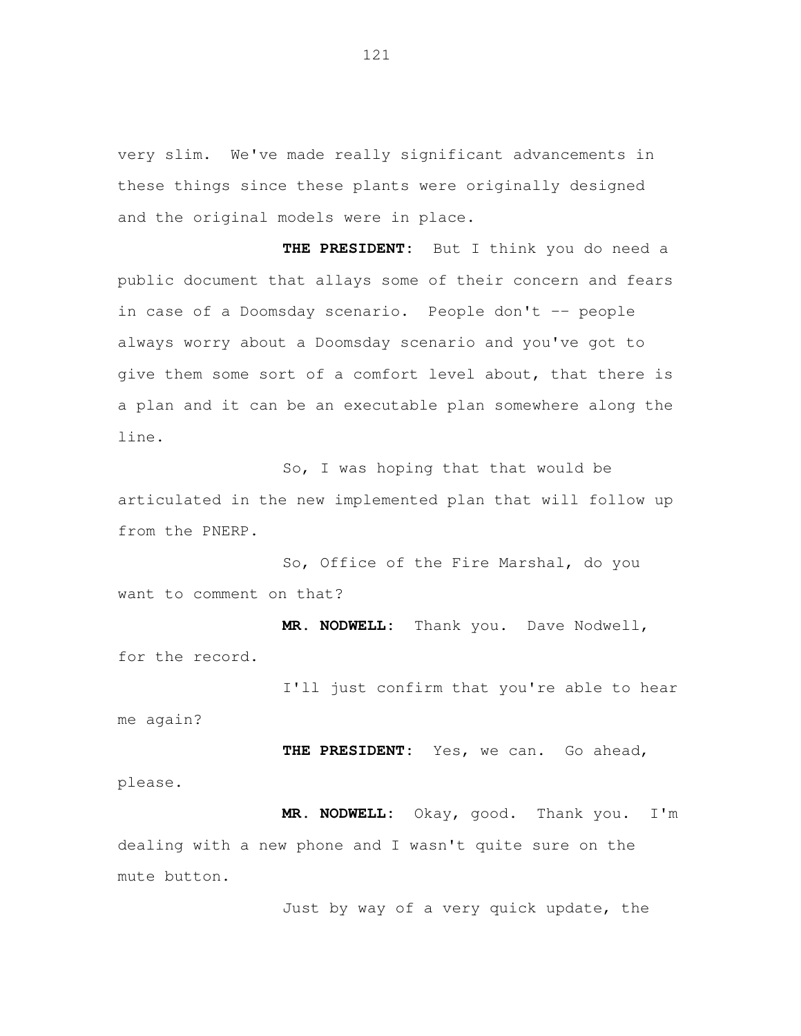very slim. We've made really significant advancements in these things since these plants were originally designed and the original models were in place.

**THE PRESIDENT:** But I think you do need a public document that allays some of their concern and fears in case of a Doomsday scenario. People don't -- people always worry about a Doomsday scenario and you've got to give them some sort of a comfort level about, that there is a plan and it can be an executable plan somewhere along the line.

So, I was hoping that that would be articulated in the new implemented plan that will follow up from the PNERP.

So, Office of the Fire Marshal, do you want to comment on that?

**MR. NODWELL:** Thank you. Dave Nodwell, for the record.

I'll just confirm that you're able to hear me again?

**THE PRESIDENT:** Yes, we can. Go ahead, please.

**MR. NODWELL:** Okay, good. Thank you. I'm dealing with a new phone and I wasn't quite sure on the mute button.

Just by way of a very quick update, the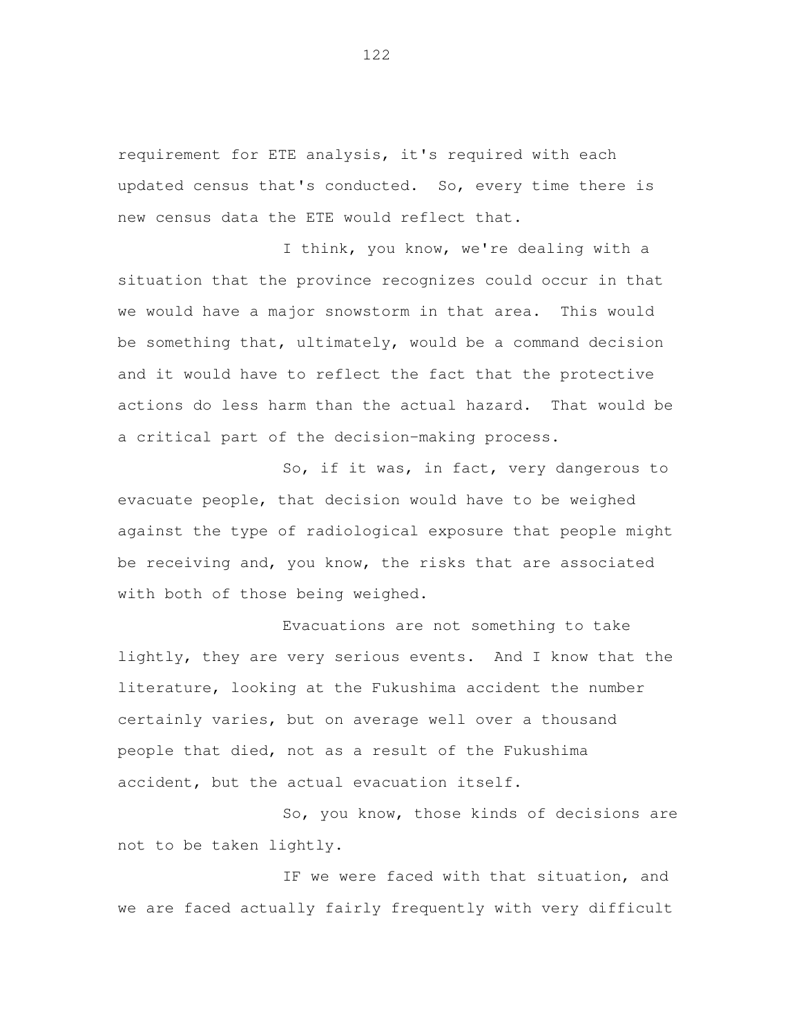requirement for ETE analysis, it's required with each updated census that's conducted. So, every time there is new census data the ETE would reflect that.

 I think, you know, we're dealing with a situation that the province recognizes could occur in that we would have a major snowstorm in that area. This would be something that, ultimately, would be a command decision and it would have to reflect the fact that the protective actions do less harm than the actual hazard. That would be a critical part of the decision-making process.

 So, if it was, in fact, very dangerous to evacuate people, that decision would have to be weighed against the type of radiological exposure that people might be receiving and, you know, the risks that are associated with both of those being weighed.

 Evacuations are not something to take lightly, they are very serious events. And I know that the literature, looking at the Fukushima accident the number certainly varies, but on average well over a thousand people that died, not as a result of the Fukushima accident, but the actual evacuation itself.

 So, you know, those kinds of decisions are not to be taken lightly.

 IF we were faced with that situation, and we are faced actually fairly frequently with very difficult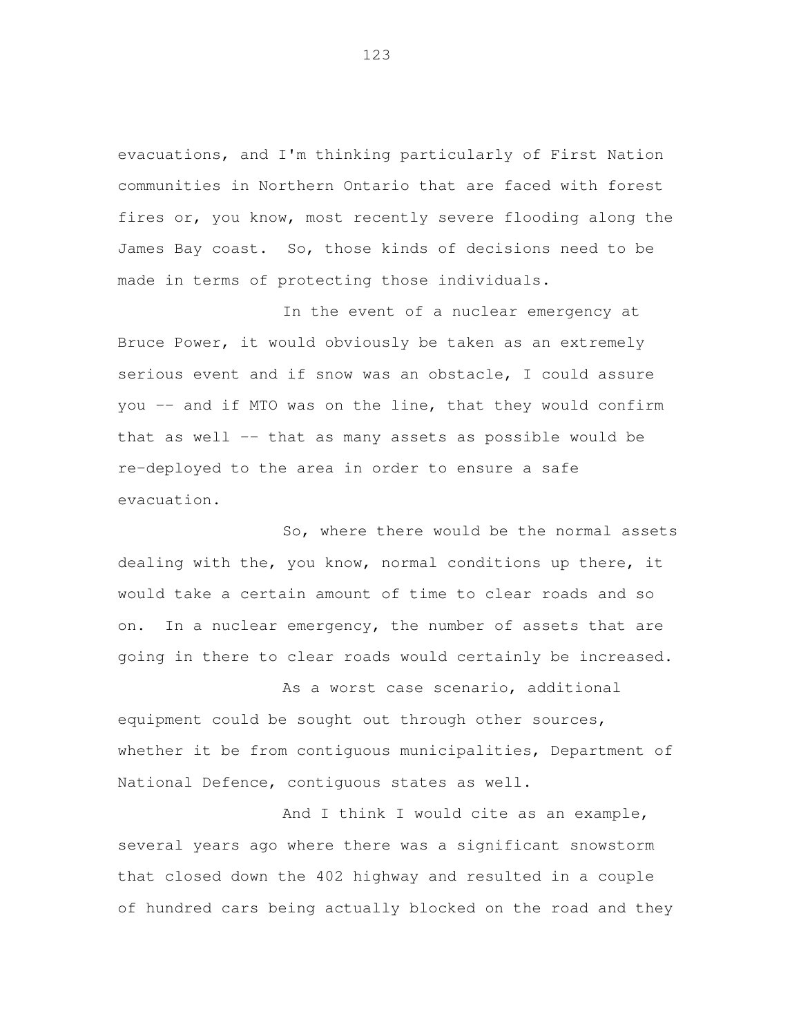evacuations, and I'm thinking particularly of First Nation communities in Northern Ontario that are faced with forest fires or, you know, most recently severe flooding along the James Bay coast. So, those kinds of decisions need to be made in terms of protecting those individuals.

 In the event of a nuclear emergency at Bruce Power, it would obviously be taken as an extremely serious event and if snow was an obstacle, I could assure you -- and if MTO was on the line, that they would confirm that as well -- that as many assets as possible would be re-deployed to the area in order to ensure a safe evacuation.

 So, where there would be the normal assets dealing with the, you know, normal conditions up there, it would take a certain amount of time to clear roads and so on. In a nuclear emergency, the number of assets that are going in there to clear roads would certainly be increased.

 As a worst case scenario, additional equipment could be sought out through other sources, whether it be from contiguous municipalities, Department of National Defence, contiguous states as well.

 And I think I would cite as an example, several years ago where there was a significant snowstorm that closed down the 402 highway and resulted in a couple of hundred cars being actually blocked on the road and they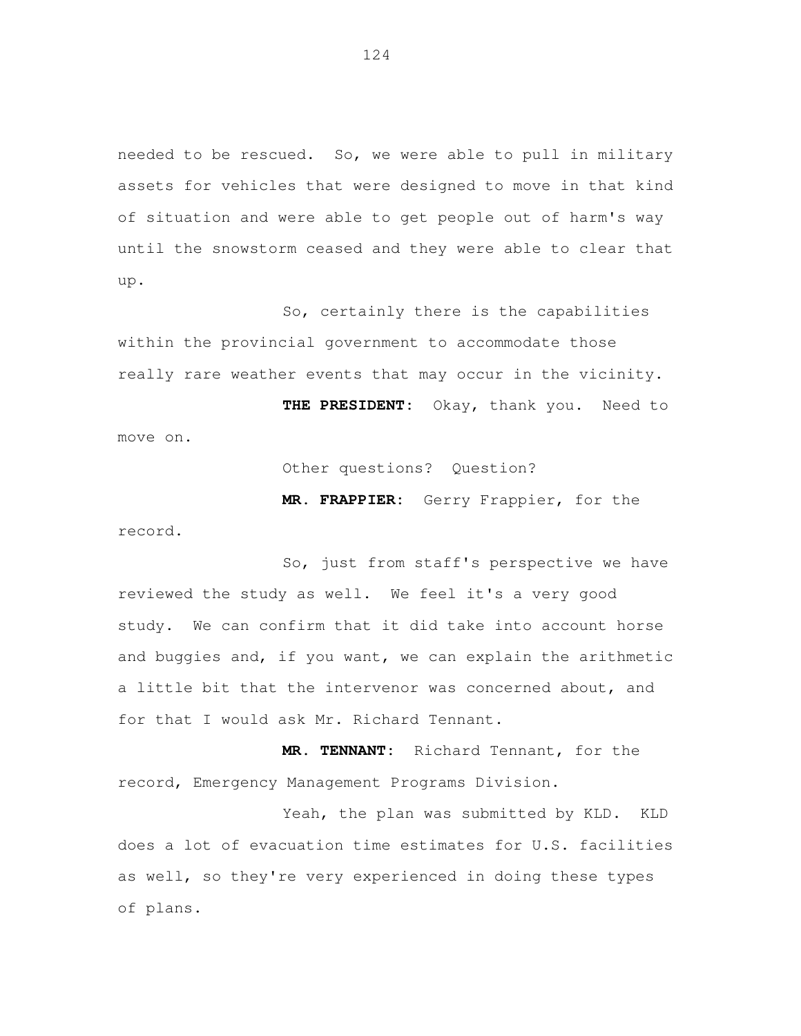needed to be rescued. So, we were able to pull in military assets for vehicles that were designed to move in that kind of situation and were able to get people out of harm's way until the snowstorm ceased and they were able to clear that up.

 So, certainly there is the capabilities within the provincial government to accommodate those really rare weather events that may occur in the vicinity. **THE PRESIDENT:** Okay, thank you. Need to move on.

Other questions? Question?

 **MR. FRAPPIER:** Gerry Frappier, for the record.

 So, just from staff's perspective we have reviewed the study as well. We feel it's a very good study. We can confirm that it did take into account horse and buggies and, if you want, we can explain the arithmetic a little bit that the intervenor was concerned about, and for that I would ask Mr. Richard Tennant.

 **MR. TENNANT:** Richard Tennant, for the record, Emergency Management Programs Division.

 Yeah, the plan was submitted by KLD. KLD does a lot of evacuation time estimates for U.S. facilities as well, so they're very experienced in doing these types of plans.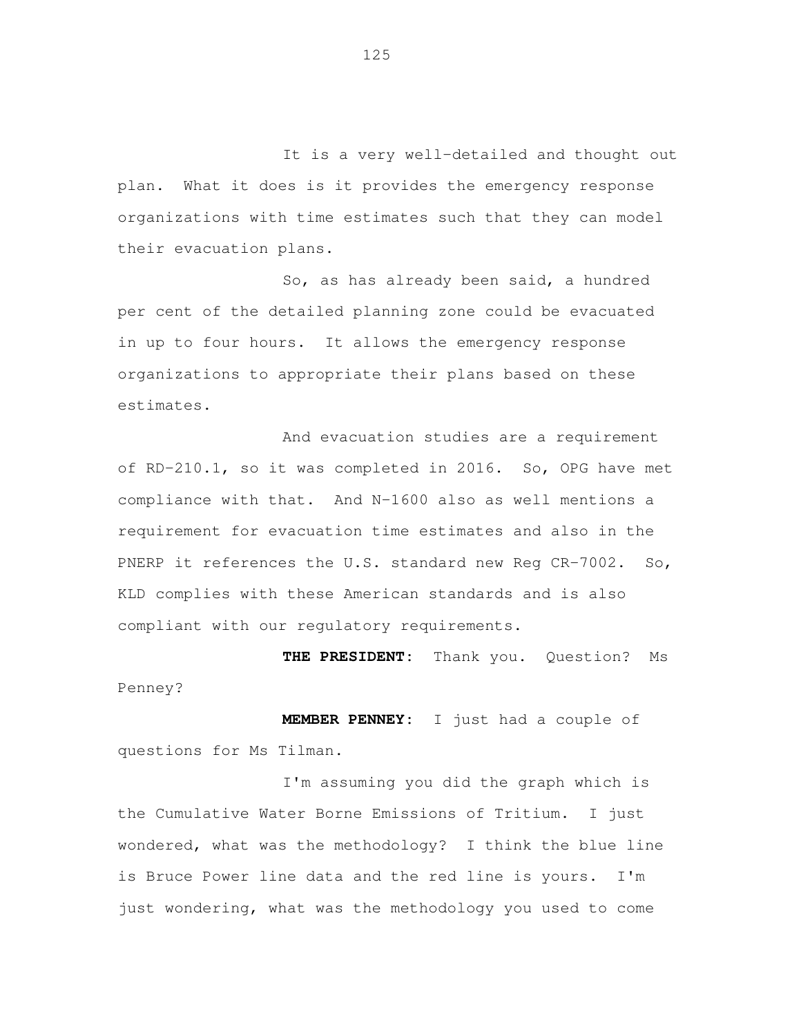It is a very well-detailed and thought out plan. What it does is it provides the emergency response organizations with time estimates such that they can model their evacuation plans.

 So, as has already been said, a hundred per cent of the detailed planning zone could be evacuated in up to four hours. It allows the emergency response organizations to appropriate their plans based on these estimates.

 And evacuation studies are a requirement of RD-210.1, so it was completed in 2016. So, OPG have met compliance with that. And N-1600 also as well mentions a requirement for evacuation time estimates and also in the PNERP it references the U.S. standard new Reg CR-7002. So, KLD complies with these American standards and is also compliant with our regulatory requirements.

 **THE PRESIDENT:** Thank you. Question? Ms Penney?

 **MEMBER PENNEY:** I just had a couple of questions for Ms Tilman.

 I'm assuming you did the graph which is the Cumulative Water Borne Emissions of Tritium. I just wondered, what was the methodology? I think the blue line is Bruce Power line data and the red line is yours. I'm just wondering, what was the methodology you used to come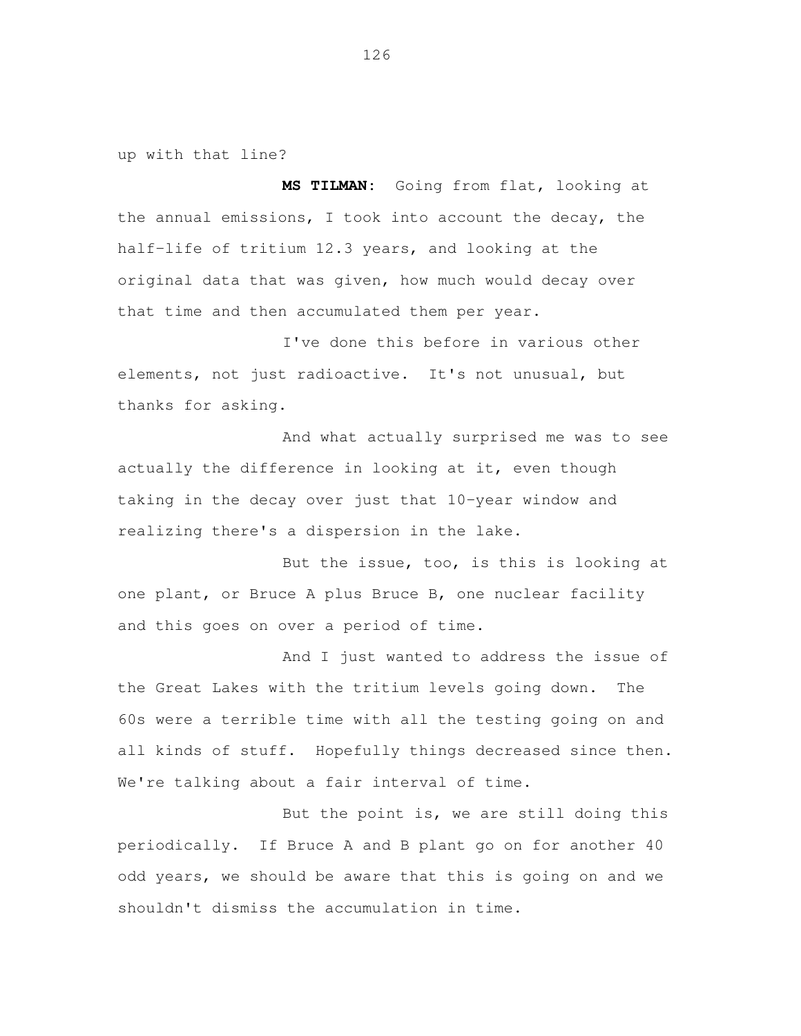up with that line?

 **MS TILMAN:** Going from flat, looking at the annual emissions, I took into account the decay, the half-life of tritium 12.3 years, and looking at the original data that was given, how much would decay over that time and then accumulated them per year.

 I've done this before in various other elements, not just radioactive. It's not unusual, but thanks for asking.

 And what actually surprised me was to see actually the difference in looking at it, even though taking in the decay over just that 10-year window and realizing there's a dispersion in the lake.

 But the issue, too, is this is looking at one plant, or Bruce A plus Bruce B, one nuclear facility and this goes on over a period of time.

 And I just wanted to address the issue of the Great Lakes with the tritium levels going down. The 60s were a terrible time with all the testing going on and all kinds of stuff. Hopefully things decreased since then. We're talking about a fair interval of time.

 But the point is, we are still doing this periodically. If Bruce A and B plant go on for another 40 odd years, we should be aware that this is going on and we shouldn't dismiss the accumulation in time.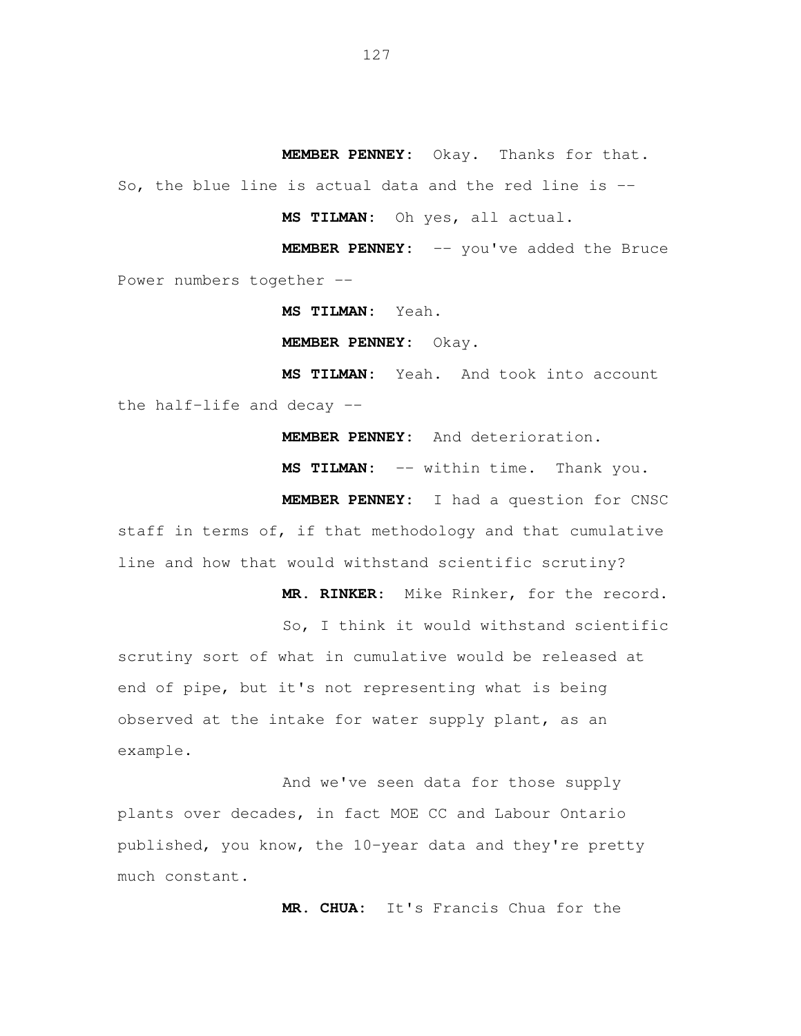**MEMBER PENNEY:** Okay. Thanks for that.

So, the blue line is actual data and the red line is --

**MS TILMAN:** Oh yes, all actual.

 **MEMBER PENNEY:** -- you've added the Bruce Power numbers together --

**MS TILMAN:** Yeah.

**MEMBER PENNEY:** Okay.

MS TILMAN: the half-life and decay -- Yeah. And took into account

**MEMBER PENNEY:** And deterioration.

**MS TILMAN:** -- within time. Thank you.

 **MEMBER PENNEY:** I had a question for CNSC staff in terms of, if that methodology and that cumulative line and how that would withstand scientific scrutiny?

**MR. RINKER**: Mike Rinker, for the record.

 So, I think it would withstand scientific scrutiny sort of what in cumulative would be released at end of pipe, but it's not representing what is being observed at the intake for water supply plant, as an example.

 And we've seen data for those supply plants over decades, in fact MOE CC and Labour Ontario published, you know, the 10-year data and they're pretty much constant.

**MR. CHUA:** It's Francis Chua for the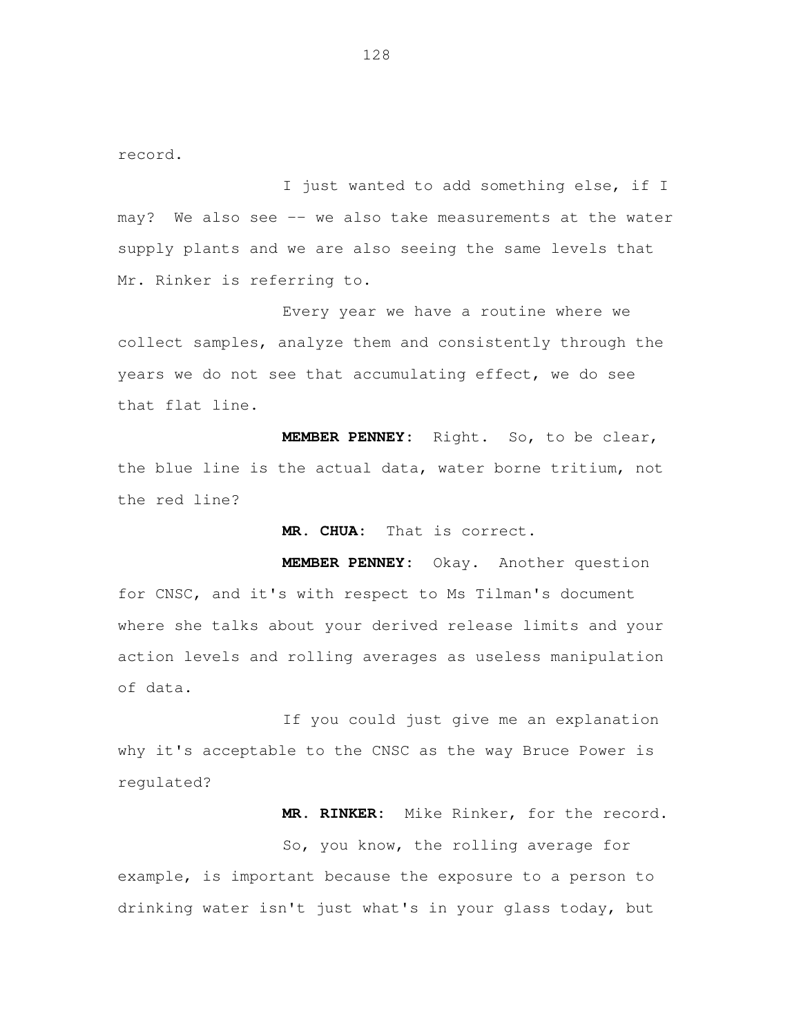record.

 I just wanted to add something else, if I may? We also see -- we also take measurements at the water supply plants and we are also seeing the same levels that Mr. Rinker is referring to.

 Every year we have a routine where we collect samples, analyze them and consistently through the years we do not see that accumulating effect, we do see that flat line.

 **MEMBER PENNEY:** Right. So, to be clear, the blue line is the actual data, water borne tritium, not the red line?

**MR. CHUA:** That is correct.

 **MEMBER PENNEY:** Okay. Another question for CNSC, and it's with respect to Ms Tilman's document where she talks about your derived release limits and your action levels and rolling averages as useless manipulation of data.

 If you could just give me an explanation why it's acceptable to the CNSC as the way Bruce Power is regulated?

**MR. RINKER:** Mike Rinker, for the record.

 So, you know, the rolling average for example, is important because the exposure to a person to drinking water isn't just what's in your glass today, but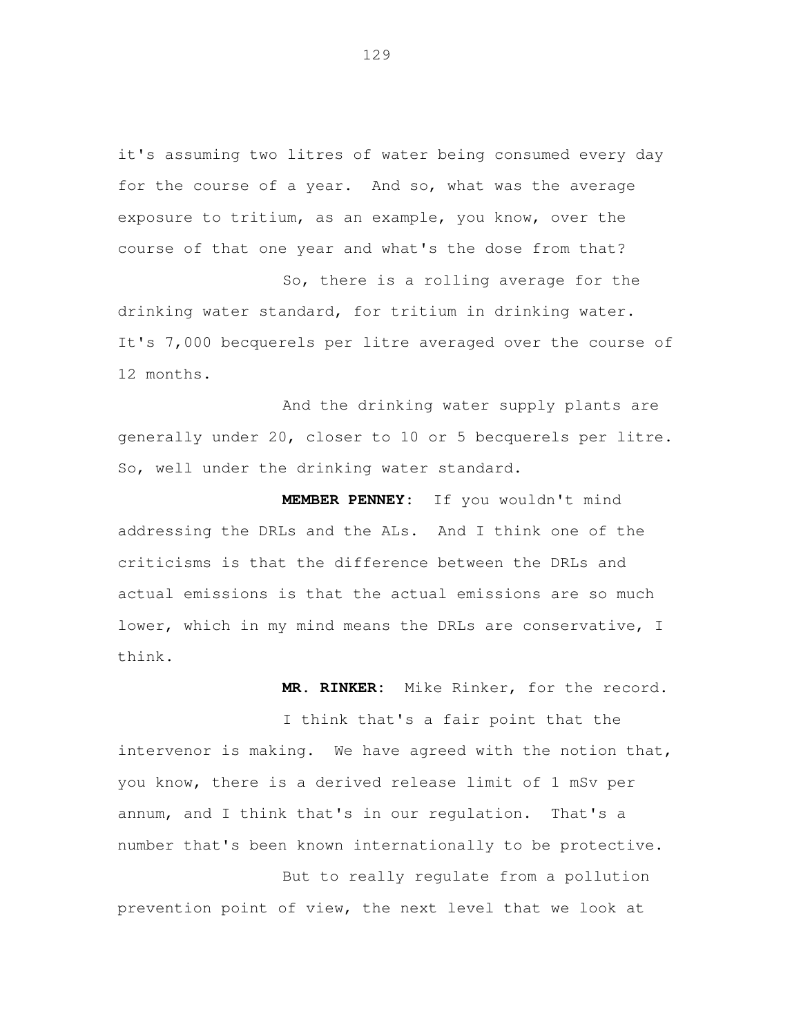it's assuming two litres of water being consumed every day for the course of a year. And so, what was the average exposure to tritium, as an example, you know, over the course of that one year and what's the dose from that?

 So, there is a rolling average for the drinking water standard, for tritium in drinking water. It's 7,000 becquerels per litre averaged over the course of 12 months.

 And the drinking water supply plants are generally under 20, closer to 10 or 5 becquerels per litre. So, well under the drinking water standard.

 **MEMBER PENNEY:** If you wouldn't mind addressing the DRLs and the ALs. And I think one of the criticisms is that the difference between the DRLs and actual emissions is that the actual emissions are so much lower, which in my mind means the DRLs are conservative, I think.

 **MR. RINKER:** Mike Rinker, for the record.

 I think that's a fair point that the intervenor is making. We have agreed with the notion that, you know, there is a derived release limit of 1 mSv per annum, and I think that's in our regulation. That's a number that's been known internationally to be protective.

 But to really regulate from a pollution prevention point of view, the next level that we look at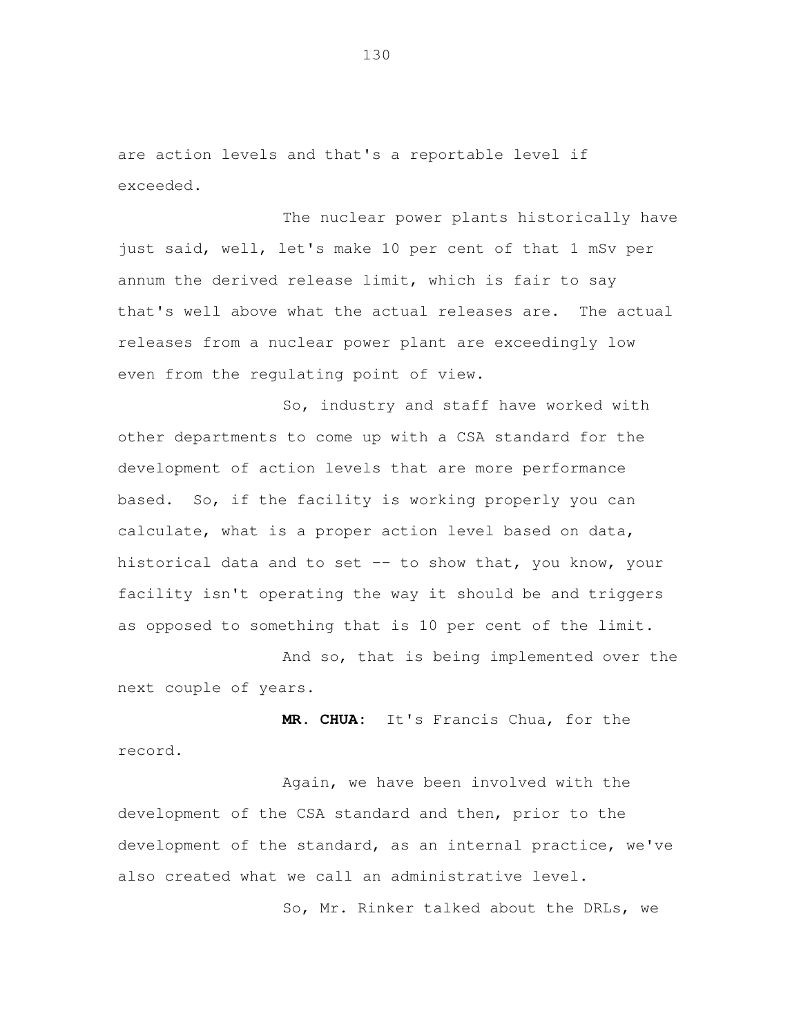are action levels and that's a reportable level if exceeded.

 The nuclear power plants historically have just said, well, let's make 10 per cent of that 1 mSv per annum the derived release limit, which is fair to say that's well above what the actual releases are. The actual releases from a nuclear power plant are exceedingly low even from the regulating point of view.

 So, industry and staff have worked with other departments to come up with a CSA standard for the development of action levels that are more performance based. So, if the facility is working properly you can calculate, what is a proper action level based on data, historical data and to set -- to show that, you know, your facility isn't operating the way it should be and triggers as opposed to something that is 10 per cent of the limit.

 And so, that is being implemented over the next couple of years.

 **MR. CHUA:** It's Francis Chua, for the record.

 Again, we have been involved with the development of the CSA standard and then, prior to the development of the standard, as an internal practice, we've also created what we call an administrative level.

So, Mr. Rinker talked about the DRLs, we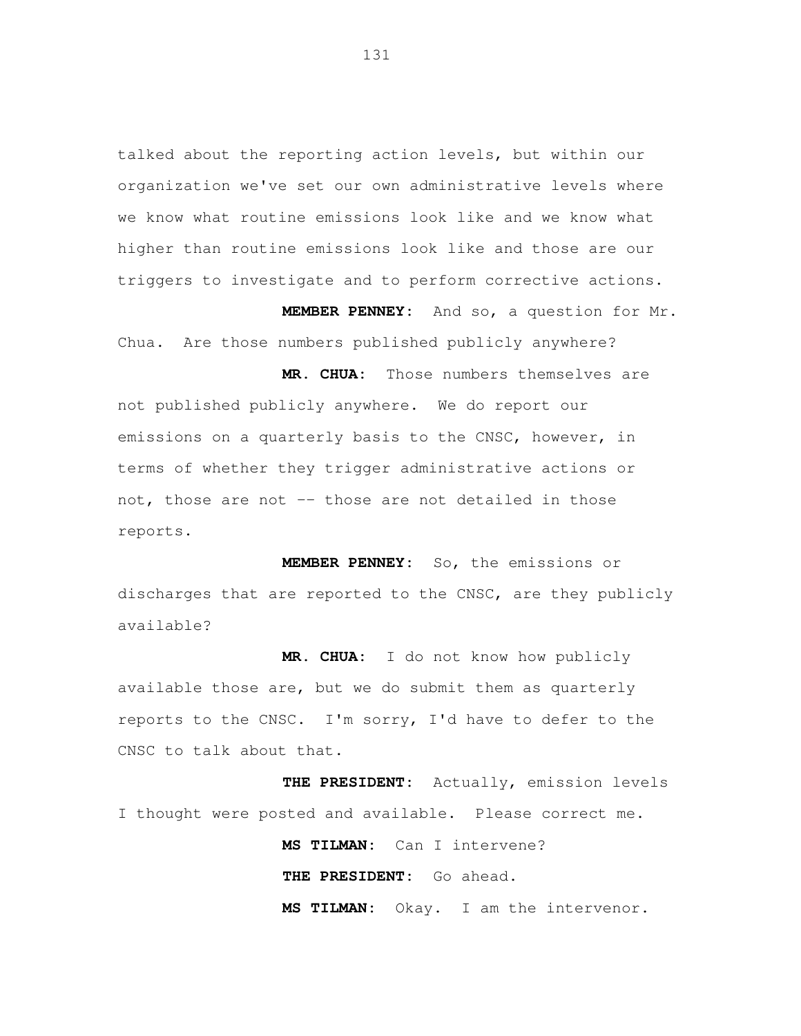talked about the reporting action levels, but within our organization we've set our own administrative levels where we know what routine emissions look like and we know what higher than routine emissions look like and those are our triggers to investigate and to perform corrective actions.

 **MEMBER PENNEY:** And so, a question for Mr. Chua. Are those numbers published publicly anywhere?

 **MR. CHUA:** Those numbers themselves are not published publicly anywhere. We do report our emissions on a quarterly basis to the CNSC, however, in terms of whether they trigger administrative actions or not, those are not -- those are not detailed in those reports.

 **MEMBER PENNEY:** So, the emissions or discharges that are reported to the CNSC, are they publicly available?

 **MR. CHUA:** I do not know how publicly available those are, but we do submit them as quarterly reports to the CNSC. I'm sorry, I'd have to defer to the CNSC to talk about that.

 **THE PRESIDENT:** Actually, emission levels I thought were posted and available. Please correct me.

> **MS TILMAN:** Can I intervene? **THE PRESIDENT:** Go ahead. **MS TILMAN:** Okay. I am the intervenor.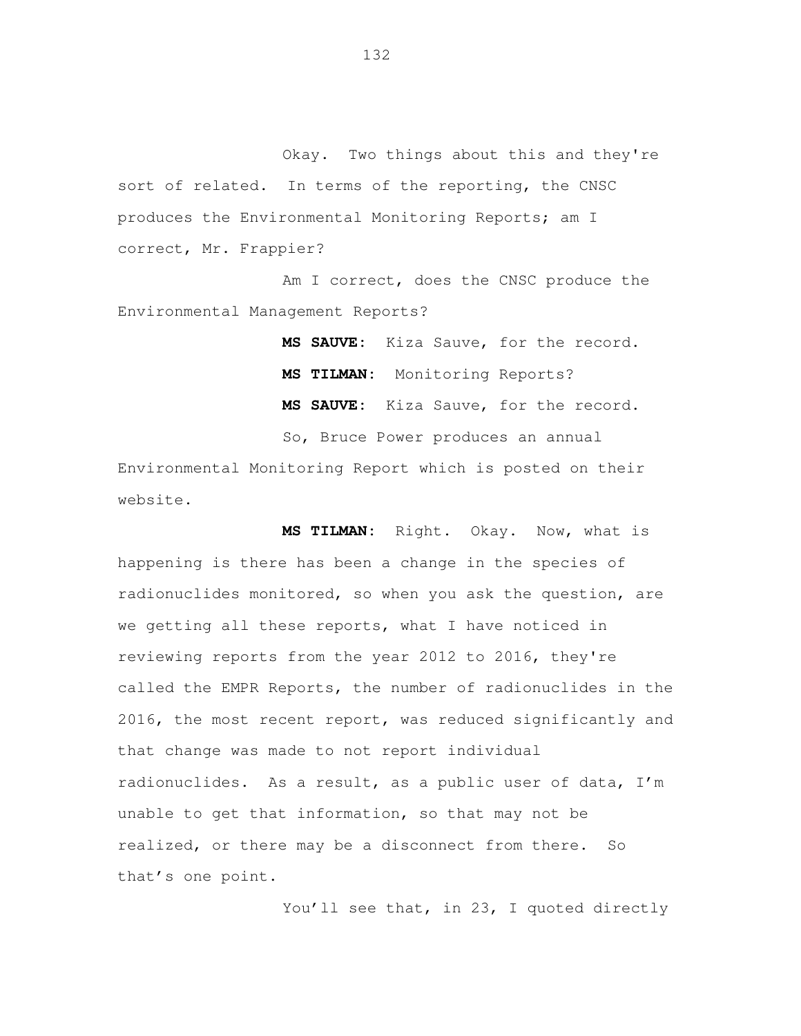Okay. Two things about this and they're sort of related. In terms of the reporting, the CNSC produces the Environmental Monitoring Reports; am I correct, Mr. Frappier?

 Am I correct, does the CNSC produce the Environmental Management Reports?

> **MS SAUVE:** Kiza Sauve, for the record. **MS TILMAN:** Monitoring Reports? **MS SAUVE:** Kiza Sauve, for the record.

So, Bruce Power produces an annual

 Environmental Monitoring Report which is posted on their website.

 **MS TILMAN:** Right. Okay. Now, what is happening is there has been a change in the species of radionuclides monitored, so when you ask the question, are we getting all these reports, what I have noticed in reviewing reports from the year 2012 to 2016, they're called the EMPR Reports, the number of radionuclides in the 2016, the most recent report, was reduced significantly and that change was made to not report individual radionuclides. As a result, as a public user of data, I'm unable to get that information, so that may not be realized, or there may be a disconnect from there. So that's one point.

You'll see that, in 23, I quoted directly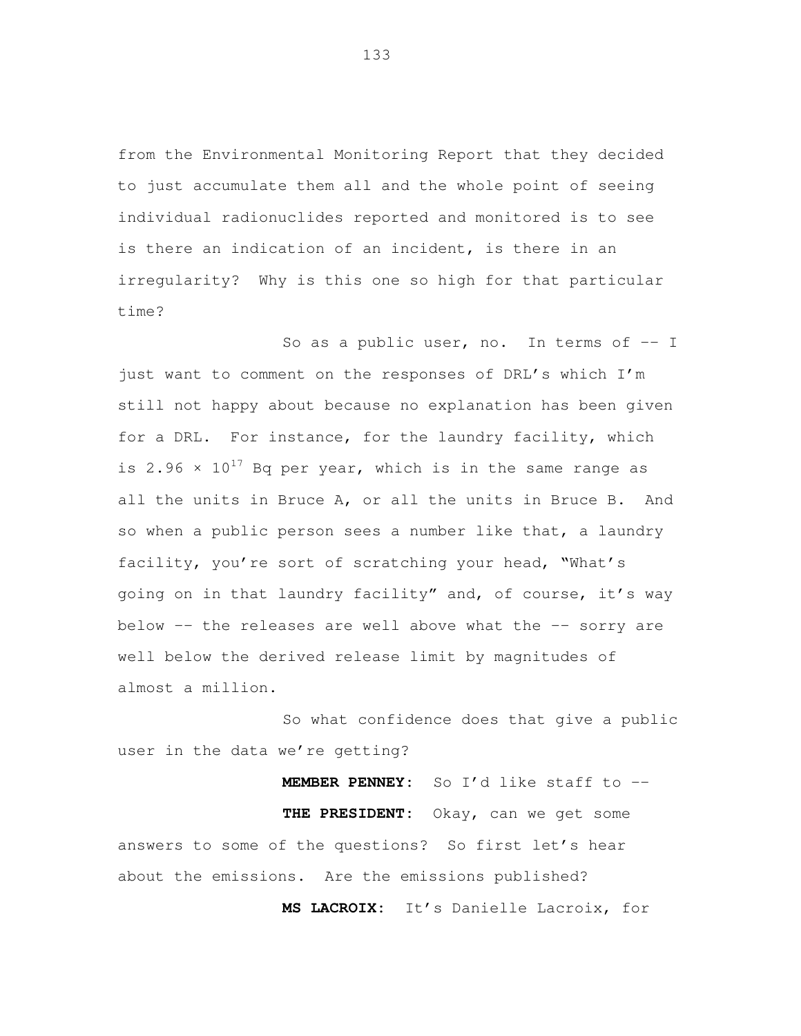from the Environmental Monitoring Report that they decided to just accumulate them all and the whole point of seeing individual radionuclides reported and monitored is to see is there an indication of an incident, is there in an irregularity? Why is this one so high for that particular time?

So as a public user, no. In terms of  $-1$ just want to comment on the responses of DRL's which I'm still not happy about because no explanation has been given for a DRL. For instance, for the laundry facility, which is 2.96  $\times$  10<sup>17</sup> Bq per year, which is in the same range as all the units in Bruce A, or all the units in Bruce B. And so when a public person sees a number like that, a laundry facility, you're sort of scratching your head, "What's going on in that laundry facility" and, of course, it's way below -- the releases are well above what the -- sorry are well below the derived release limit by magnitudes of almost a million.

So what confidence does that give a public user in the data we're getting?

**MEMBER PENNEY:** So I'd like staff to -- **THE PRESIDENT:** Okay, can we get some answers to some of the questions? So first let's hear about the emissions. Are the emissions published?

**MS LACROIX:** It's Danielle Lacroix, for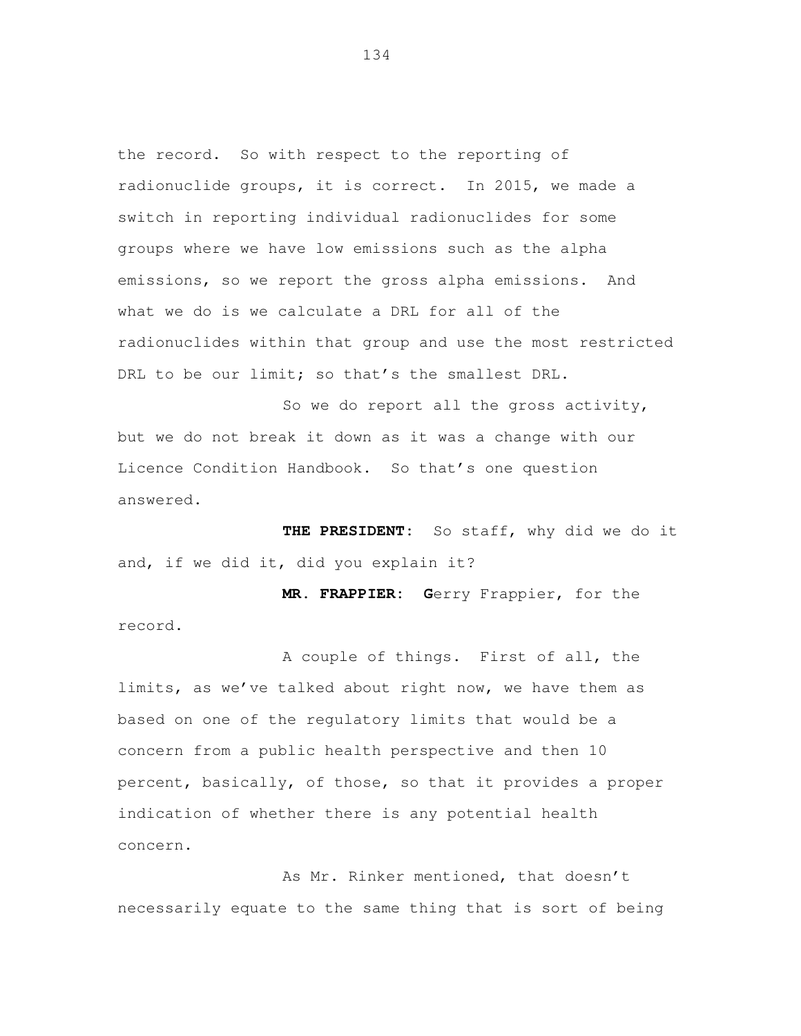the record. So with respect to the reporting of radionuclide groups, it is correct. In 2015, we made a switch in reporting individual radionuclides for some groups where we have low emissions such as the alpha emissions, so we report the gross alpha emissions. And what we do is we calculate a DRL for all of the radionuclides within that group and use the most restricted DRL to be our limit; so that's the smallest DRL.

 So we do report all the gross activity, but we do not break it down as it was a change with our Licence Condition Handbook. So that's one question answered.

 **THE PRESIDENT:** So staff, why did we do it and, if we did it, did you explain it?

 **MR. FRAPPIER: G**erry Frappier, for the record.

 A couple of things. First of all, the limits, as we've talked about right now, we have them as based on one of the regulatory limits that would be a concern from a public health perspective and then 10 percent, basically, of those, so that it provides a proper indication of whether there is any potential health concern.<br>
As Mr. Rinker mentioned, that doesn't

necessarily equate to the same thing that is sort of being